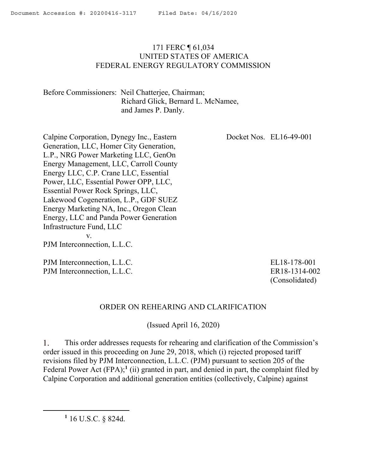# 171 FERC ¶ 61,034 UNITED STATES OF AMERICA FEDERAL ENERGY REGULATORY COMMISSION

Before Commissioners: Neil Chatterjee, Chairman; Richard Glick, Bernard L. McNamee, and James P. Danly.

Calpine Corporation, Dynegy Inc., Eastern Generation, LLC, Homer City Generation, L.P., NRG Power Marketing LLC, GenOn Energy Management, LLC, Carroll County Energy LLC, C.P. Crane LLC, Essential Power, LLC, Essential Power OPP, LLC, Essential Power Rock Springs, LLC, Lakewood Cogeneration, L.P., GDF SUEZ Energy Marketing NA, Inc., Oregon Clean Energy, LLC and Panda Power Generation Infrastructure Fund, LLC v. PJM Interconnection, L.L.C. Docket Nos. EL16-49-001

PJM Interconnection, L.L.C. PJM Interconnection, L.L.C.

ER18-1314-002 (Consolidated)

EL18-178-001

## ORDER ON REHEARING AND CLARIFICATION

(Issued April 16, 2020)

This order addresses requests for rehearing and clarification of the Commission's 1. order issued in this proceeding on June 29, 2018, which (i) rejected proposed tariff revisions filed by PJM Interconnection, L.L.C. (PJM) pursuant to section 205 of the Federal Power Act  $(FPA)$ ;<sup>1</sup> (ii) granted in part, and denied in part, the complaint filed by Calpine Corporation and additional generation entities (collectively, Calpine) against

**1** 16 U.S.C. § 824d.

 $\overline{a}$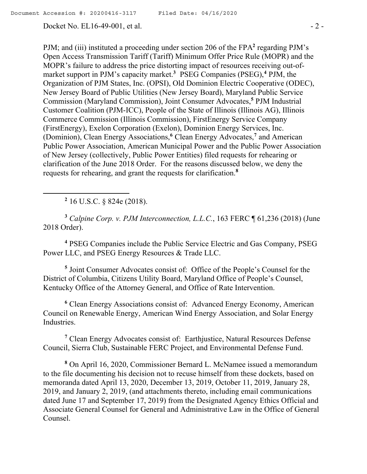PJM; and (iii) instituted a proceeding under section 206 of the FPA<sup>2</sup> regarding PJM's Open Access Transmission Tariff (Tariff) Minimum Offer Price Rule (MOPR) and the MOPR's failure to address the price distorting impact of resources receiving out-ofmarket support in PJM's capacity market.**<sup>3</sup>** PSEG Companies (PSEG),**<sup>4</sup>** PJM, the Organization of PJM States, Inc. (OPSI), Old Dominion Electric Cooperative (ODEC), New Jersey Board of Public Utilities (New Jersey Board), Maryland Public Service Commission (Maryland Commission), Joint Consumer Advocates,**<sup>5</sup>** PJM Industrial Customer Coalition (PJM-ICC), People of the State of Illinois (Illinois AG), Illinois Commerce Commission (Illinois Commission), FirstEnergy Service Company (FirstEnergy), Exelon Corporation (Exelon), Dominion Energy Services, Inc. (Dominion), Clean Energy Associations,**<sup>6</sup>** Clean Energy Advocates,**<sup>7</sup>** and American Public Power Association, American Municipal Power and the Public Power Association of New Jersey (collectively, Public Power Entities) filed requests for rehearing or

clarification of the June 2018 Order. For the reasons discussed below, we deny the requests for rehearing, and grant the requests for clarification.**<sup>8</sup>**

**2** 16 U.S.C. § 824e (2018).

 $\overline{a}$ 

**<sup>3</sup>** *Calpine Corp. v. PJM Interconnection, L.L.C.*, 163 FERC ¶ 61,236 (2018) (June 2018 Order).

**<sup>4</sup>** PSEG Companies include the Public Service Electric and Gas Company, PSEG Power LLC, and PSEG Energy Resources & Trade LLC.

**5** Joint Consumer Advocates consist of: Office of the People's Counsel for the District of Columbia, Citizens Utility Board, Maryland Office of People's Counsel, Kentucky Office of the Attorney General, and Office of Rate Intervention.

**<sup>6</sup>** Clean Energy Associations consist of: Advanced Energy Economy, American Council on Renewable Energy, American Wind Energy Association, and Solar Energy Industries.

**<sup>7</sup>** Clean Energy Advocates consist of: Earthjustice, Natural Resources Defense Council, Sierra Club, Sustainable FERC Project, and Environmental Defense Fund.

**<sup>8</sup>** On April 16, 2020, Commissioner Bernard L. McNamee issued a memorandum to the file documenting his decision not to recuse himself from these dockets, based on memoranda dated April 13, 2020, December 13, 2019, October 11, 2019, January 28, 2019, and January 2, 2019, (and attachments thereto, including email communications dated June 17 and September 17, 2019) from the Designated Agency Ethics Official and Associate General Counsel for General and Administrative Law in the Office of General Counsel.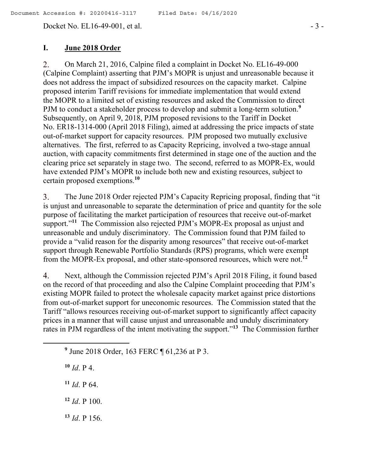Docket No. EL16-49-001, et al. - 3 -

# **I. June 2018 Order**

On March 21, 2016, Calpine filed a complaint in Docket No. EL16-49-000 2. (Calpine Complaint) asserting that PJM's MOPR is unjust and unreasonable because it does not address the impact of subsidized resources on the capacity market. Calpine proposed interim Tariff revisions for immediate implementation that would extend the MOPR to a limited set of existing resources and asked the Commission to direct PJM to conduct a stakeholder process to develop and submit a long-term solution.**<sup>9</sup>** Subsequently, on April 9, 2018, PJM proposed revisions to the Tariff in Docket No. ER18-1314-000 (April 2018 Filing), aimed at addressing the price impacts of state out-of-market support for capacity resources. PJM proposed two mutually exclusive alternatives. The first, referred to as Capacity Repricing, involved a two-stage annual auction, with capacity commitments first determined in stage one of the auction and the clearing price set separately in stage two. The second, referred to as MOPR-Ex, would have extended PJM's MOPR to include both new and existing resources, subject to certain proposed exemptions.**<sup>10</sup>**

The June 2018 Order rejected PJM's Capacity Repricing proposal, finding that "it 3. is unjust and unreasonable to separate the determination of price and quantity for the sole purpose of facilitating the market participation of resources that receive out-of-market support."<sup>11</sup> The Commission also rejected PJM's MOPR-Ex proposal as unjust and unreasonable and unduly discriminatory. The Commission found that PJM failed to provide a "valid reason for the disparity among resources" that receive out-of-market support through Renewable Portfolio Standards (RPS) programs, which were exempt from the MOPR-Ex proposal, and other state-sponsored resources, which were not.**<sup>12</sup>**

4. Next, although the Commission rejected PJM's April 2018 Filing, it found based on the record of that proceeding and also the Calpine Complaint proceeding that PJM's existing MOPR failed to protect the wholesale capacity market against price distortions from out-of-market support for uneconomic resources. The Commission stated that the Tariff "allows resources receiving out-of-market support to significantly affect capacity prices in a manner that will cause unjust and unreasonable and unduly discriminatory rates in PJM regardless of the intent motivating the support."**<sup>13</sup>** The Commission further

**<sup>10</sup>** *Id*. P 4.

- **<sup>11</sup>** *Id*. P 64.
- **<sup>12</sup>** *Id*. P 100.
- **<sup>13</sup>** *Id*. P 156.

**<sup>9</sup>** June 2018 Order, 163 FERC ¶ 61,236 at P 3.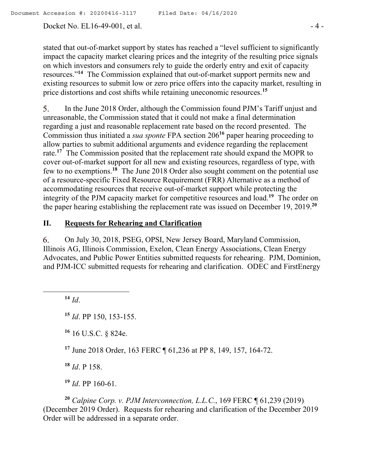Docket No. EL16-49-001, et al. - 4 -

stated that out-of-market support by states has reached a "level sufficient to significantly impact the capacity market clearing prices and the integrity of the resulting price signals on which investors and consumers rely to guide the orderly entry and exit of capacity resources."**<sup>14</sup>** The Commission explained that out-of-market support permits new and existing resources to submit low or zero price offers into the capacity market, resulting in price distortions and cost shifts while retaining uneconomic resources.**<sup>15</sup>**

5. In the June 2018 Order, although the Commission found PJM's Tariff unjust and unreasonable, the Commission stated that it could not make a final determination regarding a just and reasonable replacement rate based on the record presented. The Commission thus initiated a *sua sponte* FPA section 206**<sup>16</sup>** paper hearing proceeding to allow parties to submit additional arguments and evidence regarding the replacement rate.**<sup>17</sup>** The Commission posited that the replacement rate should expand the MOPR to cover out-of-market support for all new and existing resources, regardless of type, with few to no exemptions.**<sup>18</sup>** The June 2018 Order also sought comment on the potential use of a resource-specific Fixed Resource Requirement (FRR) Alternative as a method of accommodating resources that receive out-of-market support while protecting the integrity of the PJM capacity market for competitive resources and load.**<sup>19</sup>** The order on the paper hearing establishing the replacement rate was issued on December 19, 2019. **20**

# **II. Requests for Rehearing and Clarification**

On July 30, 2018, PSEG, OPSI, New Jersey Board, Maryland Commission, 6. Illinois AG, Illinois Commission, Exelon, Clean Energy Associations, Clean Energy Advocates, and Public Power Entities submitted requests for rehearing. PJM, Dominion, and PJM-ICC submitted requests for rehearing and clarification. ODEC and FirstEnergy

**<sup>14</sup>** *Id*.

 $\overline{a}$ 

**<sup>16</sup>** 16 U.S.C. § 824e.

**<sup>17</sup>** June 2018 Order, 163 FERC ¶ 61,236 at PP 8, 149, 157, 164-72.

**<sup>18</sup>** *Id*. P 158.

**<sup>19</sup>** *Id*. PP 160-61.

**<sup>20</sup>** *Calpine Corp. v. PJM Interconnection, L.L.C.*, 169 FERC ¶ 61,239 (2019) (December 2019 Order). Requests for rehearing and clarification of the December 2019 Order will be addressed in a separate order.

**<sup>15</sup>** *Id*. PP 150, 153-155.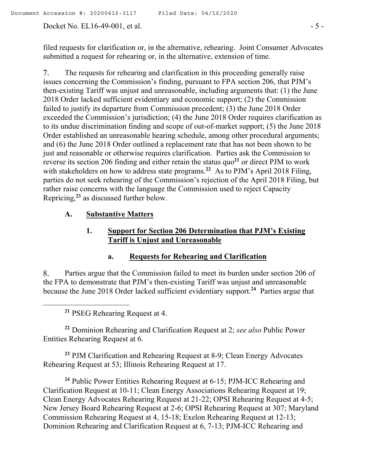Docket No. EL16-49-001, et al. - 5 -

filed requests for clarification or, in the alternative, rehearing. Joint Consumer Advocates submitted a request for rehearing or, in the alternative, extension of time.

7. The requests for rehearing and clarification in this proceeding generally raise issues concerning the Commission's finding, pursuant to FPA section 206, that PJM's then-existing Tariff was unjust and unreasonable, including arguments that: (1) the June 2018 Order lacked sufficient evidentiary and economic support; (2) the Commission failed to justify its departure from Commission precedent; (3) the June 2018 Order exceeded the Commission's jurisdiction; (4) the June 2018 Order requires clarification as to its undue discrimination finding and scope of out-of-market support; (5) the June 2018 Order established an unreasonable hearing schedule, among other procedural arguments; and (6) the June 2018 Order outlined a replacement rate that has not been shown to be just and reasonable or otherwise requires clarification. Parties ask the Commission to reverse its section 206 finding and either retain the status quo**<sup>21</sup>** or direct PJM to work with stakeholders on how to address state programs.<sup>22</sup> As to PJM's April 2018 Filing, parties do not seek rehearing of the Commission's rejection of the April 2018 Filing, but rather raise concerns with the language the Commission used to reject Capacity Repricing, **<sup>23</sup>** as discussed further below.

# **A. Substantive Matters**

# **1. Support for Section 206 Determination that PJM's Existing Tariff is Unjust and Unreasonable**

#### **a. Requests for Rehearing and Clarification**

8. Parties argue that the Commission failed to meet its burden under section 206 of the FPA to demonstrate that PJM's then-existing Tariff was unjust and unreasonable because the June 2018 Order lacked sufficient evidentiary support. **24** Parties argue that

**<sup>21</sup>** PSEG Rehearing Request at 4.

 $\overline{a}$ 

**<sup>22</sup>** Dominion Rehearing and Clarification Request at 2; *see also* Public Power Entities Rehearing Request at 6.

**<sup>23</sup>** PJM Clarification and Rehearing Request at 8-9; Clean Energy Advocates Rehearing Request at 53; Illinois Rehearing Request at 17.

**<sup>24</sup>** Public Power Entities Rehearing Request at 6-15; PJM-ICC Rehearing and Clarification Request at 10-11; Clean Energy Associations Rehearing Request at 19; Clean Energy Advocates Rehearing Request at 21-22; OPSI Rehearing Request at 4-5; New Jersey Board Rehearing Request at 2-6; OPSI Rehearing Request at 307; Maryland Commission Rehearing Request at 4, 15-18; Exelon Rehearing Request at 12-13; Dominion Rehearing and Clarification Request at 6, 7-13; PJM-ICC Rehearing and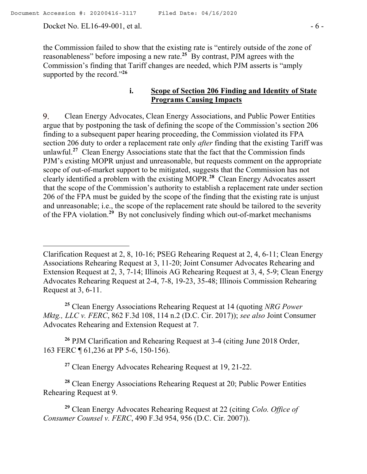Docket No. EL16-49-001, et al. - 6 -

 $\overline{a}$ 

the Commission failed to show that the existing rate is "entirely outside of the zone of reasonableness" before imposing a new rate.**<sup>25</sup>** By contrast, PJM agrees with the Commission's finding that Tariff changes are needed, which PJM asserts is "amply supported by the record."**<sup>26</sup>**

# **i. Scope of Section 206 Finding and Identity of State Programs Causing Impacts**

Clean Energy Advocates, Clean Energy Associations, and Public Power Entities 9. argue that by postponing the task of defining the scope of the Commission's section 206 finding to a subsequent paper hearing proceeding, the Commission violated its FPA section 206 duty to order a replacement rate only *after* finding that the existing Tariff was unlawful.**<sup>27</sup>** Clean Energy Associations state that the fact that the Commission finds PJM's existing MOPR unjust and unreasonable, but requests comment on the appropriate scope of out-of-market support to be mitigated, suggests that the Commission has not clearly identified a problem with the existing MOPR.**<sup>28</sup>** Clean Energy Advocates assert that the scope of the Commission's authority to establish a replacement rate under section 206 of the FPA must be guided by the scope of the finding that the existing rate is unjust and unreasonable; i.e., the scope of the replacement rate should be tailored to the severity of the FPA violation.<sup>29</sup> By not conclusively finding which out-of-market mechanisms

**<sup>25</sup>** Clean Energy Associations Rehearing Request at 14 (quoting *NRG Power Mktg., LLC v. FERC*, 862 F.3d 108, 114 n.2 (D.C. Cir. 2017)); *see also* Joint Consumer Advocates Rehearing and Extension Request at 7.

**<sup>26</sup>** PJM Clarification and Rehearing Request at 3-4 (citing June 2018 Order, 163 FERC ¶ 61,236 at PP 5-6, 150-156).

**<sup>27</sup>** Clean Energy Advocates Rehearing Request at 19, 21-22.

**<sup>28</sup>** Clean Energy Associations Rehearing Request at 20; Public Power Entities Rehearing Request at 9.

**<sup>29</sup>** Clean Energy Advocates Rehearing Request at 22 (citing *Colo. Office of Consumer Counsel v. FERC*, 490 F.3d 954, 956 (D.C. Cir. 2007)).

Clarification Request at 2, 8, 10-16; PSEG Rehearing Request at 2, 4, 6-11; Clean Energy Associations Rehearing Request at 3, 11-20; Joint Consumer Advocates Rehearing and Extension Request at 2, 3, 7-14; Illinois AG Rehearing Request at 3, 4, 5-9; Clean Energy Advocates Rehearing Request at 2-4, 7-8, 19-23, 35-48; Illinois Commission Rehearing Request at 3, 6-11.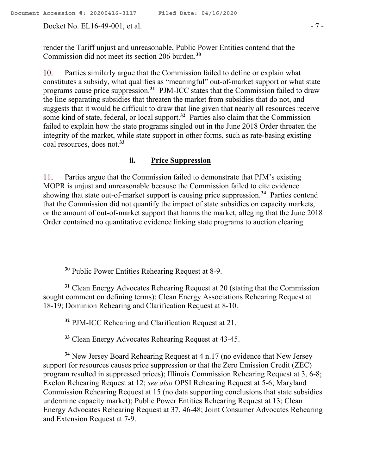Docket No. EL16-49-001, et al. - 7 -

 $\overline{a}$ 

render the Tariff unjust and unreasonable, Public Power Entities contend that the Commission did not meet its section 206 burden.**<sup>30</sup>**

 $10.$ Parties similarly argue that the Commission failed to define or explain what constitutes a subsidy, what qualifies as "meaningful" out-of-market support or what state programs cause price suppression.**<sup>31</sup>** PJM-ICC states that the Commission failed to draw the line separating subsidies that threaten the market from subsidies that do not, and suggests that it would be difficult to draw that line given that nearly all resources receive some kind of state, federal, or local support.**<sup>32</sup>** Parties also claim that the Commission failed to explain how the state programs singled out in the June 2018 Order threaten the integrity of the market, while state support in other forms, such as rate-basing existing coal resources, does not.**<sup>33</sup>**

## **ii. Price Suppression**

Parties argue that the Commission failed to demonstrate that PJM's existing 11. MOPR is unjust and unreasonable because the Commission failed to cite evidence showing that state out-of-market support is causing price suppression. **<sup>34</sup>** Parties contend that the Commission did not quantify the impact of state subsidies on capacity markets, or the amount of out-of-market support that harms the market, alleging that the June 2018 Order contained no quantitative evidence linking state programs to auction clearing

**<sup>30</sup>** Public Power Entities Rehearing Request at 8-9.

**<sup>31</sup>** Clean Energy Advocates Rehearing Request at 20 (stating that the Commission sought comment on defining terms); Clean Energy Associations Rehearing Request at 18-19; Dominion Rehearing and Clarification Request at 8-10.

**<sup>32</sup>** PJM-ICC Rehearing and Clarification Request at 21.

**<sup>33</sup>** Clean Energy Advocates Rehearing Request at 43-45.

**<sup>34</sup>** New Jersey Board Rehearing Request at 4 n.17 (no evidence that New Jersey support for resources causes price suppression or that the Zero Emission Credit (ZEC) program resulted in suppressed prices); Illinois Commission Rehearing Request at 3, 6-8; Exelon Rehearing Request at 12; *see also* OPSI Rehearing Request at 5-6; Maryland Commission Rehearing Request at 15 (no data supporting conclusions that state subsidies undermine capacity market); Public Power Entities Rehearing Request at 13; Clean Energy Advocates Rehearing Request at 37, 46-48; Joint Consumer Advocates Rehearing and Extension Request at 7-9.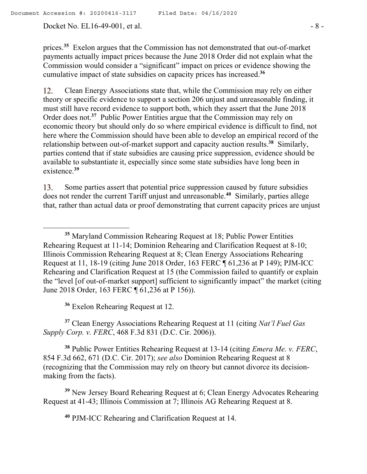Docket No. EL16-49-001, et al. - 8 -

 $\overline{a}$ 

prices.**<sup>35</sup>** Exelon argues that the Commission has not demonstrated that out-of-market payments actually impact prices because the June 2018 Order did not explain what the Commission would consider a "significant" impact on prices or evidence showing the cumulative impact of state subsidies on capacity prices has increased.**<sup>36</sup>**

Clean Energy Associations state that, while the Commission may rely on either 12. theory or specific evidence to support a section 206 unjust and unreasonable finding, it must still have record evidence to support both, which they assert that the June 2018 Order does not.<sup>37</sup> Public Power Entities argue that the Commission may rely on economic theory but should only do so where empirical evidence is difficult to find, not here where the Commission should have been able to develop an empirical record of the relationship between out-of-market support and capacity auction results.**<sup>38</sup>** Similarly, parties contend that if state subsidies are causing price suppression, evidence should be available to substantiate it, especially since some state subsidies have long been in existence.**<sup>39</sup>**

Some parties assert that potential price suppression caused by future subsidies 13. does not render the current Tariff unjust and unreasonable.**<sup>40</sup>** Similarly, parties allege that, rather than actual data or proof demonstrating that current capacity prices are unjust

**<sup>36</sup>** Exelon Rehearing Request at 12.

**<sup>37</sup>** Clean Energy Associations Rehearing Request at 11 (citing *Nat'l Fuel Gas Supply Corp. v. FERC*, 468 F.3d 831 (D.C. Cir. 2006)).

**<sup>38</sup>** Public Power Entities Rehearing Request at 13-14 (citing *Emera Me. v. FERC*, 854 F.3d 662, 671 (D.C. Cir. 2017); *see also* Dominion Rehearing Request at 8 (recognizing that the Commission may rely on theory but cannot divorce its decisionmaking from the facts).

**<sup>39</sup>** New Jersey Board Rehearing Request at 6; Clean Energy Advocates Rehearing Request at 41-43; Illinois Commission at 7; Illinois AG Rehearing Request at 8.

**<sup>40</sup>** PJM-ICC Rehearing and Clarification Request at 14.

**<sup>35</sup>** Maryland Commission Rehearing Request at 18; Public Power Entities Rehearing Request at 11-14; Dominion Rehearing and Clarification Request at 8-10; Illinois Commission Rehearing Request at 8; Clean Energy Associations Rehearing Request at 11, 18-19 (citing June 2018 Order, 163 FERC ¶ 61,236 at P 149); PJM-ICC Rehearing and Clarification Request at 15 (the Commission failed to quantify or explain the "level [of out-of-market support] sufficient to significantly impact" the market (citing June 2018 Order, 163 FERC ¶ 61,236 at P 156)).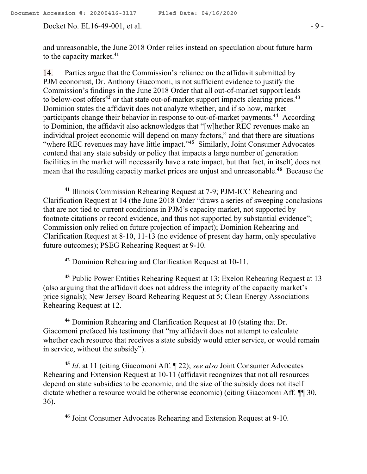Docket No. EL16-49-001, et al. - 9 -

and unreasonable, the June 2018 Order relies instead on speculation about future harm to the capacity market.**<sup>41</sup>**

14. Parties argue that the Commission's reliance on the affidavit submitted by PJM economist, Dr. Anthony Giacomoni, is not sufficient evidence to justify the Commission's findings in the June 2018 Order that all out-of-market support leads to below-cost offers**<sup>42</sup>** or that state out-of-market support impacts clearing prices.**<sup>43</sup>** Dominion states the affidavit does not analyze whether, and if so how, market participants change their behavior in response to out-of-market payments.**<sup>44</sup>** According to Dominion, the affidavit also acknowledges that "[w]hether REC revenues make an individual project economic will depend on many factors," and that there are situations "where REC revenues may have little impact."**<sup>45</sup>** Similarly, Joint Consumer Advocates contend that any state subsidy or policy that impacts a large number of generation facilities in the market will necessarily have a rate impact, but that fact, in itself, does not mean that the resulting capacity market prices are unjust and unreasonable.<sup>46</sup> Because the

**<sup>42</sup>** Dominion Rehearing and Clarification Request at 10-11.

**<sup>43</sup>** Public Power Entities Rehearing Request at 13; Exelon Rehearing Request at 13 (also arguing that the affidavit does not address the integrity of the capacity market's price signals); New Jersey Board Rehearing Request at 5; Clean Energy Associations Rehearing Request at 12.

**<sup>44</sup>** Dominion Rehearing and Clarification Request at 10 (stating that Dr. Giacomoni prefaced his testimony that "my affidavit does not attempt to calculate whether each resource that receives a state subsidy would enter service, or would remain in service, without the subsidy").

**<sup>45</sup>** *Id*. at 11 (citing Giacomoni Aff. ¶ 22); *see also* Joint Consumer Advocates Rehearing and Extension Request at 10-11 (affidavit recognizes that not all resources depend on state subsidies to be economic, and the size of the subsidy does not itself dictate whether a resource would be otherwise economic) (citing Giacomoni Aff. ¶¶ 30, 36).

**<sup>46</sup>** Joint Consumer Advocates Rehearing and Extension Request at 9-10.

**<sup>41</sup>** Illinois Commission Rehearing Request at 7-9; PJM-ICC Rehearing and Clarification Request at 14 (the June 2018 Order "draws a series of sweeping conclusions that are not tied to current conditions in PJM's capacity market, not supported by footnote citations or record evidence, and thus not supported by substantial evidence"; Commission only relied on future projection of impact); Dominion Rehearing and Clarification Request at 8-10, 11-13 (no evidence of present day harm, only speculative future outcomes); PSEG Rehearing Request at 9-10.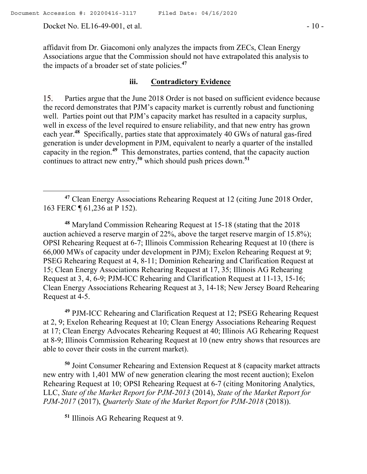affidavit from Dr. Giacomoni only analyzes the impacts from ZECs, Clean Energy Associations argue that the Commission should not have extrapolated this analysis to the impacts of a broader set of state policies.**<sup>47</sup>**

# **iii. Contradictory Evidence**

15. Parties argue that the June 2018 Order is not based on sufficient evidence because the record demonstrates that PJM's capacity market is currently robust and functioning well. Parties point out that PJM's capacity market has resulted in a capacity surplus, well in excess of the level required to ensure reliability, and that new entry has grown each year.<sup>48</sup> Specifically, parties state that approximately 40 GWs of natural gas-fired generation is under development in PJM, equivalent to nearly a quarter of the installed capacity in the region.**<sup>49</sup>** This demonstrates, parties contend, that the capacity auction continues to attract new entry,**<sup>50</sup>** which should push prices down.**<sup>51</sup>**

**<sup>48</sup>** Maryland Commission Rehearing Request at 15-18 (stating that the 2018 auction achieved a reserve margin of 22%, above the target reserve margin of 15.8%); OPSI Rehearing Request at 6-7; Illinois Commission Rehearing Request at 10 (there is 66,000 MWs of capacity under development in PJM); Exelon Rehearing Request at 9; PSEG Rehearing Request at 4, 8-11; Dominion Rehearing and Clarification Request at 15; Clean Energy Associations Rehearing Request at 17, 35; Illinois AG Rehearing Request at 3, 4, 6-9; PJM-ICC Rehearing and Clarification Request at 11-13, 15-16; Clean Energy Associations Rehearing Request at 3, 14-18; New Jersey Board Rehearing Request at 4-5.

**<sup>49</sup>** PJM-ICC Rehearing and Clarification Request at 12; PSEG Rehearing Request at 2, 9; Exelon Rehearing Request at 10; Clean Energy Associations Rehearing Request at 17; Clean Energy Advocates Rehearing Request at 40; Illinois AG Rehearing Request at 8-9; Illinois Commission Rehearing Request at 10 (new entry shows that resources are able to cover their costs in the current market).

**<sup>50</sup>** Joint Consumer Rehearing and Extension Request at 8 (capacity market attracts new entry with 1,401 MW of new generation clearing the most recent auction); Exelon Rehearing Request at 10; OPSI Rehearing Request at 6-7 (citing Monitoring Analytics, LLC, *State of the Market Report for PJM-2013* (2014), *State of the Market Report for PJM-2017* (2017), *Quarterly State of the Market Report for PJM-2018* (2018)).

**<sup>51</sup>** Illinois AG Rehearing Request at 9.

**<sup>47</sup>** Clean Energy Associations Rehearing Request at 12 (citing June 2018 Order, 163 FERC ¶ 61,236 at P 152).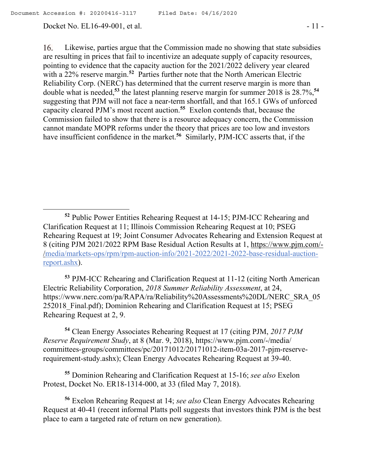Docket No. EL16-49-001, et al. - 11 -

 $\overline{a}$ 

 $16.$ Likewise, parties argue that the Commission made no showing that state subsidies are resulting in prices that fail to incentivize an adequate supply of capacity resources, pointing to evidence that the capacity auction for the 2021/2022 delivery year cleared with a 22% reserve margin.**<sup>52</sup>** Parties further note that the North American Electric Reliability Corp. (NERC) has determined that the current reserve margin is more than double what is needed,**<sup>53</sup>** the latest planning reserve margin for summer 2018 is 28.7%, **54** suggesting that PJM will not face a near-term shortfall, and that 165.1 GWs of unforced capacity cleared PJM's most recent auction.**<sup>55</sup>** Exelon contends that, because the Commission failed to show that there is a resource adequacy concern, the Commission cannot mandate MOPR reforms under the theory that prices are too low and investors have insufficient confidence in the market.<sup>56</sup> Similarly, PJM-ICC asserts that, if the

**<sup>53</sup>** PJM-ICC Rehearing and Clarification Request at 11-12 (citing North American Electric Reliability Corporation, *2018 Summer Reliability Assessment*, at 24, https://www.nerc.com/pa/RAPA/ra/Reliability%20Assessments%20DL/NERC\_SRA\_05 252018\_Final.pdf); Dominion Rehearing and Clarification Request at 15; PSEG Rehearing Request at 2, 9.

**<sup>54</sup>** Clean Energy Associates Rehearing Request at 17 (citing PJM, *2017 PJM Reserve Requirement Study*, at 8 (Mar. 9, 2018), https://www.pjm.com/-/media/ committees-groups/committees/pc/20171012/20171012-item-03a-2017-pjm-reserverequirement-study.ashx); Clean Energy Advocates Rehearing Request at 39-40.

**<sup>55</sup>** Dominion Rehearing and Clarification Request at 15-16; *see also* Exelon Protest, Docket No. ER18-1314-000, at 33 (filed May 7, 2018).

**<sup>56</sup>** Exelon Rehearing Request at 14; *see also* Clean Energy Advocates Rehearing Request at 40-41 (recent informal Platts poll suggests that investors think PJM is the best place to earn a targeted rate of return on new generation).

**<sup>52</sup>** Public Power Entities Rehearing Request at 14-15; PJM-ICC Rehearing and Clarification Request at 11; Illinois Commission Rehearing Request at 10; PSEG Rehearing Request at 19; Joint Consumer Advocates Rehearing and Extension Request at 8 (citing PJM 2021/2022 RPM Base Residual Action Results at 1, https://www.pjm.com/- /media/markets-ops/rpm/rpm-auction-info/2021-2022/2021-2022-base-residual-auctionreport.ashx).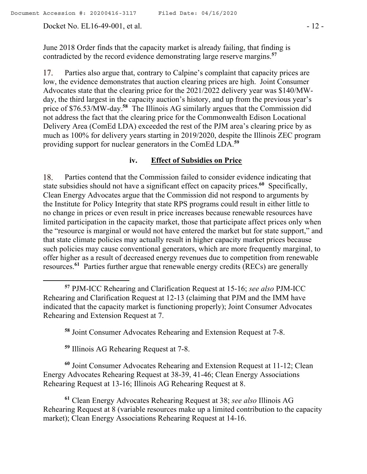Docket No. EL16-49-001, et al. - 12 -

June 2018 Order finds that the capacity market is already failing, that finding is contradicted by the record evidence demonstrating large reserve margins.**<sup>57</sup>**

17. Parties also argue that, contrary to Calpine's complaint that capacity prices are low, the evidence demonstrates that auction clearing prices are high. Joint Consumer Advocates state that the clearing price for the 2021/2022 delivery year was \$140/MWday, the third largest in the capacity auction's history, and up from the previous year's price of \$76.53/MW-day.**<sup>58</sup>** The Illinois AG similarly argues that the Commission did not address the fact that the clearing price for the Commonwealth Edison Locational Delivery Area (ComEd LDA) exceeded the rest of the PJM area's clearing price by as much as 100% for delivery years starting in 2019/2020, despite the Illinois ZEC program providing support for nuclear generators in the ComEd LDA.**<sup>59</sup>**

#### **iv. Effect of Subsidies on Price**

Parties contend that the Commission failed to consider evidence indicating that 18. state subsidies should not have a significant effect on capacity prices.**<sup>60</sup>** Specifically, Clean Energy Advocates argue that the Commission did not respond to arguments by the Institute for Policy Integrity that state RPS programs could result in either little to no change in prices or even result in price increases because renewable resources have limited participation in the capacity market, those that participate affect prices only when the "resource is marginal or would not have entered the market but for state support," and that state climate policies may actually result in higher capacity market prices because such policies may cause conventional generators, which are more frequently marginal, to offer higher as a result of decreased energy revenues due to competition from renewable resources.**<sup>61</sup>** Parties further argue that renewable energy credits (RECs) are generally

**<sup>59</sup>** Illinois AG Rehearing Request at 7-8.

 $\overline{a}$ 

**<sup>60</sup>** Joint Consumer Advocates Rehearing and Extension Request at 11-12; Clean Energy Advocates Rehearing Request at 38-39, 41-46; Clean Energy Associations Rehearing Request at 13-16; Illinois AG Rehearing Request at 8.

**<sup>61</sup>** Clean Energy Advocates Rehearing Request at 38; *see also* Illinois AG Rehearing Request at 8 (variable resources make up a limited contribution to the capacity market); Clean Energy Associations Rehearing Request at 14-16.

**<sup>57</sup>** PJM-ICC Rehearing and Clarification Request at 15-16; *see also* PJM-ICC Rehearing and Clarification Request at 12-13 (claiming that PJM and the IMM have indicated that the capacity market is functioning properly); Joint Consumer Advocates Rehearing and Extension Request at 7.

**<sup>58</sup>** Joint Consumer Advocates Rehearing and Extension Request at 7-8.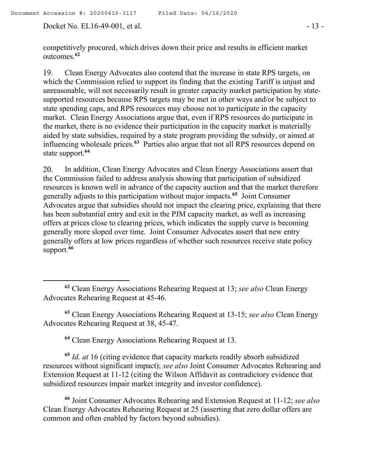Docket No. EL16-49-001, et al. - 13 -

 $\overline{a}$ 

competitively procured, which drives down their price and results in efficient market outcomes.**<sup>62</sup>**

19. Clean Energy Advocates also contend that the increase in state RPS targets, on which the Commission relied to support its finding that the existing Tariff is unjust and unreasonable, will not necessarily result in greater capacity market participation by statesupported resources because RPS targets may be met in other ways and/or be subject to state spending caps, and RPS resources may choose not to participate in the capacity market. Clean Energy Associations argue that, even if RPS resources do participate in the market, there is no evidence their participation in the capacity market is materially aided by state subsidies, required by a state program providing the subsidy, or aimed at influencing wholesale prices.**<sup>63</sup>** Parties also argue that not all RPS resources depend on state support.**<sup>64</sup>**

20. In addition, Clean Energy Advocates and Clean Energy Associations assert that the Commission failed to address analysis showing that participation of subsidized resources is known well in advance of the capacity auction and that the market therefore generally adjusts to this participation without major impacts.**<sup>65</sup>** Joint Consumer Advocates argue that subsidies should not impact the clearing price, explaining that there has been substantial entry and exit in the PJM capacity market, as well as increasing offers at prices close to clearing prices, which indicates the supply curve is becoming generally more sloped over time. Joint Consumer Advocates assert that new entry generally offers at low prices regardless of whether such resources receive state policy support.**<sup>66</sup>**

**<sup>63</sup>** Clean Energy Associations Rehearing Request at 13-15; *see also* Clean Energy Advocates Rehearing Request at 38, 45-47.

**<sup>64</sup>** Clean Energy Associations Rehearing Request at 13.

**<sup>65</sup>** *Id. at* 16 (citing evidence that capacity markets readily absorb subsidized resources without significant impact); *see also* Joint Consumer Advocates Rehearing and Extension Request at 11-12 (citing the Wilson Affidavit as contradictory evidence that subsidized resources impair market integrity and investor confidence).

**<sup>66</sup>** Joint Consumer Advocates Rehearing and Extension Request at 11-12; *see also* Clean Energy Advocates Rehearing Request at 25 (asserting that zero dollar offers are common and often enabled by factors beyond subsidies).

**<sup>62</sup>** Clean Energy Associations Rehearing Request at 13; *see also* Clean Energy Advocates Rehearing Request at 45-46.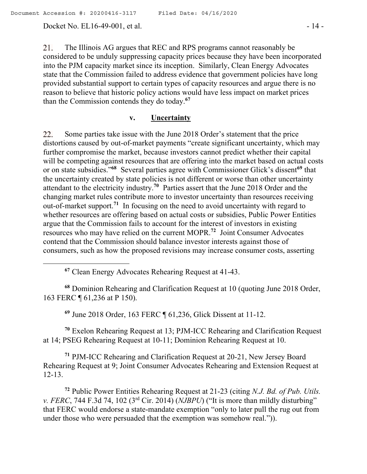Docket No. EL16-49-001, et al. - 14 -

21. The Illinois AG argues that REC and RPS programs cannot reasonably be considered to be unduly suppressing capacity prices because they have been incorporated into the PJM capacity market since its inception. Similarly, Clean Energy Advocates state that the Commission failed to address evidence that government policies have long provided substantial support to certain types of capacity resources and argue there is no reason to believe that historic policy actions would have less impact on market prices than the Commission contends they do today.**<sup>67</sup>**

## **v. Uncertainty**

Some parties take issue with the June 2018 Order's statement that the price 22. distortions caused by out-of-market payments "create significant uncertainty, which may further compromise the market, because investors cannot predict whether their capital will be competing against resources that are offering into the market based on actual costs or on state subsidies."**<sup>68</sup>** Several parties agree with Commissioner Glick's dissent**<sup>69</sup>** that the uncertainty created by state policies is not different or worse than other uncertainty attendant to the electricity industry.**<sup>70</sup>** Parties assert that the June 2018 Order and the changing market rules contribute more to investor uncertainty than resources receiving out-of-market support.**<sup>71</sup>** In focusing on the need to avoid uncertainty with regard to whether resources are offering based on actual costs or subsidies, Public Power Entities argue that the Commission fails to account for the interest of investors in existing resources who may have relied on the current MOPR.**<sup>72</sup>** Joint Consumer Advocates contend that the Commission should balance investor interests against those of consumers, such as how the proposed revisions may increase consumer costs, asserting

**<sup>68</sup>** Dominion Rehearing and Clarification Request at 10 (quoting June 2018 Order, 163 FERC ¶ 61,236 at P 150).

**<sup>69</sup>** June 2018 Order, 163 FERC ¶ 61,236, Glick Dissent at 11-12.

**<sup>70</sup>** Exelon Rehearing Request at 13; PJM-ICC Rehearing and Clarification Request at 14; PSEG Rehearing Request at 10-11; Dominion Rehearing Request at 10.

**<sup>71</sup>** PJM-ICC Rehearing and Clarification Request at 20-21, New Jersey Board Rehearing Request at 9; Joint Consumer Advocates Rehearing and Extension Request at 12-13.

**<sup>72</sup>** Public Power Entities Rehearing Request at 21-23 (citing *N.J. Bd. of Pub. Utils. v. FERC*, 744 F.3d 74, 102 ( $3<sup>rd</sup>$  Cir. 2014) (*NJBPU*) ("It is more than mildly disturbing" that FERC would endorse a state-mandate exemption "only to later pull the rug out from under those who were persuaded that the exemption was somehow real.")).

**<sup>67</sup>** Clean Energy Advocates Rehearing Request at 41-43.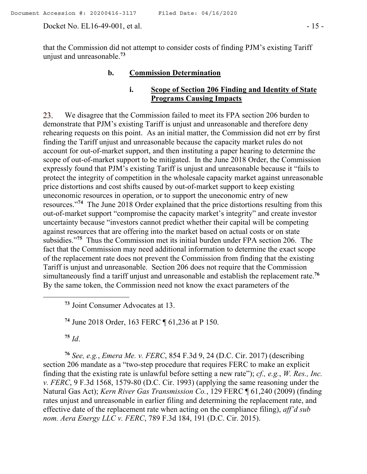Docket No. EL16-49-001, et al. - 15 -

that the Commission did not attempt to consider costs of finding PJM's existing Tariff unjust and unreasonable.**<sup>73</sup>**

#### **b. Commission Determination**

# **i. Scope of Section 206 Finding and Identity of State Programs Causing Impacts**

23. We disagree that the Commission failed to meet its FPA section 206 burden to demonstrate that PJM's existing Tariff is unjust and unreasonable and therefore deny rehearing requests on this point. As an initial matter, the Commission did not err by first finding the Tariff unjust and unreasonable because the capacity market rules do not account for out-of-market support, and then instituting a paper hearing to determine the scope of out-of-market support to be mitigated. In the June 2018 Order, the Commission expressly found that PJM's existing Tariff is unjust and unreasonable because it "fails to protect the integrity of competition in the wholesale capacity market against unreasonable price distortions and cost shifts caused by out-of-market support to keep existing uneconomic resources in operation, or to support the uneconomic entry of new resources."**<sup>74</sup>** The June 2018 Order explained that the price distortions resulting from this out-of-market support "compromise the capacity market's integrity" and create investor uncertainty because "investors cannot predict whether their capital will be competing against resources that are offering into the market based on actual costs or on state subsidies."**<sup>75</sup>** Thus the Commission met its initial burden under FPA section 206. The fact that the Commission may need additional information to determine the exact scope of the replacement rate does not prevent the Commission from finding that the existing Tariff is unjust and unreasonable. Section 206 does not require that the Commission simultaneously find a tariff unjust and unreasonable and establish the replacement rate. **76** By the same token, the Commission need not know the exact parameters of the

**<sup>73</sup>** Joint Consumer Advocates at 13.

**<sup>74</sup>** June 2018 Order, 163 FERC ¶ 61,236 at P 150.

**<sup>75</sup>** *Id*.

**<sup>76</sup>** *See, e.g.*, *Emera Me. v. FERC*, 854 F.3d 9, 24 (D.C. Cir. 2017) (describing section 206 mandate as a "two-step procedure that requires FERC to make an explicit finding that the existing rate is unlawful before setting a new rate"); *cf., e.g.*, *W. Res., Inc. v. FERC*, 9 F.3d 1568, 1579-80 (D.C. Cir. 1993) (applying the same reasoning under the Natural Gas Act); *Kern River Gas Transmission Co.*, 129 FERC ¶ 61,240 (2009) (finding rates unjust and unreasonable in earlier filing and determining the replacement rate, and effective date of the replacement rate when acting on the compliance filing), *aff'd sub nom. Aera Energy LLC v. FERC*, 789 F.3d 184, 191 (D.C. Cir. 2015).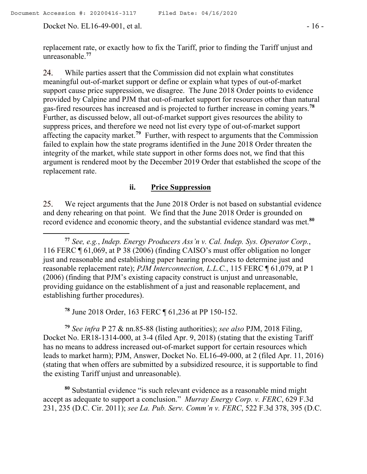Docket No. EL16-49-001, et al. - 16 -

replacement rate, or exactly how to fix the Tariff, prior to finding the Tariff unjust and unreasonable. **77**

While parties assert that the Commission did not explain what constitutes 24. meaningful out-of-market support or define or explain what types of out-of-market support cause price suppression, we disagree. The June 2018 Order points to evidence provided by Calpine and PJM that out-of-market support for resources other than natural gas-fired resources has increased and is projected to further increase in coming years. **78** Further, as discussed below, all out-of-market support gives resources the ability to suppress prices, and therefore we need not list every type of out-of-market support affecting the capacity market.**<sup>79</sup>** Further, with respect to arguments that the Commission failed to explain how the state programs identified in the June 2018 Order threaten the integrity of the market, while state support in other forms does not, we find that this argument is rendered moot by the December 2019 Order that established the scope of the replacement rate.

## **ii. Price Suppression**

We reject arguments that the June 2018 Order is not based on substantial evidence 25. and deny rehearing on that point. We find that the June 2018 Order is grounded on record evidence and economic theory, and the substantial evidence standard was met.**<sup>80</sup>**

**<sup>77</sup>** *See, e.g.*, *Indep. Energy Producers Ass'n v. Cal. Indep. Sys. Operator Corp.*, 116 FERC ¶ 61,069, at P 38 (2006) (finding CAISO's must offer obligation no longer just and reasonable and establishing paper hearing procedures to determine just and reasonable replacement rate); *PJM Interconnection, L.L.C.*, 115 FERC ¶ 61,079, at P 1 (2006) (finding that PJM's existing capacity construct is unjust and unreasonable, providing guidance on the establishment of a just and reasonable replacement, and establishing further procedures).

**<sup>78</sup>** June 2018 Order, 163 FERC ¶ 61,236 at PP 150-152.

**<sup>79</sup>** *See infra* P 27 & nn.85-88 (listing authorities); *see also* PJM, 2018 Filing, Docket No. ER18-1314-000, at 3-4 (filed Apr. 9, 2018) (stating that the existing Tariff has no means to address increased out-of-market support for certain resources which leads to market harm); PJM, Answer, Docket No. EL16-49-000, at 2 (filed Apr. 11, 2016) (stating that when offers are submitted by a subsidized resource, it is supportable to find the existing Tariff unjust and unreasonable).

**<sup>80</sup>** Substantial evidence "is such relevant evidence as a reasonable mind might accept as adequate to support a conclusion." *Murray Energy Corp. v. FERC*, 629 F.3d 231, 235 (D.C. Cir. 2011); *see La. Pub. Serv. Comm'n v. FERC*, 522 F.3d 378, 395 (D.C.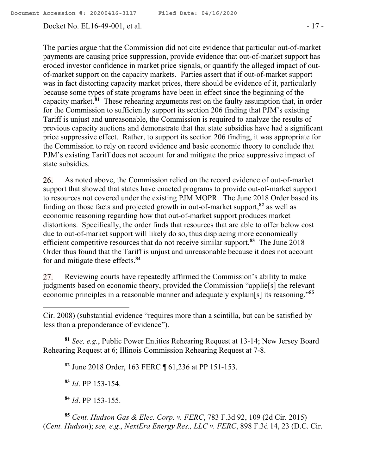## Docket No. EL16-49-001, et al. - 17 -

The parties argue that the Commission did not cite evidence that particular out-of-market payments are causing price suppression, provide evidence that out-of-market support has eroded investor confidence in market price signals, or quantify the alleged impact of outof-market support on the capacity markets. Parties assert that if out-of-market support was in fact distorting capacity market prices, there should be evidence of it, particularly because some types of state programs have been in effect since the beginning of the capacity market.**<sup>81</sup>** These rehearing arguments rest on the faulty assumption that, in order for the Commission to sufficiently support its section 206 finding that PJM's existing Tariff is unjust and unreasonable, the Commission is required to analyze the results of previous capacity auctions and demonstrate that that state subsidies have had a significant price suppressive effect. Rather, to support its section 206 finding, it was appropriate for the Commission to rely on record evidence and basic economic theory to conclude that PJM's existing Tariff does not account for and mitigate the price suppressive impact of state subsidies.

26. As noted above, the Commission relied on the record evidence of out-of-market support that showed that states have enacted programs to provide out-of-market support to resources not covered under the existing PJM MOPR. The June 2018 Order based its finding on those facts and projected growth in out-of-market support,**<sup>82</sup>** as well as economic reasoning regarding how that out-of-market support produces market distortions. Specifically, the order finds that resources that are able to offer below cost due to out-of-market support will likely do so, thus displacing more economically efficient competitive resources that do not receive similar support.**<sup>83</sup>** The June 2018 Order thus found that the Tariff is unjust and unreasonable because it does not account for and mitigate these effects.**<sup>84</sup>**

Reviewing courts have repeatedly affirmed the Commission's ability to make 27. judgments based on economic theory, provided the Commission "applie[s] the relevant economic principles in a reasonable manner and adequately explain[s] its reasoning." **85**

**<sup>81</sup>** *See, e.g.*, Public Power Entities Rehearing Request at 13-14; New Jersey Board Rehearing Request at 6; Illinois Commission Rehearing Request at 7-8.

**<sup>82</sup>** June 2018 Order, 163 FERC ¶ 61,236 at PP 151-153.

**<sup>83</sup>** *Id*. PP 153-154.

**<sup>84</sup>** *Id*. PP 153-155.

**<sup>85</sup>** *Cent. Hudson Gas & Elec. Corp. v. FERC*, 783 F.3d 92, 109 (2d Cir. 2015) (*Cent. Hudson*); *see, e.g.*, *NextEra Energy Res., LLC v. FERC*, 898 F.3d 14, 23 (D.C. Cir.

Cir. 2008) (substantial evidence "requires more than a scintilla, but can be satisfied by less than a preponderance of evidence").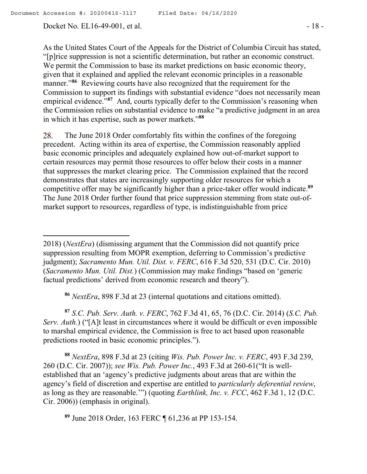Docket No. EL16-49-001, et al. - 18 -

As the United States Court of the Appeals for the District of Columbia Circuit has stated, "[p]rice suppression is not a scientific determination, but rather an economic construct. We permit the Commission to base its market predictions on basic economic theory, given that it explained and applied the relevant economic principles in a reasonable manner."<sup>86</sup> Reviewing courts have also recognized that the requirement for the Commission to support its findings with substantial evidence "does not necessarily mean empirical evidence."<sup>87</sup> And, courts typically defer to the Commission's reasoning when the Commission relies on substantial evidence to make "a predictive judgment in an area in which it has expertise, such as power markets."**<sup>88</sup>**

The June 2018 Order comfortably fits within the confines of the foregoing 28. precedent. Acting within its area of expertise, the Commission reasonably applied basic economic principles and adequately explained how out-of-market support to certain resources may permit those resources to offer below their costs in a manner that suppresses the market clearing price. The Commission explained that the record demonstrates that states are increasingly supporting older resources for which a competitive offer may be significantly higher than a price-taker offer would indicate. **89** The June 2018 Order further found that price suppression stemming from state out-ofmarket support to resources, regardless of type, is indistinguishable from price

**<sup>86</sup>** *NextEra*, 898 F.3d at 23 (internal quotations and citations omitted).

**<sup>87</sup>** *S.C. Pub. Serv. Auth. v. FERC*, 762 F.3d 41, 65, 76 (D.C. Cir. 2014) (*S.C. Pub. Serv. Auth.*) ("[A]t least in circumstances where it would be difficult or even impossible to marshal empirical evidence, the Commission is free to act based upon reasonable predictions rooted in basic economic principles.").

**<sup>88</sup>** *NextEra*, 898 F.3d at 23 (citing *Wis. Pub. Power Inc. v. FERC*, 493 F.3d 239, 260 (D.C. Cir. 2007)); *see Wis. Pub. Power Inc.*, 493 F.3d at 260-61("It is wellestablished that an 'agency's predictive judgments about areas that are within the agency's field of discretion and expertise are entitled to *particularly deferential review*, as long as they are reasonable.'") (quoting *Earthlink, Inc. v. FCC*, 462 F.3d 1, 12 (D.C. Cir. 2006)) (emphasis in original).

**<sup>89</sup>** June 2018 Order, 163 FERC ¶ 61,236 at PP 153-154.

<sup>2018) (</sup>*NextEra*) (dismissing argument that the Commission did not quantify price suppression resulting from MOPR exemption, deferring to Commission's predictive judgment); *Sacramento Mun. Util. Dist. v. FERC*, 616 F.3d 520, 531 (D.C. Cir. 2010) (*Sacramento Mun. Util. Dist.*) (Commission may make findings "based on 'generic factual predictions' derived from economic research and theory").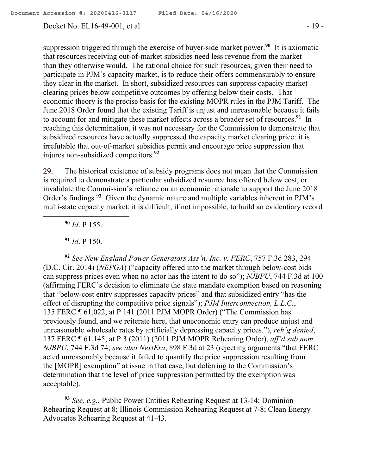#### Docket No. EL16-49-001, et al. - 19 -

suppression triggered through the exercise of buyer-side market power.**<sup>90</sup>** It is axiomatic that resources receiving out-of-market subsidies need less revenue from the market than they otherwise would. The rational choice for such resources, given their need to participate in PJM's capacity market, is to reduce their offers commensurably to ensure they clear in the market. In short, subsidized resources can suppress capacity market clearing prices below competitive outcomes by offering below their costs. That economic theory is the precise basis for the existing MOPR rules in the PJM Tariff. The June 2018 Order found that the existing Tariff is unjust and unreasonable because it fails to account for and mitigate these market effects across a broader set of resources. **91** In reaching this determination, it was not necessary for the Commission to demonstrate that subsidized resources have actually suppressed the capacity market clearing price: it is irrefutable that out-of-market subsidies permit and encourage price suppression that injures non-subsidized competitors. **92**

The historical existence of subsidy programs does not mean that the Commission 29. is required to demonstrate a particular subsidized resource has offered below cost, or invalidate the Commission's reliance on an economic rationale to support the June 2018 Order's findings.<sup>93</sup> Given the dynamic nature and multiple variables inherent in PJM's multi-state capacity market, it is difficult, if not impossible, to build an evidentiary record

**<sup>90</sup>** *Id*. P 155.

**<sup>91</sup>** *Id*. P 150.

**<sup>92</sup>** *See New England Power Generators Ass'n, Inc. v. FERC*, 757 F.3d 283, 294 (D.C. Cir. 2014) (*NEPGA*) ("capacity offered into the market through below-cost bids can suppress prices even when no actor has the intent to do so"); *NJBPU*, 744 F.3d at 100 (affirming FERC's decision to eliminate the state mandate exemption based on reasoning that "below-cost entry suppresses capacity prices" and that subsidized entry "has the effect of disrupting the competitive price signals"); *PJM Interconnection, L.L.C.*, 135 FERC ¶ 61,022, at P 141 (2011 PJM MOPR Order) ("The Commission has previously found, and we reiterate here, that uneconomic entry can produce unjust and unreasonable wholesale rates by artificially depressing capacity prices."), *reh'g denied*, 137 FERC ¶ 61,145, at P 3 (2011) (2011 PJM MOPR Rehearing Order), *aff'd sub nom. NJBPU*, 744 F.3d 74; *see also NextEra*, 898 F.3d at 23 (rejecting arguments "that FERC acted unreasonably because it failed to quantify the price suppression resulting from the [MOPR] exemption" at issue in that case, but deferring to the Commission's determination that the level of price suppression permitted by the exemption was acceptable).

**<sup>93</sup>** *See, e.g.*, Public Power Entities Rehearing Request at 13-14; Dominion Rehearing Request at 8; Illinois Commission Rehearing Request at 7-8; Clean Energy Advocates Rehearing Request at 41-43.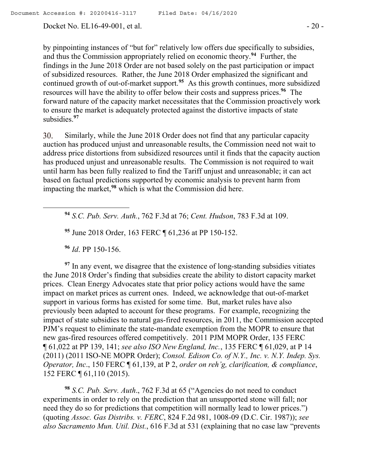Docket No. EL16-49-001, et al. - 20 -

by pinpointing instances of "but for" relatively low offers due specifically to subsidies, and thus the Commission appropriately relied on economic theory. **94** Further, the findings in the June 2018 Order are not based solely on the past participation or impact of subsidized resources. Rather, the June 2018 Order emphasized the significant and continued growth of out-of-market support.<sup>95</sup> As this growth continues, more subsidized resources will have the ability to offer below their costs and suppress prices. **96** The forward nature of the capacity market necessitates that the Commission proactively work to ensure the market is adequately protected against the distortive impacts of state subsidies. **97**

Similarly, while the June 2018 Order does not find that any particular capacity 30. auction has produced unjust and unreasonable results, the Commission need not wait to address price distortions from subsidized resources until it finds that the capacity auction has produced unjust and unreasonable results. The Commission is not required to wait until harm has been fully realized to find the Tariff unjust and unreasonable; it can act based on factual predictions supported by economic analysis to prevent harm from impacting the market, **<sup>98</sup>** which is what the Commission did here.

**<sup>94</sup>** *S.C. Pub. Serv. Auth.*, 762 F.3d at 76; *Cent. Hudson*, 783 F.3d at 109.

**<sup>95</sup>** June 2018 Order, 163 FERC ¶ 61,236 at PP 150-152.

**<sup>96</sup>** *Id*. PP 150-156.

 $\overline{a}$ 

<sup>97</sup> In any event, we disagree that the existence of long-standing subsidies vitiates the June 2018 Order's finding that subsidies create the ability to distort capacity market prices. Clean Energy Advocates state that prior policy actions would have the same impact on market prices as current ones. Indeed, we acknowledge that out-of-market support in various forms has existed for some time. But, market rules have also previously been adapted to account for these programs. For example, recognizing the impact of state subsidies to natural gas-fired resources, in 2011, the Commission accepted PJM's request to eliminate the state-mandate exemption from the MOPR to ensure that new gas-fired resources offered competitively. 2011 PJM MOPR Order, 135 FERC ¶ 61,022 at PP 139, 141; *see also ISO New England, Inc.*, 135 FERC ¶ 61,029, at P 14 (2011) (2011 ISO-NE MOPR Order); *Consol. Edison Co. of N.Y., Inc. v. N.Y. Indep. Sys. Operator, Inc*., 150 FERC ¶ 61,139, at P 2, *order on reh'g, clarification, & compliance*, 152 FERC ¶ 61,110 (2015).

**<sup>98</sup>** *S.C. Pub. Serv. Auth*., 762 F.3d at 65 ("Agencies do not need to conduct experiments in order to rely on the prediction that an unsupported stone will fall; nor need they do so for predictions that competition will normally lead to lower prices.") (quoting *Assoc. Gas Distribs. v. FERC*, 824 F.2d 981, 1008-09 (D.C. Cir. 1987)); *see also Sacramento Mun. Util. Dist.*, 616 F.3d at 531 (explaining that no case law "prevents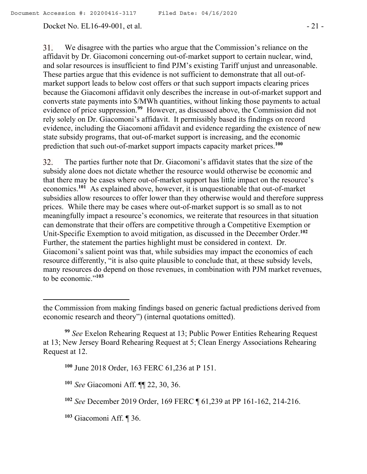## Docket No. EL16-49-001, et al. - 21 -

 $31.$ We disagree with the parties who argue that the Commission's reliance on the affidavit by Dr. Giacomoni concerning out-of-market support to certain nuclear, wind, and solar resources is insufficient to find PJM's existing Tariff unjust and unreasonable. These parties argue that this evidence is not sufficient to demonstrate that all out-ofmarket support leads to below cost offers or that such support impacts clearing prices because the Giacomoni affidavit only describes the increase in out-of-market support and converts state payments into \$/MWh quantities, without linking those payments to actual evidence of price suppression.**<sup>99</sup>** However, as discussed above, the Commission did not rely solely on Dr. Giacomoni's affidavit. It permissibly based its findings on record evidence, including the Giacomoni affidavit and evidence regarding the existence of new state subsidy programs, that out-of-market support is increasing, and the economic prediction that such out-of-market support impacts capacity market prices.**<sup>100</sup>**

The parties further note that Dr. Giacomoni's affidavit states that the size of the 32. subsidy alone does not dictate whether the resource would otherwise be economic and that there may be cases where out-of-market support has little impact on the resource's economics.**<sup>101</sup>** As explained above, however, it is unquestionable that out-of-market subsidies allow resources to offer lower than they otherwise would and therefore suppress prices. While there may be cases where out-of-market support is so small as to not meaningfully impact a resource's economics, we reiterate that resources in that situation can demonstrate that their offers are competitive through a Competitive Exemption or Unit-Specific Exemption to avoid mitigation, as discussed in the December Order. **102** Further, the statement the parties highlight must be considered in context. Dr. Giacomoni's salient point was that, while subsidies may impact the economics of each resource differently, "it is also quite plausible to conclude that, at these subsidy levels, many resources do depend on those revenues, in combination with PJM market revenues, to be economic."**<sup>103</sup>**

**<sup>103</sup>** Giacomoni Aff. ¶ 36.

 $\overline{a}$ 

the Commission from making findings based on generic factual predictions derived from economic research and theory") (internal quotations omitted).

**<sup>99</sup>** *See* Exelon Rehearing Request at 13; Public Power Entities Rehearing Request at 13; New Jersey Board Rehearing Request at 5; Clean Energy Associations Rehearing Request at 12.

**<sup>100</sup>** June 2018 Order, 163 FERC 61,236 at P 151.

**<sup>101</sup>** *See* Giacomoni Aff. ¶¶ 22, 30, 36.

**<sup>102</sup>** *See* December 2019 Order, 169 FERC ¶ 61,239 at PP 161-162, 214-216.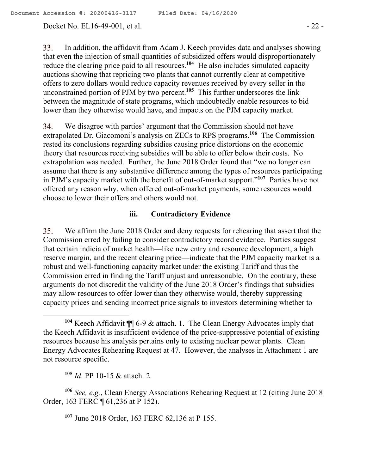Docket No. EL16-49-001, et al. - 22 -

33. In addition, the affidavit from Adam J. Keech provides data and analyses showing that even the injection of small quantities of subsidized offers would disproportionately reduce the clearing price paid to all resources. **<sup>104</sup>** He also includes simulated capacity auctions showing that repricing two plants that cannot currently clear at competitive offers to zero dollars would reduce capacity revenues received by every seller in the unconstrained portion of PJM by two percent.**<sup>105</sup>** This further underscores the link between the magnitude of state programs, which undoubtedly enable resources to bid lower than they otherwise would have, and impacts on the PJM capacity market.

We disagree with parties' argument that the Commission should not have 34. extrapolated Dr. Giacomoni's analysis on ZECs to RPS programs.**<sup>106</sup>** The Commission rested its conclusions regarding subsidies causing price distortions on the economic theory that resources receiving subsidies will be able to offer below their costs. No extrapolation was needed. Further, the June 2018 Order found that "we no longer can assume that there is any substantive difference among the types of resources participating in PJM's capacity market with the benefit of out-of-market support."**<sup>107</sup>** Parties have not offered any reason why, when offered out-of-market payments, some resources would choose to lower their offers and others would not.

## **iii. Contradictory Evidence**

We affirm the June 2018 Order and deny requests for rehearing that assert that the 35. Commission erred by failing to consider contradictory record evidence. Parties suggest that certain indicia of market health—like new entry and resource development, a high reserve margin, and the recent clearing price—indicate that the PJM capacity market is a robust and well-functioning capacity market under the existing Tariff and thus the Commission erred in finding the Tariff unjust and unreasonable. On the contrary, these arguments do not discredit the validity of the June 2018 Order's findings that subsidies may allow resources to offer lower than they otherwise would, thereby suppressing capacity prices and sending incorrect price signals to investors determining whether to

**<sup>105</sup>** *Id*. PP 10-15 & attach. 2.

**<sup>106</sup>** *See, e.g.*, Clean Energy Associations Rehearing Request at 12 (citing June 2018 Order, 163 FERC ¶ 61,236 at P 152).

**<sup>107</sup>** June 2018 Order, 163 FERC 62,136 at P 155.

**<sup>104</sup>** Keech Affidavit ¶¶ 6-9 & attach. 1. The Clean Energy Advocates imply that the Keech Affidavit is insufficient evidence of the price-suppressive potential of existing resources because his analysis pertains only to existing nuclear power plants. Clean Energy Advocates Rehearing Request at 47. However, the analyses in Attachment 1 are not resource specific.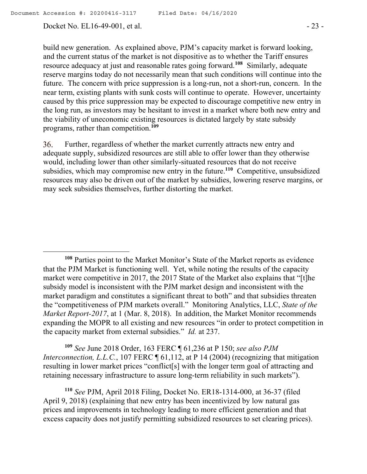Docket No. EL16-49-001, et al. - 23 -

build new generation. As explained above, PJM's capacity market is forward looking, and the current status of the market is not dispositive as to whether the Tariff ensures resource adequacy at just and reasonable rates going forward. **108** Similarly, adequate reserve margins today do not necessarily mean that such conditions will continue into the future. The concern with price suppression is a long-run, not a short-run, concern. In the near term, existing plants with sunk costs will continue to operate. However, uncertainty caused by this price suppression may be expected to discourage competitive new entry in the long run, as investors may be hesitant to invest in a market where both new entry and the viability of uneconomic existing resources is dictated largely by state subsidy programs, rather than competition.**<sup>109</sup>**

36. Further, regardless of whether the market currently attracts new entry and adequate supply, subsidized resources are still able to offer lower than they otherwise would, including lower than other similarly-situated resources that do not receive subsidies, which may compromise new entry in the future.**<sup>110</sup>** Competitive, unsubsidized resources may also be driven out of the market by subsidies, lowering reserve margins, or may seek subsidies themselves, further distorting the market.

**<sup>109</sup>** *See* June 2018 Order, 163 FERC ¶ 61,236 at P 150; *see also PJM Interconnection, L.L.C.*, 107 FERC  $\P$  61,112, at P 14 (2004) (recognizing that mitigation resulting in lower market prices "conflict[s] with the longer term goal of attracting and retaining necessary infrastructure to assure long-term reliability in such markets").

**<sup>110</sup>** *See* PJM, April 2018 Filing, Docket No. ER18-1314-000, at 36-37 (filed April 9, 2018) (explaining that new entry has been incentivized by low natural gas prices and improvements in technology leading to more efficient generation and that excess capacity does not justify permitting subsidized resources to set clearing prices).

**<sup>108</sup>** Parties point to the Market Monitor's State of the Market reports as evidence that the PJM Market is functioning well. Yet, while noting the results of the capacity market were competitive in 2017, the 2017 State of the Market also explains that "[t]he subsidy model is inconsistent with the PJM market design and inconsistent with the market paradigm and constitutes a significant threat to both" and that subsidies threaten the "competitiveness of PJM markets overall." Monitoring Analytics, LLC, *State of the Market Report-2017*, at 1 (Mar. 8, 2018). In addition, the Market Monitor recommends expanding the MOPR to all existing and new resources "in order to protect competition in the capacity market from external subsidies." *Id.* at 237.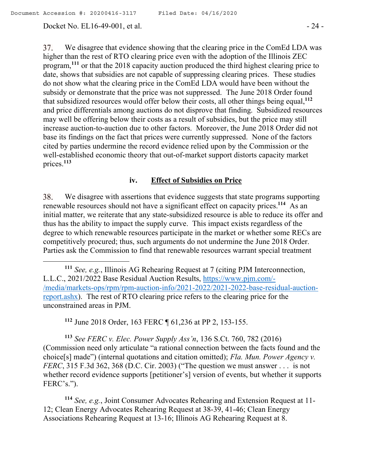#### Docket No. EL16-49-001, et al. - 24 -

37. We disagree that evidence showing that the clearing price in the ComEd LDA was higher than the rest of RTO clearing price even with the adoption of the Illinois ZEC program, **<sup>111</sup>** or that the 2018 capacity auction produced the third highest clearing price to date, shows that subsidies are not capable of suppressing clearing prices. These studies do not show what the clearing price in the ComEd LDA would have been without the subsidy or demonstrate that the price was not suppressed. The June 2018 Order found that subsidized resources would offer below their costs, all other things being equal,**<sup>112</sup>** and price differentials among auctions do not disprove that finding. Subsidized resources may well be offering below their costs as a result of subsidies, but the price may still increase auction-to-auction due to other factors. Moreover, the June 2018 Order did not base its findings on the fact that prices were currently suppressed. None of the factors cited by parties undermine the record evidence relied upon by the Commission or the well-established economic theory that out-of-market support distorts capacity market prices.**<sup>113</sup>**

# **iv. Effect of Subsidies on Price**

38. We disagree with assertions that evidence suggests that state programs supporting renewable resources should not have a significant effect on capacity prices. **<sup>114</sup>** As an initial matter, we reiterate that any state-subsidized resource is able to reduce its offer and thus has the ability to impact the supply curve. This impact exists regardless of the degree to which renewable resources participate in the market or whether some RECs are competitively procured; thus, such arguments do not undermine the June 2018 Order. Parties ask the Commission to find that renewable resources warrant special treatment

**<sup>112</sup>** June 2018 Order, 163 FERC ¶ 61,236 at PP 2, 153-155.

**<sup>113</sup>** *See FERC v. Elec. Power Supply Ass'n*, 136 S.Ct. 760, 782 (2016) (Commission need only articulate "a rational connection between the facts found and the choice[s] made") (internal quotations and citation omitted); *Fla. Mun. Power Agency v. FERC*, 315 F.3d 362, 368 (D.C. Cir. 2003) ("The question we must answer . . . is not whether record evidence supports [petitioner's] version of events, but whether it supports FERC's.").

**<sup>114</sup>** *See, e.g.*, Joint Consumer Advocates Rehearing and Extension Request at 11- 12; Clean Energy Advocates Rehearing Request at 38-39, 41-46; Clean Energy Associations Rehearing Request at 13-16; Illinois AG Rehearing Request at 8.

**<sup>111</sup>** *See, e.g.*, Illinois AG Rehearing Request at 7 (citing PJM Interconnection, L.L.C., 2021/2022 Base Residual Auction Results, https://www.pjm.com/- /media/markets-ops/rpm/rpm-auction-info/2021-2022/2021-2022-base-residual-auctionreport.ashx). The rest of RTO clearing price refers to the clearing price for the unconstrained areas in PJM.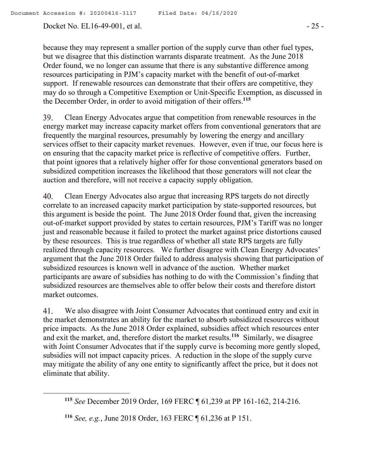Docket No. EL16-49-001, et al. - 25 -

because they may represent a smaller portion of the supply curve than other fuel types, but we disagree that this distinction warrants disparate treatment. As the June 2018 Order found, we no longer can assume that there is any substantive difference among resources participating in PJM's capacity market with the benefit of out-of-market support. If renewable resources can demonstrate that their offers are competitive, they may do so through a Competitive Exemption or Unit-Specific Exemption, as discussed in the December Order, in order to avoid mitigation of their offers. **115**

39. Clean Energy Advocates argue that competition from renewable resources in the energy market may increase capacity market offers from conventional generators that are frequently the marginal resources, presumably by lowering the energy and ancillary services offset to their capacity market revenues. However, even if true, our focus here is on ensuring that the capacity market price is reflective of competitive offers. Further, that point ignores that a relatively higher offer for those conventional generators based on subsidized competition increases the likelihood that those generators will not clear the auction and therefore, will not receive a capacity supply obligation.

40. Clean Energy Advocates also argue that increasing RPS targets do not directly correlate to an increased capacity market participation by state-supported resources, but this argument is beside the point. The June 2018 Order found that, given the increasing out-of-market support provided by states to certain resources, PJM's Tariff was no longer just and reasonable because it failed to protect the market against price distortions caused by these resources. This is true regardless of whether all state RPS targets are fully realized through capacity resources. We further disagree with Clean Energy Advocates' argument that the June 2018 Order failed to address analysis showing that participation of subsidized resources is known well in advance of the auction. Whether market participants are aware of subsidies has nothing to do with the Commission's finding that subsidized resources are themselves able to offer below their costs and therefore distort market outcomes.

We also disagree with Joint Consumer Advocates that continued entry and exit in 41. the market demonstrates an ability for the market to absorb subsidized resources without price impacts. As the June 2018 Order explained, subsidies affect which resources enter and exit the market, and, therefore distort the market results. **116** Similarly, we disagree with Joint Consumer Advocates that if the supply curve is becoming more gently sloped, subsidies will not impact capacity prices. A reduction in the slope of the supply curve may mitigate the ability of any one entity to significantly affect the price, but it does not eliminate that ability.

**<sup>115</sup>** *See* December 2019 Order, 169 FERC ¶ 61,239 at PP 161-162, 214-216.

**<sup>116</sup>** *See, e.g.*, June 2018 Order, 163 FERC ¶ 61,236 at P 151.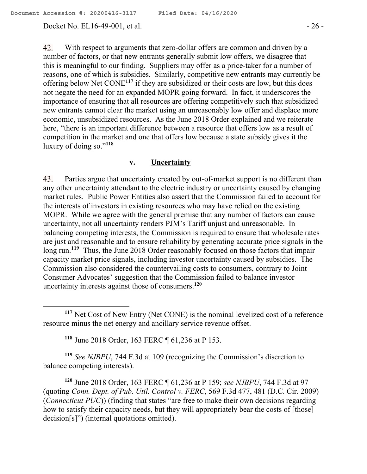Docket No. EL16-49-001, et al. - 26 -

 $\overline{a}$ 

42. With respect to arguments that zero-dollar offers are common and driven by a number of factors, or that new entrants generally submit low offers, we disagree that this is meaningful to our finding. Suppliers may offer as a price-taker for a number of reasons, one of which is subsidies. Similarly, competitive new entrants may currently be offering below Net CONE**<sup>117</sup>** if they are subsidized or their costs are low, but this does not negate the need for an expanded MOPR going forward. In fact, it underscores the importance of ensuring that all resources are offering competitively such that subsidized new entrants cannot clear the market using an unreasonably low offer and displace more economic, unsubsidized resources. As the June 2018 Order explained and we reiterate here, "there is an important difference between a resource that offers low as a result of competition in the market and one that offers low because a state subsidy gives it the luxury of doing so." **118**

#### **v. Uncertainty**

43. Parties argue that uncertainty created by out-of-market support is no different than any other uncertainty attendant to the electric industry or uncertainty caused by changing market rules. Public Power Entities also assert that the Commission failed to account for the interests of investors in existing resources who may have relied on the existing MOPR. While we agree with the general premise that any number of factors can cause uncertainty, not all uncertainty renders PJM's Tariff unjust and unreasonable. In balancing competing interests, the Commission is required to ensure that wholesale rates are just and reasonable and to ensure reliability by generating accurate price signals in the long run.<sup>119</sup> Thus, the June 2018 Order reasonably focused on those factors that impair capacity market price signals, including investor uncertainty caused by subsidies. The Commission also considered the countervailing costs to consumers, contrary to Joint Consumer Advocates' suggestion that the Commission failed to balance investor uncertainty interests against those of consumers. **120**

**<sup>118</sup>** June 2018 Order, 163 FERC ¶ 61,236 at P 153.

**<sup>119</sup>** *See NJBPU*, 744 F.3d at 109 (recognizing the Commission's discretion to balance competing interests).

**<sup>120</sup>** June 2018 Order, 163 FERC ¶ 61,236 at P 159; *see NJBPU*, 744 F.3d at 97 (quoting *Conn. Dept. of Pub. Util. Control v. FERC*, 569 F.3d 477, 481 (D.C. Cir. 2009) (*Connecticut PUC*)) (finding that states "are free to make their own decisions regarding how to satisfy their capacity needs, but they will appropriately bear the costs of [those] decision[s]") (internal quotations omitted).

**<sup>117</sup>** Net Cost of New Entry (Net CONE) is the nominal levelized cost of a reference resource minus the net energy and ancillary service revenue offset.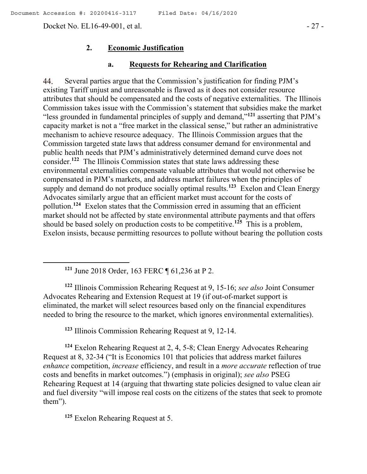Docket No. EL16-49-001, et al. - 27 -

#### **2. Economic Justification**

#### **a. Requests for Rehearing and Clarification**

44. Several parties argue that the Commission's justification for finding PJM's existing Tariff unjust and unreasonable is flawed as it does not consider resource attributes that should be compensated and the costs of negative externalities. The Illinois Commission takes issue with the Commission's statement that subsidies make the market "less grounded in fundamental principles of supply and demand,"**<sup>121</sup>** asserting that PJM's capacity market is not a "free market in the classical sense," but rather an administrative mechanism to achieve resource adequacy. The Illinois Commission argues that the Commission targeted state laws that address consumer demand for environmental and public health needs that PJM's administratively determined demand curve does not consider.<sup>122</sup> The Illinois Commission states that state laws addressing these environmental externalities compensate valuable attributes that would not otherwise be compensated in PJM's markets, and address market failures when the principles of supply and demand do not produce socially optimal results.**<sup>123</sup>** Exelon and Clean Energy Advocates similarly argue that an efficient market must account for the costs of pollution.**<sup>124</sup>** Exelon states that the Commission erred in assuming that an efficient market should not be affected by state environmental attribute payments and that offers should be based solely on production costs to be competitive. **125** This is a problem, Exelon insists, because permitting resources to pollute without bearing the pollution costs

**<sup>121</sup>** June 2018 Order, 163 FERC ¶ 61,236 at P 2.

**<sup>122</sup>** Illinois Commission Rehearing Request at 9, 15-16; *see also* Joint Consumer Advocates Rehearing and Extension Request at 19 (if out-of-market support is eliminated, the market will select resources based only on the financial expenditures needed to bring the resource to the market, which ignores environmental externalities).

**<sup>123</sup>** Illinois Commission Rehearing Request at 9, 12-14.

**<sup>124</sup>** Exelon Rehearing Request at 2, 4, 5-8; Clean Energy Advocates Rehearing Request at 8, 32-34 ("It is Economics 101 that policies that address market failures *enhance* competition, *increase* efficiency, and result in a *more accurate* reflection of true costs and benefits in market outcomes.") (emphasis in original); *see also* PSEG Rehearing Request at 14 (arguing that thwarting state policies designed to value clean air and fuel diversity "will impose real costs on the citizens of the states that seek to promote them").

**<sup>125</sup>** Exelon Rehearing Request at 5.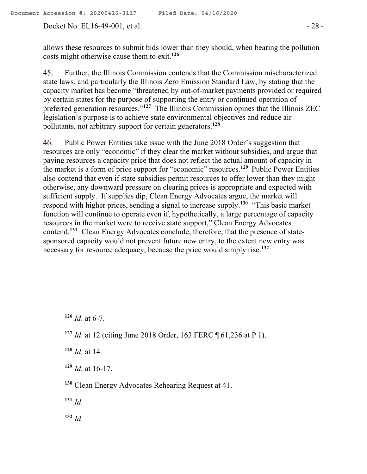allows these resources to submit bids lower than they should, when bearing the pollution costs might otherwise cause them to exit.**<sup>126</sup>**

45. Further, the Illinois Commission contends that the Commission mischaracterized state laws, and particularly the Illinois Zero Emission Standard Law, by stating that the capacity market has become "threatened by out-of-market payments provided or required by certain states for the purpose of supporting the entry or continued operation of preferred generation resources."<sup>127</sup> The Illinois Commission opines that the Illinois ZEC legislation's purpose is to achieve state environmental objectives and reduce air pollutants, not arbitrary support for certain generators.**<sup>128</sup>**

Public Power Entities take issue with the June 2018 Order's suggestion that 46. resources are only "economic" if they clear the market without subsidies, and argue that paying resources a capacity price that does not reflect the actual amount of capacity in the market is a form of price support for "economic" resources.**<sup>129</sup>** Public Power Entities also contend that even if state subsidies permit resources to offer lower than they might otherwise, any downward pressure on clearing prices is appropriate and expected with sufficient supply. If supplies dip, Clean Energy Advocates argue, the market will respond with higher prices, sending a signal to increase supply.**<sup>130</sup>** "This basic market function will continue to operate even if, hypothetically, a large percentage of capacity resources in the market were to receive state support," Clean Energy Advocates contend.**<sup>131</sup>** Clean Energy Advocates conclude, therefore, that the presence of statesponsored capacity would not prevent future new entry, to the extent new entry was necessary for resource adequacy, because the price would simply rise.**<sup>132</sup>**

 $\overline{a}$ 

**<sup>128</sup>** *Id*. at 14.

**<sup>129</sup>** *Id*. at 16-17.

**<sup>130</sup>** Clean Energy Advocates Rehearing Request at 41.

**<sup>131</sup>** *Id*.

**<sup>132</sup>** *Id*.

**<sup>126</sup>** *Id*. at 6-7.

**<sup>127</sup>** *Id*. at 12 (citing June 2018 Order, 163 FERC ¶ 61,236 at P 1).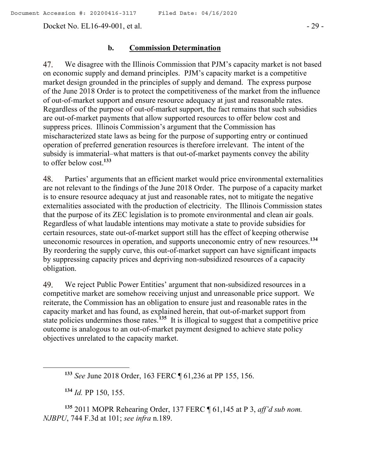Docket No. EL16-49-001, et al. - 29 -

### **b. Commission Determination**

47. We disagree with the Illinois Commission that PJM's capacity market is not based on economic supply and demand principles. PJM's capacity market is a competitive market design grounded in the principles of supply and demand. The express purpose of the June 2018 Order is to protect the competitiveness of the market from the influence of out-of-market support and ensure resource adequacy at just and reasonable rates. Regardless of the purpose of out-of-market support, the fact remains that such subsidies are out-of-market payments that allow supported resources to offer below cost and suppress prices. Illinois Commission's argument that the Commission has mischaracterized state laws as being for the purpose of supporting entry or continued operation of preferred generation resources is therefore irrelevant. The intent of the subsidy is immaterial–what matters is that out-of-market payments convey the ability to offer below cost.**<sup>133</sup>**

48. Parties' arguments that an efficient market would price environmental externalities are not relevant to the findings of the June 2018 Order. The purpose of a capacity market is to ensure resource adequacy at just and reasonable rates, not to mitigate the negative externalities associated with the production of electricity. The Illinois Commission states that the purpose of its ZEC legislation is to promote environmental and clean air goals. Regardless of what laudable intentions may motivate a state to provide subsidies for certain resources, state out-of-market support still has the effect of keeping otherwise uneconomic resources in operation, and supports uneconomic entry of new resources. **134** By reordering the supply curve, this out-of-market support can have significant impacts by suppressing capacity prices and depriving non-subsidized resources of a capacity obligation.

49. We reject Public Power Entities' argument that non-subsidized resources in a competitive market are somehow receiving unjust and unreasonable price support. We reiterate, the Commission has an obligation to ensure just and reasonable rates in the capacity market and has found, as explained herein, that out-of-market support from state policies undermines those rates.**<sup>135</sup>** It is illogical to suggest that a competitive price outcome is analogous to an out-of-market payment designed to achieve state policy objectives unrelated to the capacity market.

**<sup>134</sup>** *Id.* PP 150, 155.

 $\overline{a}$ 

**<sup>135</sup>** 2011 MOPR Rehearing Order, 137 FERC ¶ 61,145 at P 3, *aff'd sub nom. NJBPU*, 744 F.3d at 101; *see infra* n.189.

**<sup>133</sup>** *See* June 2018 Order, 163 FERC ¶ 61,236 at PP 155, 156.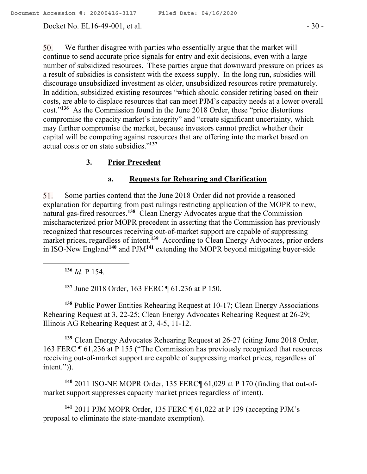Docket No. EL16-49-001, et al. - 30 -

50. We further disagree with parties who essentially argue that the market will continue to send accurate price signals for entry and exit decisions, even with a large number of subsidized resources. These parties argue that downward pressure on prices as a result of subsidies is consistent with the excess supply. In the long run, subsidies will discourage unsubsidized investment as older, unsubsidized resources retire prematurely. In addition, subsidized existing resources "which should consider retiring based on their costs, are able to displace resources that can meet PJM's capacity needs at a lower overall cost."**<sup>136</sup>** As the Commission found in the June 2018 Order, these "price distortions compromise the capacity market's integrity" and "create significant uncertainty, which may further compromise the market, because investors cannot predict whether their capital will be competing against resources that are offering into the market based on actual costs or on state subsidies."**<sup>137</sup>**

## **3. Prior Precedent**

## **a. Requests for Rehearing and Clarification**

Some parties contend that the June 2018 Order did not provide a reasoned 51. explanation for departing from past rulings restricting application of the MOPR to new, natural gas-fired resources.**<sup>138</sup>** Clean Energy Advocates argue that the Commission mischaracterized prior MOPR precedent in asserting that the Commission has previously recognized that resources receiving out-of-market support are capable of suppressing market prices, regardless of intent.<sup>139</sup> According to Clean Energy Advocates, prior orders in ISO-New England**<sup>140</sup>** and PJM**<sup>141</sup>** extending the MOPR beyond mitigating buyer-side

**<sup>136</sup>** *Id*. P 154.

**<sup>137</sup>** June 2018 Order, 163 FERC ¶ 61,236 at P 150.

**<sup>138</sup>** Public Power Entities Rehearing Request at 10-17; Clean Energy Associations Rehearing Request at 3, 22-25; Clean Energy Advocates Rehearing Request at 26-29; Illinois AG Rehearing Request at 3, 4-5, 11-12.

**<sup>139</sup>** Clean Energy Advocates Rehearing Request at 26-27 (citing June 2018 Order, 163 FERC ¶ 61,236 at P 155 ("The Commission has previously recognized that resources receiving out-of-market support are capable of suppressing market prices, regardless of intent.")).

**<sup>140</sup>** 2011 ISO-NE MOPR Order, 135 FERC¶ 61,029 at P 170 (finding that out-ofmarket support suppresses capacity market prices regardless of intent).

**<sup>141</sup>** 2011 PJM MOPR Order, 135 FERC ¶ 61,022 at P 139 (accepting PJM's proposal to eliminate the state-mandate exemption).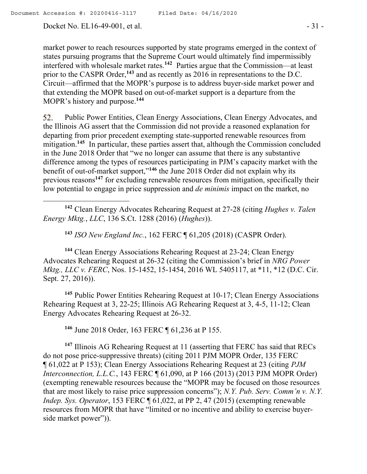Docket No. EL16-49-001, et al. - 31 -

market power to reach resources supported by state programs emerged in the context of states pursuing programs that the Supreme Court would ultimately find impermissibly interfered with wholesale market rates. **<sup>142</sup>** Parties argue that the Commission—at least prior to the CASPR Order,<sup>143</sup> and as recently as 2016 in representations to the D.C. Circuit—affirmed that the MOPR's purpose is to address buyer-side market power and that extending the MOPR based on out-of-market support is a departure from the MOPR's history and purpose.**<sup>144</sup>**

52. Public Power Entities, Clean Energy Associations, Clean Energy Advocates, and the Illinois AG assert that the Commission did not provide a reasoned explanation for departing from prior precedent exempting state-supported renewable resources from mitigation.**<sup>145</sup>** In particular, these parties assert that, although the Commission concluded in the June 2018 Order that "we no longer can assume that there is any substantive difference among the types of resources participating in PJM's capacity market with the benefit of out-of-market support,"**<sup>146</sup>** the June 2018 Order did not explain why its previous reasons**<sup>147</sup>** for excluding renewable resources from mitigation, specifically their low potential to engage in price suppression and *de minimis* impact on the market, no

**<sup>142</sup>** Clean Energy Advocates Rehearing Request at 27-28 (citing *Hughes v. Talen Energy Mktg.*, *LLC*, 136 S.Ct. 1288 (2016) (*Hughes*)).

**<sup>143</sup>** *ISO New England Inc.*, 162 FERC ¶ 61,205 (2018) (CASPR Order).

**<sup>144</sup>** Clean Energy Associations Rehearing Request at 23-24; Clean Energy Advocates Rehearing Request at 26-32 (citing the Commission's brief in *NRG Power Mktg., LLC v. FERC*, Nos. 15-1452, 15-1454, 2016 WL 5405117, at \*11, \*12 (D.C. Cir. Sept. 27, 2016)).

**<sup>145</sup>** Public Power Entities Rehearing Request at 10-17; Clean Energy Associations Rehearing Request at 3, 22-25; Illinois AG Rehearing Request at 3, 4-5, 11-12; Clean Energy Advocates Rehearing Request at 26-32.

**<sup>146</sup>** June 2018 Order, 163 FERC ¶ 61,236 at P 155.

**<sup>147</sup>** Illinois AG Rehearing Request at 11 (asserting that FERC has said that RECs do not pose price-suppressive threats) (citing 2011 PJM MOPR Order, 135 FERC ¶ 61,022 at P 153); Clean Energy Associations Rehearing Request at 23 (citing *PJM Interconnection, L.L.C.*, 143 FERC ¶ 61,090, at P 166 (2013) (2013 PJM MOPR Order) (exempting renewable resources because the "MOPR may be focused on those resources that are most likely to raise price suppression concerns"); *N.Y. Pub. Serv. Comm'n v. N.Y. Indep. Sys. Operator*, 153 FERC  $\sqrt{61,022}$ , at PP 2, 47 (2015) (exempting renewable resources from MOPR that have "limited or no incentive and ability to exercise buyerside market power")).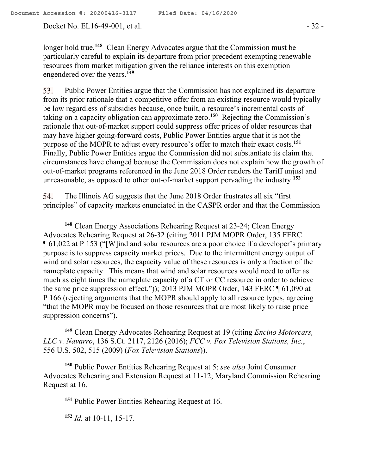Docket No. EL16-49-001, et al. - 32 -

 $\overline{a}$ 

longer hold true.**<sup>148</sup>** Clean Energy Advocates argue that the Commission must be particularly careful to explain its departure from prior precedent exempting renewable resources from market mitigation given the reliance interests on this exemption engendered over the years.**<sup>149</sup>**

Public Power Entities argue that the Commission has not explained its departure 53. from its prior rationale that a competitive offer from an existing resource would typically be low regardless of subsidies because, once built, a resource's incremental costs of taking on a capacity obligation can approximate zero.**<sup>150</sup>** Rejecting the Commission's rationale that out-of-market support could suppress offer prices of older resources that may have higher going-forward costs, Public Power Entities argue that it is not the purpose of the MOPR to adjust every resource's offer to match their exact costs.**<sup>151</sup>** Finally, Public Power Entities argue the Commission did not substantiate its claim that circumstances have changed because the Commission does not explain how the growth of out-of-market programs referenced in the June 2018 Order renders the Tariff unjust and unreasonable, as opposed to other out-of-market support pervading the industry.**<sup>152</sup>**

54. The Illinois AG suggests that the June 2018 Order frustrates all six "first principles" of capacity markets enunciated in the CASPR order and that the Commission

**<sup>149</sup>** Clean Energy Advocates Rehearing Request at 19 (citing *Encino Motorcars, LLC v. Navarro*, 136 S.Ct. 2117, 2126 (2016); *FCC v. Fox Television Stations, Inc.*, 556 U.S. 502, 515 (2009) (*Fox Television Stations*)).

**<sup>150</sup>** Public Power Entities Rehearing Request at 5; *see also* Joint Consumer Advocates Rehearing and Extension Request at 11-12; Maryland Commission Rehearing Request at 16.

**<sup>151</sup>** Public Power Entities Rehearing Request at 16.

**<sup>152</sup>** *Id.* at 10-11, 15-17.

**<sup>148</sup>** Clean Energy Associations Rehearing Request at 23-24; Clean Energy Advocates Rehearing Request at 26-32 (citing 2011 PJM MOPR Order, 135 FERC ¶ 61,022 at P 153 ("[W]ind and solar resources are a poor choice if a developer's primary purpose is to suppress capacity market prices. Due to the intermittent energy output of wind and solar resources, the capacity value of these resources is only a fraction of the nameplate capacity. This means that wind and solar resources would need to offer as much as eight times the nameplate capacity of a CT or CC resource in order to achieve the same price suppression effect.")); 2013 PJM MOPR Order, 143 FERC ¶ 61,090 at P 166 (rejecting arguments that the MOPR should apply to all resource types, agreeing "that the MOPR may be focused on those resources that are most likely to raise price suppression concerns").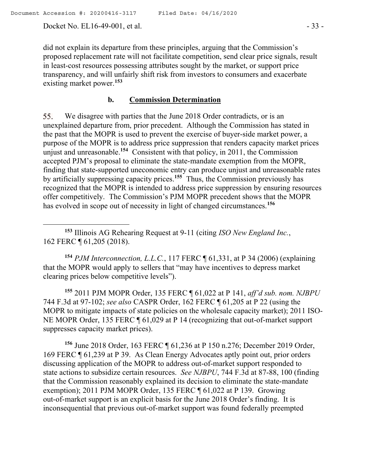Docket No. EL16-49-001, et al. - 33 -

did not explain its departure from these principles, arguing that the Commission's proposed replacement rate will not facilitate competition, send clear price signals, result in least-cost resources possessing attributes sought by the market, or support price transparency, and will unfairly shift risk from investors to consumers and exacerbate existing market power.**<sup>153</sup>**

# **b. Commission Determination**

We disagree with parties that the June 2018 Order contradicts, or is an 55. unexplained departure from, prior precedent. Although the Commission has stated in the past that the MOPR is used to prevent the exercise of buyer-side market power, a purpose of the MOPR is to address price suppression that renders capacity market prices unjust and unreasonable. **154** Consistent with that policy, in 2011, the Commission accepted PJM's proposal to eliminate the state-mandate exemption from the MOPR, finding that state-supported uneconomic entry can produce unjust and unreasonable rates by artificially suppressing capacity prices.**<sup>155</sup>** Thus, the Commission previously has recognized that the MOPR is intended to address price suppression by ensuring resources offer competitively. The Commission's PJM MOPR precedent shows that the MOPR has evolved in scope out of necessity in light of changed circumstances.**<sup>156</sup>**

 $\overline{a}$ **<sup>153</sup>** Illinois AG Rehearing Request at 9-11 (citing *ISO New England Inc.*, 162 FERC ¶ 61,205 (2018).

**<sup>154</sup>** *PJM Interconnection, L.L.C.*, 117 FERC ¶ 61,331, at P 34 (2006) (explaining that the MOPR would apply to sellers that "may have incentives to depress market clearing prices below competitive levels").

**<sup>155</sup>** 2011 PJM MOPR Order, 135 FERC ¶ 61,022 at P 141, *aff'd sub. nom. NJBPU* 744 F.3d at 97-102; *see also* CASPR Order, 162 FERC ¶ 61,205 at P 22 (using the MOPR to mitigate impacts of state policies on the wholesale capacity market); 2011 ISO-NE MOPR Order, 135 FERC ¶ 61,029 at P 14 (recognizing that out-of-market support suppresses capacity market prices).

**<sup>156</sup>** June 2018 Order, 163 FERC ¶ 61,236 at P 150 n.276; December 2019 Order, 169 FERC ¶ 61,239 at P 39. As Clean Energy Advocates aptly point out, prior orders discussing application of the MOPR to address out-of-market support responded to state actions to subsidize certain resources. *See NJBPU*, 744 F.3d at 87-88, 100 (finding that the Commission reasonably explained its decision to eliminate the state-mandate exemption); 2011 PJM MOPR Order, 135 FERC ¶ 61,022 at P 139. Growing out-of-market support is an explicit basis for the June 2018 Order's finding. It is inconsequential that previous out-of-market support was found federally preempted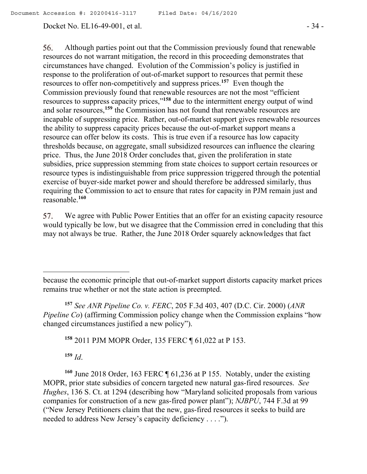#### Docket No. EL16-49-001, et al. - 34 -

56. Although parties point out that the Commission previously found that renewable resources do not warrant mitigation, the record in this proceeding demonstrates that circumstances have changed. Evolution of the Commission's policy is justified in response to the proliferation of out-of-market support to resources that permit these resources to offer non-competitively and suppress prices. **<sup>157</sup>** Even though the Commission previously found that renewable resources are not the most "efficient resources to suppress capacity prices,"**<sup>158</sup>** due to the intermittent energy output of wind and solar resources,**<sup>159</sup>** the Commission has not found that renewable resources are incapable of suppressing price. Rather, out-of-market support gives renewable resources the ability to suppress capacity prices because the out-of-market support means a resource can offer below its costs. This is true even if a resource has low capacity thresholds because, on aggregate, small subsidized resources can influence the clearing price. Thus, the June 2018 Order concludes that, given the proliferation in state subsidies, price suppression stemming from state choices to support certain resources or resource types is indistinguishable from price suppression triggered through the potential exercise of buyer-side market power and should therefore be addressed similarly, thus requiring the Commission to act to ensure that rates for capacity in PJM remain just and reasonable.**<sup>160</sup>**

We agree with Public Power Entities that an offer for an existing capacity resource 57. would typically be low, but we disagree that the Commission erred in concluding that this may not always be true. Rather, the June 2018 Order squarely acknowledges that fact

**<sup>157</sup>** *See ANR Pipeline Co. v. FERC*, 205 F.3d 403, 407 (D.C. Cir. 2000) (*ANR Pipeline Co*) (affirming Commission policy change when the Commission explains "how changed circumstances justified a new policy").

**<sup>158</sup>** 2011 PJM MOPR Order, 135 FERC ¶ 61,022 at P 153.

**<sup>159</sup>** *Id*.

 $\overline{a}$ 

**<sup>160</sup>** June 2018 Order, 163 FERC ¶ 61,236 at P 155. Notably, under the existing MOPR, prior state subsidies of concern targeted new natural gas-fired resources. *See Hughes*, 136 S. Ct. at 1294 (describing how "Maryland solicited proposals from various companies for construction of a new gas-fired power plant"); *NJBPU*, 744 F.3d at 99 ("New Jersey Petitioners claim that the new, gas-fired resources it seeks to build are needed to address New Jersey's capacity deficiency . . . .").

because the economic principle that out-of-market support distorts capacity market prices remains true whether or not the state action is preempted.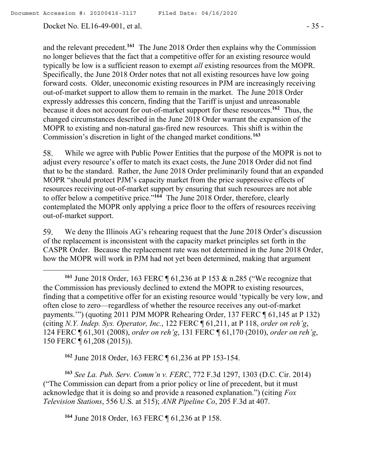Docket No. EL16-49-001, et al. - 35 -

and the relevant precedent.**<sup>161</sup>** The June 2018 Order then explains why the Commission no longer believes that the fact that a competitive offer for an existing resource would typically be low is a sufficient reason to exempt *all* existing resources from the MOPR. Specifically, the June 2018 Order notes that not all existing resources have low going forward costs. Older, uneconomic existing resources in PJM are increasingly receiving out-of-market support to allow them to remain in the market. The June 2018 Order expressly addresses this concern, finding that the Tariff is unjust and unreasonable because it does not account for out-of-market support for these resources. **162** Thus, the changed circumstances described in the June 2018 Order warrant the expansion of the MOPR to existing and non-natural gas-fired new resources. This shift is within the Commission's discretion in light of the changed market conditions.**<sup>163</sup>**

While we agree with Public Power Entities that the purpose of the MOPR is not to 58. adjust every resource's offer to match its exact costs, the June 2018 Order did not find that to be the standard. Rather, the June 2018 Order preliminarily found that an expanded MOPR "should protect PJM's capacity market from the price suppressive effects of resources receiving out-of-market support by ensuring that such resources are not able to offer below a competitive price."**<sup>164</sup>** The June 2018 Order, therefore, clearly contemplated the MOPR only applying a price floor to the offers of resources receiving out-of-market support.

We deny the Illinois AG's rehearing request that the June 2018 Order's discussion 59. of the replacement is inconsistent with the capacity market principles set forth in the CASPR Order. Because the replacement rate was not determined in the June 2018 Order, how the MOPR will work in PJM had not yet been determined, making that argument

**<sup>162</sup>** June 2018 Order, 163 FERC ¶ 61,236 at PP 153-154.

**<sup>163</sup>** *See La. Pub. Serv. Comm'n v. FERC*, 772 F.3d 1297, 1303 (D.C. Cir. 2014) ("The Commission can depart from a prior policy or line of precedent, but it must acknowledge that it is doing so and provide a reasoned explanation.") (citing *Fox Television Stations*, 556 U.S. at 515); *ANR Pipeline Co*, 205 F.3d at 407.

**<sup>164</sup>** June 2018 Order, 163 FERC ¶ 61,236 at P 158.

**<sup>161</sup>** June 2018 Order, 163 FERC ¶ 61,236 at P 153 & n.285 ("We recognize that the Commission has previously declined to extend the MOPR to existing resources, finding that a competitive offer for an existing resource would 'typically be very low, and often close to zero—regardless of whether the resource receives any out-of-market payments.'") (quoting 2011 PJM MOPR Rehearing Order, 137 FERC ¶ 61,145 at P 132) (citing *N.Y. Indep. Sys. Operator, Inc.*, 122 FERC ¶ 61,211, at P 118, *order on reh'g*, 124 FERC ¶ 61,301 (2008), *order on reh'g*, 131 FERC ¶ 61,170 (2010), *order on reh'g*, 150 FERC ¶ 61,208 (2015)).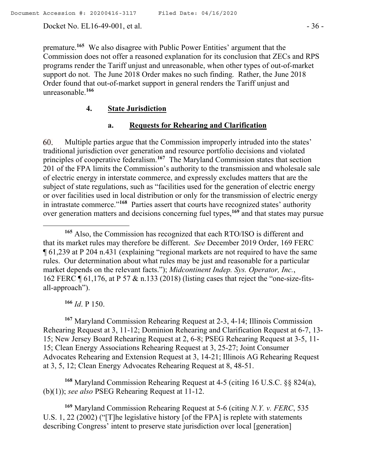Docket No. EL16-49-001, et al. - 36 -

premature.**<sup>165</sup>** We also disagree with Public Power Entities' argument that the Commission does not offer a reasoned explanation for its conclusion that ZECs and RPS programs render the Tariff unjust and unreasonable, when other types of out-of-market support do not. The June 2018 Order makes no such finding. Rather, the June 2018 Order found that out-of-market support in general renders the Tariff unjust and unreasonable. **166**

## **4. State Jurisdiction**

# **a. Requests for Rehearing and Clarification**

Multiple parties argue that the Commission improperly intruded into the states' 60. traditional jurisdiction over generation and resource portfolio decisions and violated principles of cooperative federalism.**<sup>167</sup>** The Maryland Commission states that section 201 of the FPA limits the Commission's authority to the transmission and wholesale sale of electric energy in interstate commerce, and expressly excludes matters that are the subject of state regulations, such as "facilities used for the generation of electric energy or over facilities used in local distribution or only for the transmission of electric energy in intrastate commerce."**<sup>168</sup>** Parties assert that courts have recognized states' authority over generation matters and decisions concerning fuel types,**<sup>169</sup>** and that states may pursue

**<sup>166</sup>** *Id*. P 150.

 $\overline{a}$ 

**<sup>167</sup>** Maryland Commission Rehearing Request at 2-3, 4-14; Illinois Commission Rehearing Request at 3, 11-12; Dominion Rehearing and Clarification Request at 6-7, 13- 15; New Jersey Board Rehearing Request at 2, 6-8; PSEG Rehearing Request at 3-5, 11- 15; Clean Energy Associations Rehearing Request at 3, 25-27; Joint Consumer Advocates Rehearing and Extension Request at 3, 14-21; Illinois AG Rehearing Request at 3, 5, 12; Clean Energy Advocates Rehearing Request at 8, 48-51.

**<sup>168</sup>** Maryland Commission Rehearing Request at 4-5 (citing 16 U.S.C. §§ 824(a), (b)(1)); *see also* PSEG Rehearing Request at 11-12.

**<sup>169</sup>** Maryland Commission Rehearing Request at 5-6 (citing *N.Y. v. FERC*, 535 U.S. 1, 22 (2002) ("[T]he legislative history [of the FPA] is replete with statements describing Congress' intent to preserve state jurisdiction over local [generation]

**<sup>165</sup>** Also, the Commission has recognized that each RTO/ISO is different and that its market rules may therefore be different. *See* December 2019 Order, 169 FERC ¶ 61,239 at P 204 n.431 (explaining "regional markets are not required to have the same rules. Our determination about what rules may be just and reasonable for a particular market depends on the relevant facts."); *Midcontinent Indep. Sys. Operator, Inc.*, 162 FERC ¶ 61,176, at P 57 & n.133 (2018) (listing cases that reject the "one-size-fitsall-approach").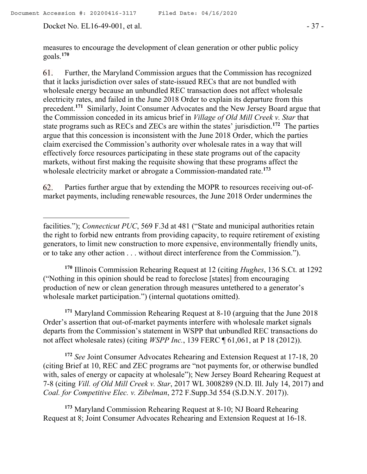Docket No. EL16-49-001, et al. - 37 -

 $\overline{a}$ 

measures to encourage the development of clean generation or other public policy goals.**<sup>170</sup>**

Further, the Maryland Commission argues that the Commission has recognized 61. that it lacks jurisdiction over sales of state-issued RECs that are not bundled with wholesale energy because an unbundled REC transaction does not affect wholesale electricity rates, and failed in the June 2018 Order to explain its departure from this precedent.**<sup>171</sup>** Similarly, Joint Consumer Advocates and the New Jersey Board argue that the Commission conceded in its amicus brief in *Village of Old Mill Creek v. Star* that state programs such as RECs and ZECs are within the states' jurisdiction.**<sup>172</sup>** The parties argue that this concession is inconsistent with the June 2018 Order, which the parties claim exercised the Commission's authority over wholesale rates in a way that will effectively force resources participating in these state programs out of the capacity markets, without first making the requisite showing that these programs affect the wholesale electricity market or abrogate a Commission-mandated rate.**<sup>173</sup>**

Parties further argue that by extending the MOPR to resources receiving out-of-62. market payments, including renewable resources, the June 2018 Order undermines the

**<sup>170</sup>** Illinois Commission Rehearing Request at 12 (citing *Hughes*, 136 S.Ct. at 1292 ("Nothing in this opinion should be read to foreclose [states] from encouraging production of new or clean generation through measures untethered to a generator's wholesale market participation.") (internal quotations omitted).

**<sup>171</sup>** Maryland Commission Rehearing Request at 8-10 (arguing that the June 2018 Order's assertion that out-of-market payments interfere with wholesale market signals departs from the Commission's statement in WSPP that unbundled REC transactions do not affect wholesale rates) (citing *WSPP Inc.*, 139 FERC ¶ 61,061, at P 18 (2012)).

**<sup>172</sup>** *See* Joint Consumer Advocates Rehearing and Extension Request at 17-18, 20 (citing Brief at 10, REC and ZEC programs are "not payments for, or otherwise bundled with, sales of energy or capacity at wholesale"); New Jersey Board Rehearing Request at 7-8 (citing *Vill. of Old Mill Creek v. Star*, 2017 WL 3008289 (N.D. Ill. July 14, 2017) and *Coal. for Competitive Elec. v. Zibelman*, 272 F.Supp.3d 554 (S.D.N.Y. 2017)).

**<sup>173</sup>** Maryland Commission Rehearing Request at 8-10; NJ Board Rehearing Request at 8; Joint Consumer Advocates Rehearing and Extension Request at 16-18.

facilities."); *Connecticut PUC*, 569 F.3d at 481 ("State and municipal authorities retain the right to forbid new entrants from providing capacity, to require retirement of existing generators, to limit new construction to more expensive, environmentally friendly units, or to take any other action . . . without direct interference from the Commission.").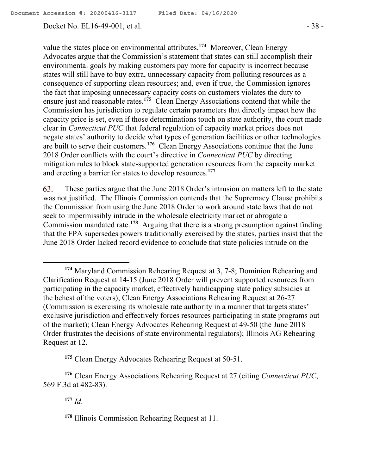Docket No. EL16-49-001, et al. - 38 -

value the states place on environmental attributes.<sup>174</sup> Moreover, Clean Energy Advocates argue that the Commission's statement that states can still accomplish their environmental goals by making customers pay more for capacity is incorrect because states will still have to buy extra, unnecessary capacity from polluting resources as a consequence of supporting clean resources; and, even if true, the Commission ignores the fact that imposing unnecessary capacity costs on customers violates the duty to ensure just and reasonable rates.**<sup>175</sup>** Clean Energy Associations contend that while the Commission has jurisdiction to regulate certain parameters that directly impact how the capacity price is set, even if those determinations touch on state authority, the court made clear in *Connecticut PUC* that federal regulation of capacity market prices does not negate states' authority to decide what types of generation facilities or other technologies are built to serve their customers.**<sup>176</sup>** Clean Energy Associations continue that the June 2018 Order conflicts with the court's directive in *Connecticut PUC* by directing mitigation rules to block state-supported generation resources from the capacity market and erecting a barrier for states to develop resources.**<sup>177</sup>**

These parties argue that the June 2018 Order's intrusion on matters left to the state 63. was not justified. The Illinois Commission contends that the Supremacy Clause prohibits the Commission from using the June 2018 Order to work around state laws that do not seek to impermissibly intrude in the wholesale electricity market or abrogate a Commission mandated rate.<sup>178</sup> Arguing that there is a strong presumption against finding that the FPA supersedes powers traditionally exercised by the states, parties insist that the June 2018 Order lacked record evidence to conclude that state policies intrude on the

**<sup>175</sup>** Clean Energy Advocates Rehearing Request at 50-51.

**<sup>176</sup>** Clean Energy Associations Rehearing Request at 27 (citing *Connecticut PUC*, 569 F.3d at 482-83).

**<sup>177</sup>** *Id*.

 $\overline{a}$ 

**<sup>174</sup>** Maryland Commission Rehearing Request at 3, 7-8; Dominion Rehearing and Clarification Request at 14-15 (June 2018 Order will prevent supported resources from participating in the capacity market, effectively handicapping state policy subsidies at the behest of the voters); Clean Energy Associations Rehearing Request at 26-27 (Commission is exercising its wholesale rate authority in a manner that targets states' exclusive jurisdiction and effectively forces resources participating in state programs out of the market); Clean Energy Advocates Rehearing Request at 49-50 (the June 2018 Order frustrates the decisions of state environmental regulators); Illinois AG Rehearing Request at 12.

**<sup>178</sup>** Illinois Commission Rehearing Request at 11.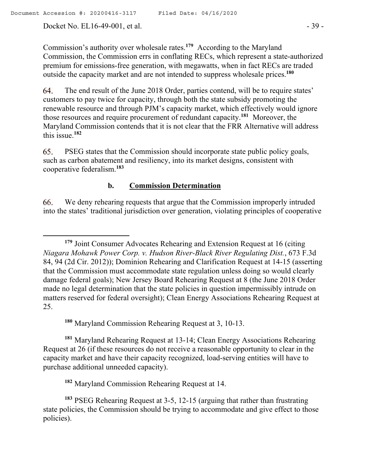Docket No. EL16-49-001, et al. - 39 -

 $\overline{a}$ 

Commission's authority over wholesale rates.**<sup>179</sup>** According to the Maryland Commission, the Commission errs in conflating RECs, which represent a state-authorized premium for emissions-free generation, with megawatts, when in fact RECs are traded outside the capacity market and are not intended to suppress wholesale prices.**<sup>180</sup>**

The end result of the June 2018 Order, parties contend, will be to require states' 64. customers to pay twice for capacity, through both the state subsidy promoting the renewable resource and through PJM's capacity market, which effectively would ignore those resources and require procurement of redundant capacity.**<sup>181</sup>** Moreover, the Maryland Commission contends that it is not clear that the FRR Alternative will address this issue.**<sup>182</sup>**

65. PSEG states that the Commission should incorporate state public policy goals, such as carbon abatement and resiliency, into its market designs, consistent with cooperative federalism.**<sup>183</sup>**

#### **b. Commission Determination**

We deny rehearing requests that argue that the Commission improperly intruded 66. into the states' traditional jurisdiction over generation, violating principles of cooperative

**<sup>180</sup>** Maryland Commission Rehearing Request at 3, 10-13.

**<sup>181</sup>** Maryland Rehearing Request at 13-14; Clean Energy Associations Rehearing Request at 26 (if these resources do not receive a reasonable opportunity to clear in the capacity market and have their capacity recognized, load-serving entities will have to purchase additional unneeded capacity).

**<sup>182</sup>** Maryland Commission Rehearing Request at 14.

**<sup>179</sup>** Joint Consumer Advocates Rehearing and Extension Request at 16 (citing *Niagara Mohawk Power Corp. v. Hudson River-Black River Regulating Dist.*, 673 F.3d 84, 94 (2d Cir. 2012)); Dominion Rehearing and Clarification Request at 14-15 (asserting that the Commission must accommodate state regulation unless doing so would clearly damage federal goals); New Jersey Board Rehearing Request at 8 (the June 2018 Order made no legal determination that the state policies in question impermissibly intrude on matters reserved for federal oversight); Clean Energy Associations Rehearing Request at 25.

**<sup>183</sup>** PSEG Rehearing Request at 3-5, 12-15 (arguing that rather than frustrating state policies, the Commission should be trying to accommodate and give effect to those policies).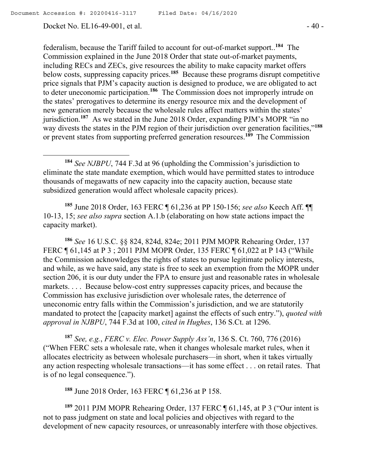Docket No. EL16-49-001, et al. - 40 -

federalism, because the Tariff failed to account for out-of-market support.. **184** The Commission explained in the June 2018 Order that state out-of-market payments, including RECs and ZECs, give resources the ability to make capacity market offers below costs, suppressing capacity prices.**<sup>185</sup>** Because these programs disrupt competitive price signals that PJM's capacity auction is designed to produce, we are obligated to act to deter uneconomic participation. **186** The Commission does not improperly intrude on the states' prerogatives to determine its energy resource mix and the development of new generation merely because the wholesale rules affect matters within the states' jurisdiction.<sup>187</sup> As we stated in the June 2018 Order, expanding PJM's MOPR "in no way divests the states in the PJM region of their jurisdiction over generation facilities,"**<sup>188</sup>** or prevent states from supporting preferred generation resources.**<sup>189</sup>** The Commission

**<sup>184</sup>** *See NJBPU*, 744 F.3d at 96 (upholding the Commission's jurisdiction to eliminate the state mandate exemption, which would have permitted states to introduce thousands of megawatts of new capacity into the capacity auction, because state subsidized generation would affect wholesale capacity prices).

**<sup>185</sup>** June 2018 Order, 163 FERC ¶ 61,236 at PP 150-156; *see also* Keech Aff. ¶¶ 10-13, 15; *see also supra* section A.1.b (elaborating on how state actions impact the capacity market).

**<sup>186</sup>** *See* 16 U.S.C. §§ 824, 824d, 824e; 2011 PJM MOPR Rehearing Order, 137 FERC ¶ 61,145 at P 3 ; 2011 PJM MOPR Order, 135 FERC ¶ 61,022 at P 143 ("While the Commission acknowledges the rights of states to pursue legitimate policy interests, and while, as we have said, any state is free to seek an exemption from the MOPR under section 206, it is our duty under the FPA to ensure just and reasonable rates in wholesale markets. . . . Because below-cost entry suppresses capacity prices, and because the Commission has exclusive jurisdiction over wholesale rates, the deterrence of uneconomic entry falls within the Commission's jurisdiction, and we are statutorily mandated to protect the [capacity market] against the effects of such entry."), *quoted with approval in NJBPU*, 744 F.3d at 100, *cited in Hughes*, 136 S.Ct. at 1296.

**<sup>187</sup>** *See, e.g.*, *FERC v. Elec. Power Supply Ass'n*, 136 S. Ct. 760, 776 (2016) ("When FERC sets a wholesale rate, when it changes wholesale market rules, when it allocates electricity as between wholesale purchasers—in short, when it takes virtually any action respecting wholesale transactions—it has some effect . . . on retail rates. That is of no legal consequence.").

**<sup>188</sup>** June 2018 Order, 163 FERC ¶ 61,236 at P 158.

**<sup>189</sup>** 2011 PJM MOPR Rehearing Order, 137 FERC ¶ 61,145, at P 3 ("Our intent is not to pass judgment on state and local policies and objectives with regard to the development of new capacity resources, or unreasonably interfere with those objectives.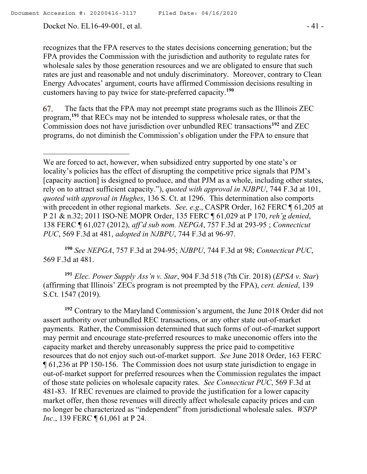Docket No. EL16-49-001, et al. - 41 -

recognizes that the FPA reserves to the states decisions concerning generation; but the FPA provides the Commission with the jurisdiction and authority to regulate rates for wholesale sales by those generation resources and we are obligated to ensure that such rates are just and reasonable and not unduly discriminatory. Moreover, contrary to Clean Energy Advocates' argument, courts have affirmed Commission decisions resulting in customers having to pay twice for state-preferred capacity. **190**

67. The facts that the FPA may not preempt state programs such as the Illinois ZEC program,**<sup>191</sup>** that RECs may not be intended to suppress wholesale rates, or that the Commission does not have jurisdiction over unbundled REC transactions**<sup>192</sup>** and ZEC programs, do not diminish the Commission's obligation under the FPA to ensure that

**<sup>190</sup>** *See NEPGA*, 757 F.3d at 294-95; *NJBPU*, 744 F.3d at 98; *Connecticut PUC*, 569 F.3d at 481.

**<sup>191</sup>** *Elec. Power Supply Ass'n v. Star*, 904 F.3d 518 (7th Cir. 2018) (*EPSA v. Star*) (affirming that Illinois' ZECs program is not preempted by the FPA), *cert. denied*, 139 S.Ct. 1547 (2019).

**<sup>192</sup>** Contrary to the Maryland Commission's argument, the June 2018 Order did not assert authority over unbundled REC transactions, or any other state out-of-market payments. Rather, the Commission determined that such forms of out-of-market support may permit and encourage state-preferred resources to make uneconomic offers into the capacity market and thereby unreasonably suppress the price paid to competitive resources that do not enjoy such out-of-market support. *See* June 2018 Order, 163 FERC ¶ 61,236 at PP 150-156. The Commission does not usurp state jurisdiction to engage in out-of-market support for preferred resources when the Commission regulates the impact of those state policies on wholesale capacity rates. *See Connecticut PUC*, 569 F.3d at 481-83. If REC revenues are claimed to provide the justification for a lower capacity market offer, then those revenues will directly affect wholesale capacity prices and can no longer be characterized as "independent" from jurisdictional wholesale sales. *WSPP Inc.*, 139 FERC ¶ 61,061 at P 24.

We are forced to act, however, when subsidized entry supported by one state's or locality's policies has the effect of disrupting the competitive price signals that PJM's [capacity auction] is designed to produce, and that PJM as a whole, including other states, rely on to attract sufficient capacity."), *quoted with approval in NJBPU*, 744 F.3d at 101, *quoted with approval in Hughes*, 136 S. Ct. at 1296. This determination also comports with precedent in other regional markets. *See, e.g*., CASPR Order, 162 FERC ¶ 61,205 at P 21 & n.32; 2011 ISO-NE MOPR Order, 135 FERC ¶ 61,029 at P 170, *reh'g denied*, 138 FERC ¶ 61,027 (2012), *aff'd sub nom. NEPGA*, 757 F.3d at 293-95 ; *Connecticut PUC*, 569 F.3d at 481, *adopted in NJBPU*, 744 F.3d at 96-97.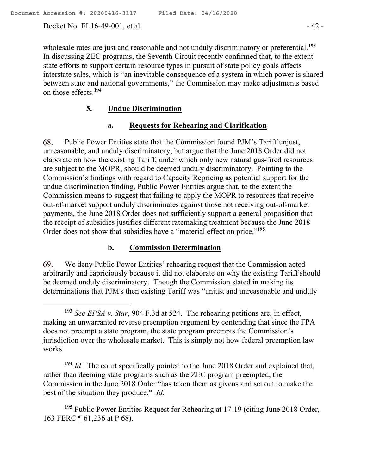Docket No. EL16-49-001, et al. - 42 -

wholesale rates are just and reasonable and not unduly discriminatory or preferential.**<sup>193</sup>** In discussing ZEC programs, the Seventh Circuit recently confirmed that, to the extent state efforts to support certain resource types in pursuit of state policy goals affects interstate sales, which is "an inevitable consequence of a system in which power is shared between state and national governments," the Commission may make adjustments based on those effects.**<sup>194</sup>**

## **5. Undue Discrimination**

## **a. Requests for Rehearing and Clarification**

Public Power Entities state that the Commission found PJM's Tariff unjust, 68. unreasonable, and unduly discriminatory, but argue that the June 2018 Order did not elaborate on how the existing Tariff, under which only new natural gas-fired resources are subject to the MOPR, should be deemed unduly discriminatory. Pointing to the Commission's findings with regard to Capacity Repricing as potential support for the undue discrimination finding, Public Power Entities argue that, to the extent the Commission means to suggest that failing to apply the MOPR to resources that receive out-of-market support unduly discriminates against those not receiving out-of-market payments, the June 2018 Order does not sufficiently support a general proposition that the receipt of subsidies justifies different ratemaking treatment because the June 2018 Order does not show that subsidies have a "material effect on price."**<sup>195</sup>**

### **b. Commission Determination**

69. We deny Public Power Entities' rehearing request that the Commission acted arbitrarily and capriciously because it did not elaborate on why the existing Tariff should be deemed unduly discriminatory. Though the Commission stated in making its determinations that PJM's then existing Tariff was "unjust and unreasonable and unduly

**<sup>194</sup>** *Id*. The court specifically pointed to the June 2018 Order and explained that, rather than deeming state programs such as the ZEC program preempted, the Commission in the June 2018 Order "has taken them as givens and set out to make the best of the situation they produce." *Id*.

**<sup>195</sup>** Public Power Entities Request for Rehearing at 17-19 (citing June 2018 Order, 163 FERC ¶ 61,236 at P 68).

**<sup>193</sup>** *See EPSA v. Star*, 904 F.3d at 524. The rehearing petitions are, in effect, making an unwarranted reverse preemption argument by contending that since the FPA does not preempt a state program, the state program preempts the Commission's jurisdiction over the wholesale market. This is simply not how federal preemption law works.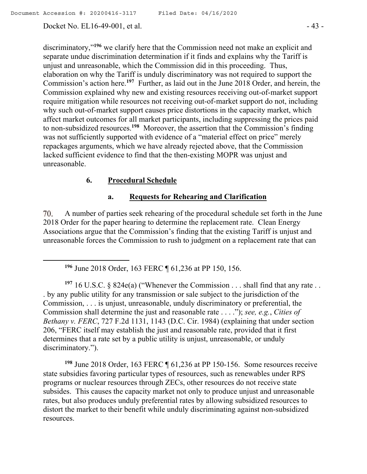Docket No. EL16-49-001, et al. - 43 -

discriminatory,"**<sup>196</sup>** we clarify here that the Commission need not make an explicit and separate undue discrimination determination if it finds and explains why the Tariff is unjust and unreasonable, which the Commission did in this proceeding. Thus, elaboration on why the Tariff is unduly discriminatory was not required to support the Commission's action here. **<sup>197</sup>** Further, as laid out in the June 2018 Order, and herein, the Commission explained why new and existing resources receiving out-of-market support require mitigation while resources not receiving out-of-market support do not, including why such out-of-market support causes price distortions in the capacity market, which affect market outcomes for all market participants, including suppressing the prices paid to non-subsidized resources. **198** Moreover, the assertion that the Commission's finding was not sufficiently supported with evidence of a "material effect on price" merely repackages arguments, which we have already rejected above, that the Commission lacked sufficient evidence to find that the then-existing MOPR was unjust and unreasonable.

## **6. Procedural Schedule**

## **a. Requests for Rehearing and Clarification**

A number of parties seek rehearing of the procedural schedule set forth in the June 70. 2018 Order for the paper hearing to determine the replacement rate. Clean Energy Associations argue that the Commission's finding that the existing Tariff is unjust and unreasonable forces the Commission to rush to judgment on a replacement rate that can

**<sup>196</sup>** June 2018 Order, 163 FERC ¶ 61,236 at PP 150, 156.

<sup>197</sup> 16 U.S.C. § 824e(a) ("Whenever the Commission  $\dots$  shall find that any rate  $\dots$ . by any public utility for any transmission or sale subject to the jurisdiction of the Commission, . . . is unjust, unreasonable, unduly discriminatory or preferential, the Commission shall determine the just and reasonable rate . . . ."); *see, e.g.*, *Cities of Bethany v. FERC*, 727 F.2d 1131, 1143 (D.C. Cir. 1984) (explaining that under section 206, "FERC itself may establish the just and reasonable rate, provided that it first determines that a rate set by a public utility is unjust, unreasonable, or unduly discriminatory.").

**<sup>198</sup>** June 2018 Order, 163 FERC ¶ 61,236 at PP 150-156. Some resources receive state subsidies favoring particular types of resources, such as renewables under RPS programs or nuclear resources through ZECs, other resources do not receive state subsides. This causes the capacity market not only to produce unjust and unreasonable rates, but also produces unduly preferential rates by allowing subsidized resources to distort the market to their benefit while unduly discriminating against non-subsidized resources.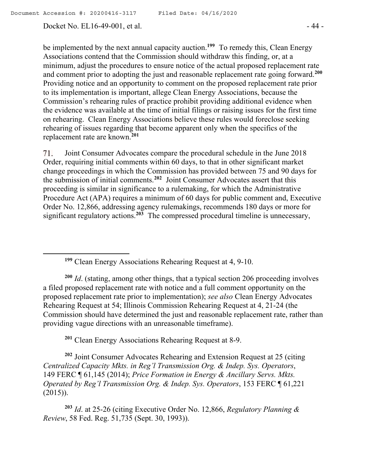Docket No. EL16-49-001, et al. - 44 -

be implemented by the next annual capacity auction.**<sup>199</sup>** To remedy this, Clean Energy Associations contend that the Commission should withdraw this finding, or, at a minimum, adjust the procedures to ensure notice of the actual proposed replacement rate and comment prior to adopting the just and reasonable replacement rate going forward.**<sup>200</sup>** Providing notice and an opportunity to comment on the proposed replacement rate prior to its implementation is important, allege Clean Energy Associations, because the Commission's rehearing rules of practice prohibit providing additional evidence when the evidence was available at the time of initial filings or raising issues for the first time on rehearing. Clean Energy Associations believe these rules would foreclose seeking rehearing of issues regarding that become apparent only when the specifics of the replacement rate are known.**<sup>201</sup>**

71. Joint Consumer Advocates compare the procedural schedule in the June 2018 Order, requiring initial comments within 60 days, to that in other significant market change proceedings in which the Commission has provided between 75 and 90 days for the submission of initial comments.**<sup>202</sup>** Joint Consumer Advocates assert that this proceeding is similar in significance to a rulemaking, for which the Administrative Procedure Act (APA) requires a minimum of 60 days for public comment and, Executive Order No. 12,866, addressing agency rulemakings, recommends 180 days or more for significant regulatory actions.**<sup>203</sup>** The compressed procedural timeline is unnecessary,

**<sup>199</sup>** Clean Energy Associations Rehearing Request at 4, 9-10.

**<sup>200</sup>** *Id*. (stating, among other things, that a typical section 206 proceeding involves a filed proposed replacement rate with notice and a full comment opportunity on the proposed replacement rate prior to implementation); *see also* Clean Energy Advocates Rehearing Request at 54; Illinois Commission Rehearing Request at 4, 21-24 (the Commission should have determined the just and reasonable replacement rate, rather than providing vague directions with an unreasonable timeframe).

**<sup>201</sup>** Clean Energy Associations Rehearing Request at 8-9.

**<sup>202</sup>** Joint Consumer Advocates Rehearing and Extension Request at 25 (citing *Centralized Capacity Mkts. in Reg'l Transmission Org. & Indep. Sys. Operators*, 149 FERC ¶ 61,145 (2014); *Price Formation in Energy & Ancillary Servs. Mkts. Operated by Reg'l Transmission Org. & Indep. Sys. Operators*, 153 FERC ¶ 61,221 (2015)).

**<sup>203</sup>** *Id*. at 25-26 (citing Executive Order No. 12,866, *Regulatory Planning & Review*, 58 Fed. Reg. 51,735 (Sept. 30, 1993)).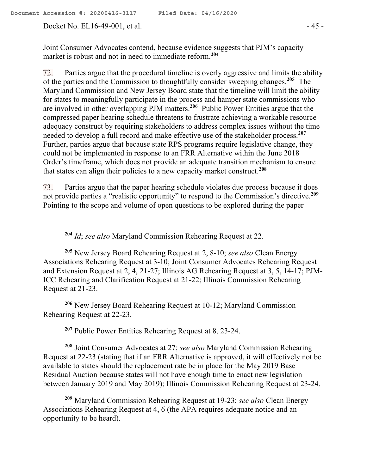Docket No. EL16-49-001, et al. - 45 -

 $\overline{a}$ 

Joint Consumer Advocates contend, because evidence suggests that PJM's capacity market is robust and not in need to immediate reform.**<sup>204</sup>**

72. Parties argue that the procedural timeline is overly aggressive and limits the ability of the parties and the Commission to thoughtfully consider sweeping changes.**<sup>205</sup>** The Maryland Commission and New Jersey Board state that the timeline will limit the ability for states to meaningfully participate in the process and hamper state commissions who are involved in other overlapping PJM matters.**<sup>206</sup>** Public Power Entities argue that the compressed paper hearing schedule threatens to frustrate achieving a workable resource adequacy construct by requiring stakeholders to address complex issues without the time needed to develop a full record and make effective use of the stakeholder process.**<sup>207</sup>** Further, parties argue that because state RPS programs require legislative change, they could not be implemented in response to an FRR Alternative within the June 2018 Order's timeframe, which does not provide an adequate transition mechanism to ensure that states can align their policies to a new capacity market construct.**<sup>208</sup>**

Parties argue that the paper hearing schedule violates due process because it does 73. not provide parties a "realistic opportunity" to respond to the Commission's directive.**<sup>209</sup>** Pointing to the scope and volume of open questions to be explored during the paper

**<sup>204</sup>** *Id*; *see also* Maryland Commission Rehearing Request at 22.

**<sup>205</sup>** New Jersey Board Rehearing Request at 2, 8-10; *see also* Clean Energy Associations Rehearing Request at 3-10; Joint Consumer Advocates Rehearing Request and Extension Request at 2, 4, 21-27; Illinois AG Rehearing Request at 3, 5, 14-17; PJM-ICC Rehearing and Clarification Request at 21-22; Illinois Commission Rehearing Request at 21-23.

**<sup>206</sup>** New Jersey Board Rehearing Request at 10-12; Maryland Commission Rehearing Request at 22-23.

**<sup>207</sup>** Public Power Entities Rehearing Request at 8, 23-24.

**<sup>208</sup>** Joint Consumer Advocates at 27; *see also* Maryland Commission Rehearing Request at 22-23 (stating that if an FRR Alternative is approved, it will effectively not be available to states should the replacement rate be in place for the May 2019 Base Residual Auction because states will not have enough time to enact new legislation between January 2019 and May 2019); Illinois Commission Rehearing Request at 23-24.

**<sup>209</sup>** Maryland Commission Rehearing Request at 19-23; *see also* Clean Energy Associations Rehearing Request at 4, 6 (the APA requires adequate notice and an opportunity to be heard).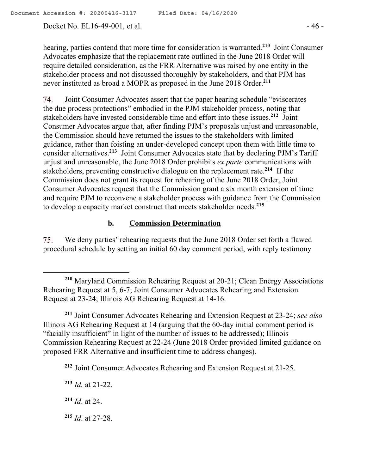Docket No. EL16-49-001, et al. - 46 -

hearing, parties contend that more time for consideration is warranted.**<sup>210</sup>** Joint Consumer Advocates emphasize that the replacement rate outlined in the June 2018 Order will require detailed consideration, as the FRR Alternative was raised by one entity in the stakeholder process and not discussed thoroughly by stakeholders, and that PJM has never instituted as broad a MOPR as proposed in the June 2018 Order. **211**

Joint Consumer Advocates assert that the paper hearing schedule "eviscerates 74. the due process protections" embodied in the PJM stakeholder process, noting that stakeholders have invested considerable time and effort into these issues.**<sup>212</sup>** Joint Consumer Advocates argue that, after finding PJM's proposals unjust and unreasonable, the Commission should have returned the issues to the stakeholders with limited guidance, rather than foisting an under-developed concept upon them with little time to consider alternatives. **213** Joint Consumer Advocates state that by declaring PJM's Tariff unjust and unreasonable, the June 2018 Order prohibits *ex parte* communications with stakeholders, preventing constructive dialogue on the replacement rate.**<sup>214</sup>** If the Commission does not grant its request for rehearing of the June 2018 Order, Joint Consumer Advocates request that the Commission grant a six month extension of time and require PJM to reconvene a stakeholder process with guidance from the Commission to develop a capacity market construct that meets stakeholder needs.**<sup>215</sup>**

### **b. Commission Determination**

We deny parties' rehearing requests that the June 2018 Order set forth a flawed 75. procedural schedule by setting an initial 60 day comment period, with reply testimony

**<sup>211</sup>** Joint Consumer Advocates Rehearing and Extension Request at 23-24; *see also* Illinois AG Rehearing Request at 14 (arguing that the 60-day initial comment period is "facially insufficient" in light of the number of issues to be addressed); Illinois Commission Rehearing Request at 22-24 (June 2018 Order provided limited guidance on proposed FRR Alternative and insufficient time to address changes).

**<sup>212</sup>** Joint Consumer Advocates Rehearing and Extension Request at 21-25.

**<sup>213</sup>** *Id.* at 21-22.

**<sup>214</sup>** *Id*. at 24.

 $\overline{a}$ 

**<sup>215</sup>** *Id*. at 27-28.

**<sup>210</sup>** Maryland Commission Rehearing Request at 20-21; Clean Energy Associations Rehearing Request at 5, 6-7; Joint Consumer Advocates Rehearing and Extension Request at 23-24; Illinois AG Rehearing Request at 14-16.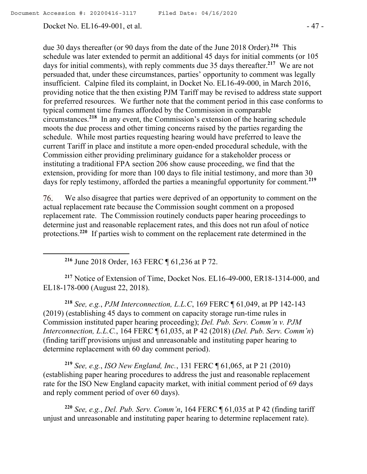Docket No. EL16-49-001, et al. - 47 -

due 30 days thereafter (or 90 days from the date of the June 2018 Order).**<sup>216</sup>** This schedule was later extended to permit an additional 45 days for initial comments (or 105 days for initial comments), with reply comments due 35 days thereafter.**<sup>217</sup>** We are not persuaded that, under these circumstances, parties' opportunity to comment was legally insufficient. Calpine filed its complaint, in Docket No. EL16-49-000, in March 2016, providing notice that the then existing PJM Tariff may be revised to address state support for preferred resources. We further note that the comment period in this case conforms to typical comment time frames afforded by the Commission in comparable circumstances. **218** In any event, the Commission's extension of the hearing schedule moots the due process and other timing concerns raised by the parties regarding the schedule. While most parties requesting hearing would have preferred to leave the current Tariff in place and institute a more open-ended procedural schedule, with the Commission either providing preliminary guidance for a stakeholder process or instituting a traditional FPA section 206 show cause proceeding, we find that the extension, providing for more than 100 days to file initial testimony, and more than 30 days for reply testimony, afforded the parties a meaningful opportunity for comment.**<sup>219</sup>**

We also disagree that parties were deprived of an opportunity to comment on the 76. actual replacement rate because the Commission sought comment on a proposed replacement rate. The Commission routinely conducts paper hearing proceedings to determine just and reasonable replacement rates, and this does not run afoul of notice protections.<sup>220</sup> If parties wish to comment on the replacement rate determined in the

**<sup>216</sup>** June 2018 Order, 163 FERC ¶ 61,236 at P 72.

**<sup>217</sup>** Notice of Extension of Time, Docket Nos. EL16-49-000, ER18-1314-000, and EL18-178-000 (August 22, 2018).

**<sup>218</sup>** *See, e.g.*, *PJM Interconnection, L.L.C*, 169 FERC ¶ 61,049, at PP 142-143 (2019) (establishing 45 days to comment on capacity storage run-time rules in Commission instituted paper hearing proceeding); *Del. Pub. Serv. Comm'n v. PJM Interconnection, L.L.C.*, 164 FERC ¶ 61,035, at P 42 (2018) (*Del. Pub. Serv. Comm'n*) (finding tariff provisions unjust and unreasonable and instituting paper hearing to determine replacement with 60 day comment period).

**<sup>219</sup>** *See, e.g.*, *ISO New England, Inc.*, 131 FERC ¶ 61,065, at P 21 (2010) (establishing paper hearing procedures to address the just and reasonable replacement rate for the ISO New England capacity market, with initial comment period of 69 days and reply comment period of over 60 days).

**<sup>220</sup>** *See, e.g.*, *Del. Pub. Serv. Comm'n*, 164 FERC ¶ 61,035 at P 42 (finding tariff unjust and unreasonable and instituting paper hearing to determine replacement rate).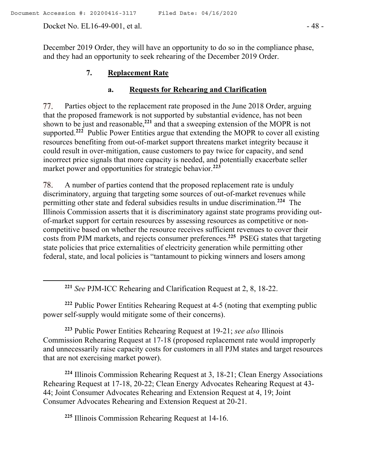Docket No. EL16-49-001, et al. - 48 -

 $\overline{a}$ 

December 2019 Order, they will have an opportunity to do so in the compliance phase, and they had an opportunity to seek rehearing of the December 2019 Order.

### **7. Replacement Rate**

#### **a. Requests for Rehearing and Clarification**

77. Parties object to the replacement rate proposed in the June 2018 Order, arguing that the proposed framework is not supported by substantial evidence, has not been shown to be just and reasonable,**<sup>221</sup>** and that a sweeping extension of the MOPR is not supported.<sup>222</sup> Public Power Entities argue that extending the MOPR to cover all existing resources benefiting from out-of-market support threatens market integrity because it could result in over-mitigation, cause customers to pay twice for capacity, and send incorrect price signals that more capacity is needed, and potentially exacerbate seller market power and opportunities for strategic behavior.**<sup>223</sup>**

78. A number of parties contend that the proposed replacement rate is unduly discriminatory, arguing that targeting some sources of out-of-market revenues while permitting other state and federal subsidies results in undue discrimination. **224** The Illinois Commission asserts that it is discriminatory against state programs providing outof-market support for certain resources by assessing resources as competitive or noncompetitive based on whether the resource receives sufficient revenues to cover their costs from PJM markets, and rejects consumer preferences.**<sup>225</sup>** PSEG states that targeting state policies that price externalities of electricity generation while permitting other federal, state, and local policies is "tantamount to picking winners and losers among

**<sup>222</sup>** Public Power Entities Rehearing Request at 4-5 (noting that exempting public power self-supply would mitigate some of their concerns).

**<sup>223</sup>** Public Power Entities Rehearing Request at 19-21; *see also* Illinois Commission Rehearing Request at 17-18 (proposed replacement rate would improperly and unnecessarily raise capacity costs for customers in all PJM states and target resources that are not exercising market power).

**<sup>224</sup>** Illinois Commission Rehearing Request at 3, 18-21; Clean Energy Associations Rehearing Request at 17-18, 20-22; Clean Energy Advocates Rehearing Request at 43- 44; Joint Consumer Advocates Rehearing and Extension Request at 4, 19; Joint Consumer Advocates Rehearing and Extension Request at 20-21.

**<sup>225</sup>** Illinois Commission Rehearing Request at 14-16.

**<sup>221</sup>** *See* PJM-ICC Rehearing and Clarification Request at 2, 8, 18-22.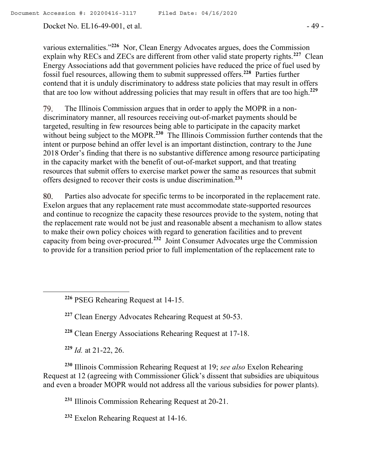Docket No. EL16-49-001, et al. - 49 -

various externalities."**<sup>226</sup>** Nor, Clean Energy Advocates argues, does the Commission explain why RECs and ZECs are different from other valid state property rights.<sup>227</sup> Clean Energy Associations add that government policies have reduced the price of fuel used by fossil fuel resources, allowing them to submit suppressed offers.**<sup>228</sup>** Parties further contend that it is unduly discriminatory to address state policies that may result in offers that are too low without addressing policies that may result in offers that are too high.**<sup>229</sup>**

79. The Illinois Commission argues that in order to apply the MOPR in a nondiscriminatory manner, all resources receiving out-of-market payments should be targeted, resulting in few resources being able to participate in the capacity market without being subject to the MOPR.<sup>230</sup> The Illinois Commission further contends that the intent or purpose behind an offer level is an important distinction, contrary to the June 2018 Order's finding that there is no substantive difference among resource participating in the capacity market with the benefit of out-of-market support, and that treating resources that submit offers to exercise market power the same as resources that submit offers designed to recover their costs is undue discrimination.**<sup>231</sup>**

80. Parties also advocate for specific terms to be incorporated in the replacement rate. Exelon argues that any replacement rate must accommodate state-supported resources and continue to recognize the capacity these resources provide to the system, noting that the replacement rate would not be just and reasonable absent a mechanism to allow states to make their own policy choices with regard to generation facilities and to prevent capacity from being over-procured.**<sup>232</sup>** Joint Consumer Advocates urge the Commission to provide for a transition period prior to full implementation of the replacement rate to

**<sup>226</sup>** PSEG Rehearing Request at 14-15.

**<sup>227</sup>** Clean Energy Advocates Rehearing Request at 50-53.

**<sup>228</sup>** Clean Energy Associations Rehearing Request at 17-18.

**<sup>229</sup>** *Id.* at 21-22, 26.

 $\overline{a}$ 

**<sup>230</sup>** Illinois Commission Rehearing Request at 19; *see also* Exelon Rehearing Request at 12 (agreeing with Commissioner Glick's dissent that subsidies are ubiquitous and even a broader MOPR would not address all the various subsidies for power plants).

**<sup>231</sup>** Illinois Commission Rehearing Request at 20-21.

**<sup>232</sup>** Exelon Rehearing Request at 14-16.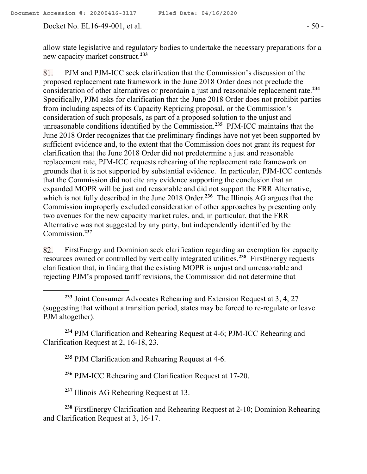Docket No. EL16-49-001, et al. - 50 -

allow state legislative and regulatory bodies to undertake the necessary preparations for a new capacity market construct.**<sup>233</sup>**

81. PJM and PJM-ICC seek clarification that the Commission's discussion of the proposed replacement rate framework in the June 2018 Order does not preclude the consideration of other alternatives or preordain a just and reasonable replacement rate. **234** Specifically, PJM asks for clarification that the June 2018 Order does not prohibit parties from including aspects of its Capacity Repricing proposal, or the Commission's consideration of such proposals, as part of a proposed solution to the unjust and unreasonable conditions identified by the Commission.**<sup>235</sup>** PJM-ICC maintains that the June 2018 Order recognizes that the preliminary findings have not yet been supported by sufficient evidence and, to the extent that the Commission does not grant its request for clarification that the June 2018 Order did not predetermine a just and reasonable replacement rate, PJM-ICC requests rehearing of the replacement rate framework on grounds that it is not supported by substantial evidence. In particular, PJM-ICC contends that the Commission did not cite any evidence supporting the conclusion that an expanded MOPR will be just and reasonable and did not support the FRR Alternative, which is not fully described in the June 2018 Order.<sup>236</sup> The Illinois AG argues that the Commission improperly excluded consideration of other approaches by presenting only two avenues for the new capacity market rules, and, in particular, that the FRR Alternative was not suggested by any party, but independently identified by the Commission.**<sup>237</sup>**

FirstEnergy and Dominion seek clarification regarding an exemption for capacity 82. resources owned or controlled by vertically integrated utilities.**<sup>238</sup>** FirstEnergy requests clarification that, in finding that the existing MOPR is unjust and unreasonable and rejecting PJM's proposed tariff revisions, the Commission did not determine that

**<sup>234</sup>** PJM Clarification and Rehearing Request at 4-6; PJM-ICC Rehearing and Clarification Request at 2, 16-18, 23.

**<sup>235</sup>** PJM Clarification and Rehearing Request at 4-6.

**<sup>236</sup>** PJM-ICC Rehearing and Clarification Request at 17-20.

**<sup>237</sup>** Illinois AG Rehearing Request at 13.

**<sup>238</sup>** FirstEnergy Clarification and Rehearing Request at 2-10; Dominion Rehearing and Clarification Request at 3, 16-17.

**<sup>233</sup>** Joint Consumer Advocates Rehearing and Extension Request at 3, 4, 27 (suggesting that without a transition period, states may be forced to re-regulate or leave PJM altogether).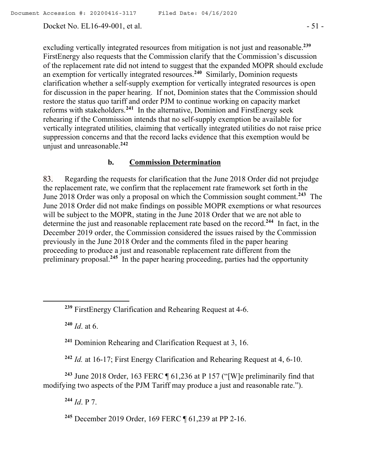Docket No. EL16-49-001, et al. - 51 -

excluding vertically integrated resources from mitigation is not just and reasonable.**<sup>239</sup>** FirstEnergy also requests that the Commission clarify that the Commission's discussion of the replacement rate did not intend to suggest that the expanded MOPR should exclude an exemption for vertically integrated resources.**<sup>240</sup>** Similarly, Dominion requests clarification whether a self-supply exemption for vertically integrated resources is open for discussion in the paper hearing. If not, Dominion states that the Commission should restore the status quo tariff and order PJM to continue working on capacity market reforms with stakeholders.**<sup>241</sup>** In the alternative, Dominion and FirstEnergy seek rehearing if the Commission intends that no self-supply exemption be available for vertically integrated utilities, claiming that vertically integrated utilities do not raise price suppression concerns and that the record lacks evidence that this exemption would be unjust and unreasonable.**<sup>242</sup>**

# **b. Commission Determination**

83. Regarding the requests for clarification that the June 2018 Order did not prejudge the replacement rate, we confirm that the replacement rate framework set forth in the June 2018 Order was only a proposal on which the Commission sought comment.**<sup>243</sup>** The June 2018 Order did not make findings on possible MOPR exemptions or what resources will be subject to the MOPR, stating in the June 2018 Order that we are not able to determine the just and reasonable replacement rate based on the record. **<sup>244</sup>** In fact, in the December 2019 order, the Commission considered the issues raised by the Commission previously in the June 2018 Order and the comments filed in the paper hearing proceeding to produce a just and reasonable replacement rate different from the preliminary proposal.**<sup>245</sup>** In the paper hearing proceeding, parties had the opportunity

**<sup>240</sup>** *Id*. at 6.

 $\overline{a}$ 

**<sup>241</sup>** Dominion Rehearing and Clarification Request at 3, 16.

**<sup>242</sup>** *Id.* at 16-17; First Energy Clarification and Rehearing Request at 4, 6-10.

**<sup>243</sup>** June 2018 Order, 163 FERC ¶ 61,236 at P 157 ("[W]e preliminarily find that modifying two aspects of the PJM Tariff may produce a just and reasonable rate.").

**<sup>244</sup>** *Id*. P 7.

**<sup>245</sup>** December 2019 Order, 169 FERC ¶ 61,239 at PP 2-16.

**<sup>239</sup>** FirstEnergy Clarification and Rehearing Request at 4-6.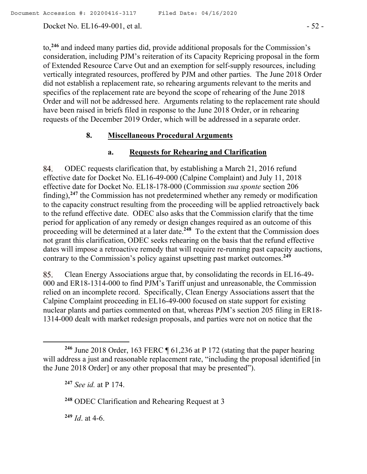Docket No. EL16-49-001, et al. - 52 -

to, **<sup>246</sup>** and indeed many parties did, provide additional proposals for the Commission's consideration, including PJM's reiteration of its Capacity Repricing proposal in the form of Extended Resource Carve Out and an exemption for self-supply resources, including vertically integrated resources, proffered by PJM and other parties. The June 2018 Order did not establish a replacement rate, so rehearing arguments relevant to the merits and specifics of the replacement rate are beyond the scope of rehearing of the June 2018 Order and will not be addressed here. Arguments relating to the replacement rate should have been raised in briefs filed in response to the June 2018 Order, or in rehearing requests of the December 2019 Order, which will be addressed in a separate order.

## **8. Miscellaneous Procedural Arguments**

## **a. Requests for Rehearing and Clarification**

ODEC requests clarification that, by establishing a March 21, 2016 refund 84. effective date for Docket No. EL16-49-000 (Calpine Complaint) and July 11, 2018 effective date for Docket No. EL18-178-000 (Commission *sua sponte* section 206 finding),<sup>247</sup> the Commission has not predetermined whether any remedy or modification to the capacity construct resulting from the proceeding will be applied retroactively back to the refund effective date. ODEC also asks that the Commission clarify that the time period for application of any remedy or design changes required as an outcome of this proceeding will be determined at a later date.<sup>248</sup> To the extent that the Commission does not grant this clarification, ODEC seeks rehearing on the basis that the refund effective dates will impose a retroactive remedy that will require re-running past capacity auctions, contrary to the Commission's policy against upsetting past market outcomes.**<sup>249</sup>**

Clean Energy Associations argue that, by consolidating the records in EL16-49- 85. 000 and ER18-1314-000 to find PJM's Tariff unjust and unreasonable, the Commission relied on an incomplete record. Specifically, Clean Energy Associations assert that the Calpine Complaint proceeding in EL16-49-000 focused on state support for existing nuclear plants and parties commented on that, whereas PJM's section 205 filing in ER18- 1314-000 dealt with market redesign proposals, and parties were not on notice that the

**<sup>249</sup>** *Id*. at 4-6.

 $\overline{a}$ 

**<sup>246</sup>** June 2018 Order, 163 FERC ¶ 61,236 at P 172 (stating that the paper hearing will address a just and reasonable replacement rate, "including the proposal identified [in the June 2018 Order] or any other proposal that may be presented").

**<sup>247</sup>** *See id.* at P 174.

**<sup>248</sup>** ODEC Clarification and Rehearing Request at 3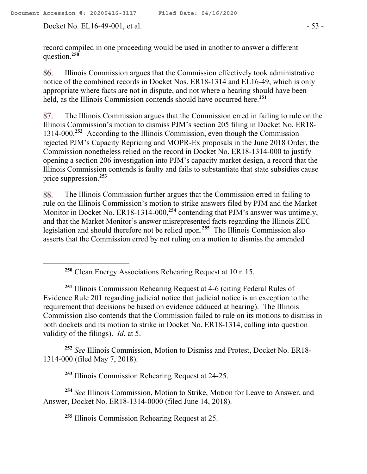Docket No. EL16-49-001, et al. - 53 -

record compiled in one proceeding would be used in another to answer a different question. **250**

Illinois Commission argues that the Commission effectively took administrative 86. notice of the combined records in Docket Nos. ER18-1314 and EL16-49, which is only appropriate where facts are not in dispute, and not where a hearing should have been held, as the Illinois Commission contends should have occurred here.**<sup>251</sup>**

87. The Illinois Commission argues that the Commission erred in failing to rule on the Illinois Commission's motion to dismiss PJM's section 205 filing in Docket No. ER18- 1314-000.**<sup>252</sup>** According to the Illinois Commission, even though the Commission rejected PJM's Capacity Repricing and MOPR-Ex proposals in the June 2018 Order, the Commission nonetheless relied on the record in Docket No. ER18-1314-000 to justify opening a section 206 investigation into PJM's capacity market design, a record that the Illinois Commission contends is faulty and fails to substantiate that state subsidies cause price suppression.**<sup>253</sup>**

88. The Illinois Commission further argues that the Commission erred in failing to rule on the Illinois Commission's motion to strike answers filed by PJM and the Market Monitor in Docket No. ER18-1314-000,<sup>254</sup> contending that PJM's answer was untimely, and that the Market Monitor's answer misrepresented facts regarding the Illinois ZEC legislation and should therefore not be relied upon.**<sup>255</sup>** The Illinois Commission also asserts that the Commission erred by not ruling on a motion to dismiss the amended

**<sup>251</sup>** Illinois Commission Rehearing Request at 4-6 (citing Federal Rules of Evidence Rule 201 regarding judicial notice that judicial notice is an exception to the requirement that decisions be based on evidence adduced at hearing). The Illinois Commission also contends that the Commission failed to rule on its motions to dismiss in both dockets and its motion to strike in Docket No. ER18-1314, calling into question validity of the filings). *Id*. at 5.

**<sup>252</sup>** *See* Illinois Commission, Motion to Dismiss and Protest, Docket No. ER18- 1314-000 (filed May 7, 2018).

**<sup>253</sup>** Illinois Commission Rehearing Request at 24-25.

**<sup>254</sup>** *See* Illinois Commission, Motion to Strike, Motion for Leave to Answer, and Answer, Docket No. ER18-1314-0000 (filed June 14, 2018).

**<sup>255</sup>** Illinois Commission Rehearing Request at 25.

**<sup>250</sup>** Clean Energy Associations Rehearing Request at 10 n.15.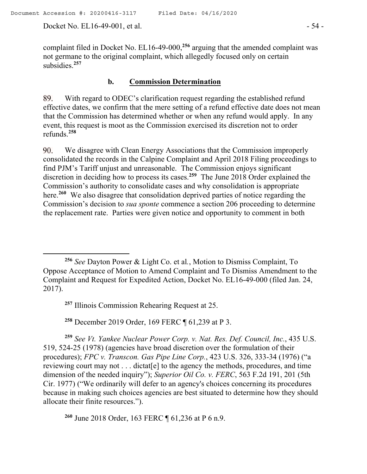Docket No. EL16-49-001, et al. - 54 -

 $\overline{a}$ 

complaint filed in Docket No. EL16-49-000,**<sup>256</sup>** arguing that the amended complaint was not germane to the original complaint, which allegedly focused only on certain subsidies. **257**

## **b. Commission Determination**

89. With regard to ODEC's clarification request regarding the established refund effective dates, we confirm that the mere setting of a refund effective date does not mean that the Commission has determined whether or when any refund would apply. In any event, this request is moot as the Commission exercised its discretion not to order refunds.**<sup>258</sup>**

We disagree with Clean Energy Associations that the Commission improperly 90. consolidated the records in the Calpine Complaint and April 2018 Filing proceedings to find PJM's Tariff unjust and unreasonable. The Commission enjoys significant discretion in deciding how to process its cases.**<sup>259</sup>** The June 2018 Order explained the Commission's authority to consolidate cases and why consolidation is appropriate here. **260** We also disagree that consolidation deprived parties of notice regarding the Commission's decision to *sua sponte* commence a section 206 proceeding to determine the replacement rate. Parties were given notice and opportunity to comment in both

**<sup>257</sup>** Illinois Commission Rehearing Request at 25.

**<sup>258</sup>** December 2019 Order, 169 FERC ¶ 61,239 at P 3.

**<sup>259</sup>** *See Vt. Yankee Nuclear Power Corp. v. Nat. Res. Def. Council, Inc.*, 435 U.S. 519, 524-25 (1978) (agencies have broad discretion over the formulation of their procedures); *FPC v. Transcon. Gas Pipe Line Corp.*, 423 U.S. 326, 333-34 (1976) ("a reviewing court may not . . . dictat[e] to the agency the methods, procedures, and time dimension of the needed inquiry"); *Superior Oil Co. v. FERC*, 563 F.2d 191, 201 (5th Cir. 1977) ("We ordinarily will defer to an agency's choices concerning its procedures because in making such choices agencies are best situated to determine how they should allocate their finite resources.").

**<sup>260</sup>** June 2018 Order, 163 FERC ¶ 61,236 at P 6 n.9.

**<sup>256</sup>** *See* Dayton Power & Light Co. et al*.*, Motion to Dismiss Complaint, To Oppose Acceptance of Motion to Amend Complaint and To Dismiss Amendment to the Complaint and Request for Expedited Action, Docket No. EL16-49-000 (filed Jan. 24, 2017).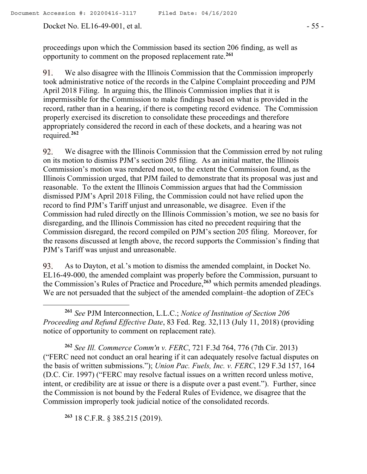proceedings upon which the Commission based its section 206 finding, as well as opportunity to comment on the proposed replacement rate.**<sup>261</sup>**

91. We also disagree with the Illinois Commission that the Commission improperly took administrative notice of the records in the Calpine Complaint proceeding and PJM April 2018 Filing. In arguing this, the Illinois Commission implies that it is impermissible for the Commission to make findings based on what is provided in the record, rather than in a hearing, if there is competing record evidence. The Commission properly exercised its discretion to consolidate these proceedings and therefore appropriately considered the record in each of these dockets, and a hearing was not required.**<sup>262</sup>**

92. We disagree with the Illinois Commission that the Commission erred by not ruling on its motion to dismiss PJM's section 205 filing. As an initial matter, the Illinois Commission's motion was rendered moot, to the extent the Commission found, as the Illinois Commission urged, that PJM failed to demonstrate that its proposal was just and reasonable. To the extent the Illinois Commission argues that had the Commission dismissed PJM's April 2018 Filing, the Commission could not have relied upon the record to find PJM's Tariff unjust and unreasonable, we disagree. Even if the Commission had ruled directly on the Illinois Commission's motion, we see no basis for disregarding, and the Illinois Commission has cited no precedent requiring that the Commission disregard, the record compiled on PJM's section 205 filing. Moreover, for the reasons discussed at length above, the record supports the Commission's finding that PJM's Tariff was unjust and unreasonable.

93. As to Dayton, et al*.*'s motion to dismiss the amended complaint, in Docket No. EL16-49-000, the amended complaint was properly before the Commission, pursuant to the Commission's Rules of Practice and Procedure, **<sup>263</sup>** which permits amended pleadings. We are not persuaded that the subject of the amended complaint–the adoption of ZECs

**<sup>261</sup>** *See* PJM Interconnection, L.L.C.; *Notice of Institution of Section 206 Proceeding and Refund Effective Date*, 83 Fed. Reg. 32,113 (July 11, 2018) (providing notice of opportunity to comment on replacement rate).

**<sup>262</sup>** *See Ill. Commerce Comm'n v. FERC*, 721 F.3d 764, 776 (7th Cir. 2013) ("FERC need not conduct an oral hearing if it can adequately resolve factual disputes on the basis of written submissions."); *Union Pac. Fuels, Inc. v. FERC*, 129 F.3d 157, 164 (D.C. Cir. 1997) ("FERC may resolve factual issues on a written record unless motive, intent, or credibility are at issue or there is a dispute over a past event."). Further, since the Commission is not bound by the Federal Rules of Evidence, we disagree that the Commission improperly took judicial notice of the consolidated records.

**<sup>263</sup>** 18 C.F.R. § 385.215 (2019).

 $\overline{a}$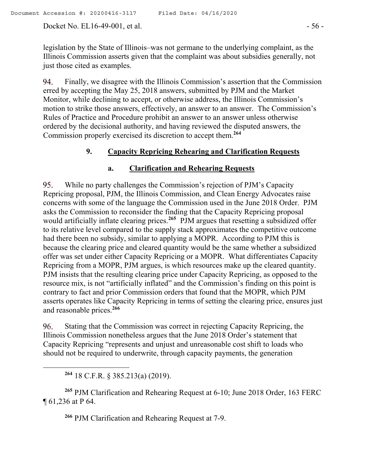Docket No. EL16-49-001, et al. - 56 -

legislation by the State of Illinois–was not germane to the underlying complaint, as the Illinois Commission asserts given that the complaint was about subsidies generally, not just those cited as examples.

94. Finally, we disagree with the Illinois Commission's assertion that the Commission erred by accepting the May 25, 2018 answers, submitted by PJM and the Market Monitor, while declining to accept, or otherwise address, the Illinois Commission's motion to strike those answers, effectively, an answer to an answer. The Commission's Rules of Practice and Procedure prohibit an answer to an answer unless otherwise ordered by the decisional authority, and having reviewed the disputed answers, the Commission properly exercised its discretion to accept them. **264**

## **9. Capacity Repricing Rehearing and Clarification Requests**

## **a. Clarification and Rehearing Requests**

95. While no party challenges the Commission's rejection of PJM's Capacity Repricing proposal, PJM, the Illinois Commission, and Clean Energy Advocates raise concerns with some of the language the Commission used in the June 2018 Order. PJM asks the Commission to reconsider the finding that the Capacity Repricing proposal would artificially inflate clearing prices.**<sup>265</sup>** PJM argues that resetting a subsidized offer to its relative level compared to the supply stack approximates the competitive outcome had there been no subsidy, similar to applying a MOPR. According to PJM this is because the clearing price and cleared quantity would be the same whether a subsidized offer was set under either Capacity Repricing or a MOPR. What differentiates Capacity Repricing from a MOPR, PJM argues, is which resources make up the cleared quantity. PJM insists that the resulting clearing price under Capacity Repricing, as opposed to the resource mix, is not "artificially inflated" and the Commission's finding on this point is contrary to fact and prior Commission orders that found that the MOPR, which PJM asserts operates like Capacity Repricing in terms of setting the clearing price, ensures just and reasonable prices.**<sup>266</sup>**

96. Stating that the Commission was correct in rejecting Capacity Repricing, the Illinois Commission nonetheless argues that the June 2018 Order's statement that Capacity Repricing "represents and unjust and unreasonable cost shift to loads who should not be required to underwrite, through capacity payments, the generation

**<sup>264</sup>** 18 C.F.R. § 385.213(a) (2019).

 $\overline{a}$ 

**<sup>265</sup>** PJM Clarification and Rehearing Request at 6-10; June 2018 Order, 163 FERC ¶ 61,236 at P 64.

**<sup>266</sup>** PJM Clarification and Rehearing Request at 7-9.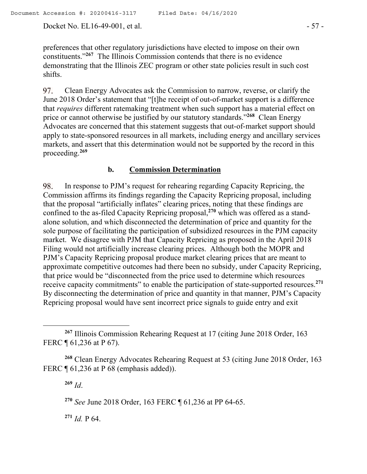Docket No. EL16-49-001, et al. - 57 -

preferences that other regulatory jurisdictions have elected to impose on their own constituents."**<sup>267</sup>** The Illinois Commission contends that there is no evidence demonstrating that the Illinois ZEC program or other state policies result in such cost shifts.

97. Clean Energy Advocates ask the Commission to narrow, reverse, or clarify the June 2018 Order's statement that "[t]he receipt of out-of-market support is a difference that *requires* different ratemaking treatment when such support has a material effect on price or cannot otherwise be justified by our statutory standards."**<sup>268</sup>** Clean Energy Advocates are concerned that this statement suggests that out-of-market support should apply to state-sponsored resources in all markets, including energy and ancillary services markets, and assert that this determination would not be supported by the record in this proceeding.**<sup>269</sup>**

# **b. Commission Determination**

In response to PJM's request for rehearing regarding Capacity Repricing, the 98. Commission affirms its findings regarding the Capacity Repricing proposal, including that the proposal "artificially inflates" clearing prices, noting that these findings are confined to the as-filed Capacity Repricing proposal,**<sup>270</sup>** which was offered as a standalone solution, and which disconnected the determination of price and quantity for the sole purpose of facilitating the participation of subsidized resources in the PJM capacity market. We disagree with PJM that Capacity Repricing as proposed in the April 2018 Filing would not artificially increase clearing prices. Although both the MOPR and PJM's Capacity Repricing proposal produce market clearing prices that are meant to approximate competitive outcomes had there been no subsidy, under Capacity Repricing, that price would be "disconnected from the price used to determine which resources receive capacity commitments" to enable the participation of state-supported resources.**<sup>271</sup>** By disconnecting the determination of price and quantity in that manner, PJM's Capacity Repricing proposal would have sent incorrect price signals to guide entry and exit

**<sup>269</sup>** *Id*.

 $\overline{a}$ 

**<sup>270</sup>** *See* June 2018 Order, 163 FERC ¶ 61,236 at PP 64-65.

**<sup>271</sup>** *Id.* P 64.

**<sup>267</sup>** Illinois Commission Rehearing Request at 17 (citing June 2018 Order, 163 FERC ¶ 61,236 at P 67).

**<sup>268</sup>** Clean Energy Advocates Rehearing Request at 53 (citing June 2018 Order, 163 FERC ¶ 61,236 at P 68 (emphasis added)).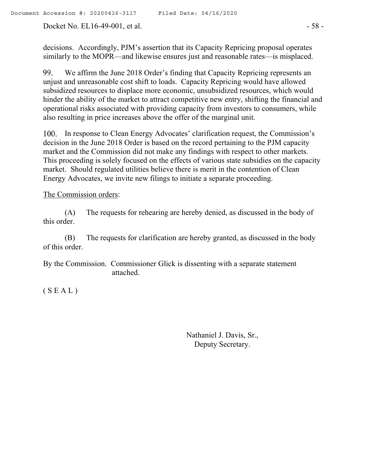Docket No. EL16-49-001, et al. - 58 -

decisions. Accordingly, PJM's assertion that its Capacity Repricing proposal operates similarly to the MOPR—and likewise ensures just and reasonable rates—is misplaced.

99. We affirm the June 2018 Order's finding that Capacity Repricing represents an unjust and unreasonable cost shift to loads. Capacity Repricing would have allowed subsidized resources to displace more economic, unsubsidized resources, which would hinder the ability of the market to attract competitive new entry, shifting the financial and operational risks associated with providing capacity from investors to consumers, while also resulting in price increases above the offer of the marginal unit.

100. In response to Clean Energy Advocates' clarification request, the Commission's decision in the June 2018 Order is based on the record pertaining to the PJM capacity market and the Commission did not make any findings with respect to other markets. This proceeding is solely focused on the effects of various state subsidies on the capacity market. Should regulated utilities believe there is merit in the contention of Clean Energy Advocates, we invite new filings to initiate a separate proceeding.

### The Commission orders:

(A) The requests for rehearing are hereby denied, as discussed in the body of this order.

(B) The requests for clarification are hereby granted, as discussed in the body of this order.

By the Commission. Commissioner Glick is dissenting with a separate statement attached.

 $(S E A L)$ 

Nathaniel J. Davis, Sr., Deputy Secretary.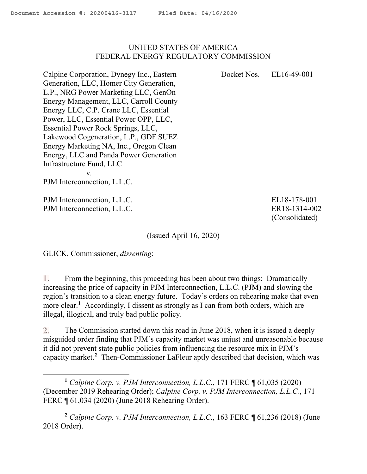#### UNITED STATES OF AMERICA FEDERAL ENERGY REGULATORY COMMISSION

Docket Nos. EL16-49-001

Calpine Corporation, Dynegy Inc., Eastern Generation, LLC, Homer City Generation, L.P., NRG Power Marketing LLC, GenOn Energy Management, LLC, Carroll County Energy LLC, C.P. Crane LLC, Essential Power, LLC, Essential Power OPP, LLC, Essential Power Rock Springs, LLC, Lakewood Cogeneration, L.P., GDF SUEZ Energy Marketing NA, Inc., Oregon Clean Energy, LLC and Panda Power Generation Infrastructure Fund, LLC v.

PJM Interconnection, L.L.C.

PJM Interconnection, L.L.C. PJM Interconnection, L.L.C.

 $\overline{a}$ 

EL18-178-001 ER18-1314-002 (Consolidated)

(Issued April 16, 2020)

GLICK, Commissioner, *dissenting*:

From the beginning, this proceeding has been about two things: Dramatically 1. increasing the price of capacity in PJM Interconnection, L.L.C. (PJM) and slowing the region's transition to a clean energy future. Today's orders on rehearing make that even more clear.**<sup>1</sup>** Accordingly, I dissent as strongly as I can from both orders, which are illegal, illogical, and truly bad public policy.

2. The Commission started down this road in June 2018, when it is issued a deeply misguided order finding that PJM's capacity market was unjust and unreasonable because it did not prevent state public policies from influencing the resource mix in PJM's capacity market.**<sup>2</sup>** Then-Commissioner LaFleur aptly described that decision, which was

**<sup>1</sup>** *Calpine Corp. v. PJM Interconnection, L.L.C.*, 171 FERC ¶ 61,035 (2020) (December 2019 Rehearing Order); *Calpine Corp. v. PJM Interconnection, L.L.C.*, 171 FERC ¶ 61,034 (2020) (June 2018 Rehearing Order).

**<sup>2</sup>** *Calpine Corp. v. PJM Interconnection, L.L.C.*, 163 FERC ¶ 61,236 (2018) (June 2018 Order).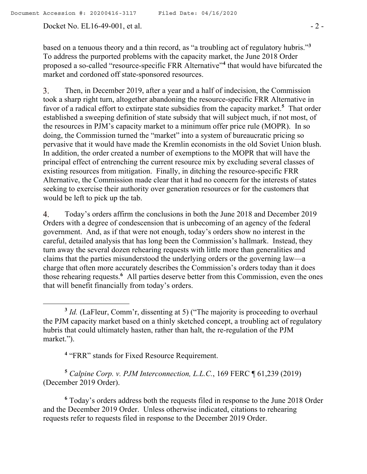Docket No. EL16-49-001, et al. - 2 -

 $\overline{a}$ 

based on a tenuous theory and a thin record, as "a troubling act of regulatory hubris."**<sup>3</sup>** To address the purported problems with the capacity market, the June 2018 Order proposed a so-called "resource-specific FRR Alternative"<sup>4</sup> that would have bifurcated the market and cordoned off state-sponsored resources.

3. Then, in December 2019, after a year and a half of indecision, the Commission took a sharp right turn, altogether abandoning the resource-specific FRR Alternative in favor of a radical effort to extirpate state subsidies from the capacity market.**<sup>5</sup>** That order established a sweeping definition of state subsidy that will subject much, if not most, of the resources in PJM's capacity market to a minimum offer price rule (MOPR). In so doing, the Commission turned the "market" into a system of bureaucratic pricing so pervasive that it would have made the Kremlin economists in the old Soviet Union blush. In addition, the order created a number of exemptions to the MOPR that will have the principal effect of entrenching the current resource mix by excluding several classes of existing resources from mitigation. Finally, in ditching the resource-specific FRR Alternative, the Commission made clear that it had no concern for the interests of states seeking to exercise their authority over generation resources or for the customers that would be left to pick up the tab.

4. Today's orders affirm the conclusions in both the June 2018 and December 2019 Orders with a degree of condescension that is unbecoming of an agency of the federal government. And, as if that were not enough, today's orders show no interest in the careful, detailed analysis that has long been the Commission's hallmark. Instead, they turn away the several dozen rehearing requests with little more than generalities and claims that the parties misunderstood the underlying orders or the governing law—a charge that often more accurately describes the Commission's orders today than it does those rehearing requests.**<sup>6</sup>** All parties deserve better from this Commission, even the ones that will benefit financially from today's orders.

<sup>4</sup> "FRR" stands for Fixed Resource Requirement.

**<sup>5</sup>** *Calpine Corp. v. PJM Interconnection, L.L.C.*, 169 FERC ¶ 61,239 (2019) (December 2019 Order).

**<sup>6</sup>** Today's orders address both the requests filed in response to the June 2018 Order and the December 2019 Order. Unless otherwise indicated, citations to rehearing requests refer to requests filed in response to the December 2019 Order.

<sup>&</sup>lt;sup>3</sup> *Id.* (LaFleur, Comm'r, dissenting at 5) ("The majority is proceeding to overhaul the PJM capacity market based on a thinly sketched concept, a troubling act of regulatory hubris that could ultimately hasten, rather than halt, the re-regulation of the PJM market.").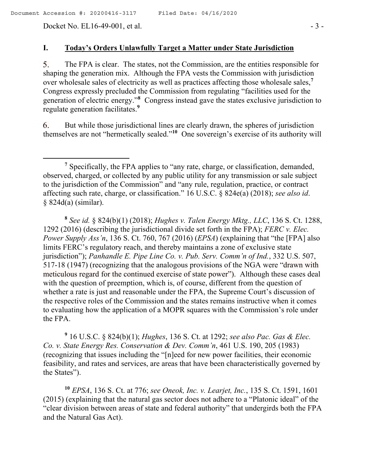Docket No. EL16-49-001, et al. - 3 -

 $\overline{a}$ 

### **I. Today's Orders Unlawfully Target a Matter under State Jurisdiction**

The FPA is clear. The states, not the Commission, are the entities responsible for 5. shaping the generation mix. Although the FPA vests the Commission with jurisdiction over wholesale sales of electricity as well as practices affecting those wholesale sales,**<sup>7</sup>** Congress expressly precluded the Commission from regulating "facilities used for the generation of electric energy."**<sup>8</sup>** Congress instead gave the states exclusive jurisdiction to regulate generation facilitates.**<sup>9</sup>**

But while those jurisdictional lines are clearly drawn, the spheres of jurisdiction 6. themselves are not "hermetically sealed."**<sup>10</sup>** One sovereign's exercise of its authority will

**8** *See id.* § 824(b)(1) (2018); *Hughes v. Talen Energy Mktg., LLC*, 136 S. Ct. 1288, 1292 (2016) (describing the jurisdictional divide set forth in the FPA); *FERC v. Elec. Power Supply Ass'n*, 136 S. Ct. 760, 767 (2016) (*EPSA*) (explaining that "the [FPA] also limits FERC's regulatory reach, and thereby maintains a zone of exclusive state jurisdiction"); *Panhandle E. Pipe Line Co. v. Pub. Serv. Comm'n of Ind.*, 332 U.S. 507, 517-18 (1947) (recognizing that the analogous provisions of the NGA were "drawn with meticulous regard for the continued exercise of state power"). Although these cases deal with the question of preemption, which is, of course, different from the question of whether a rate is just and reasonable under the FPA, the Supreme Court's discussion of the respective roles of the Commission and the states remains instructive when it comes to evaluating how the application of a MOPR squares with the Commission's role under the FPA.

**9** 16 U.S.C. § 824(b)(1); *Hughes*, 136 S. Ct. at 1292; *see also Pac. Gas & Elec. Co. v. State Energy Res. Conservation & Dev. Comm'n*, 461 U.S. 190, 205 (1983) (recognizing that issues including the "[n]eed for new power facilities, their economic feasibility, and rates and services, are areas that have been characteristically governed by the States").

**<sup>10</sup>** *EPSA*, 136 S. Ct. at 776; *see Oneok, Inc. v. Learjet, Inc.*, 135 S. Ct. 1591, 1601 (2015) (explaining that the natural gas sector does not adhere to a "Platonic ideal" of the "clear division between areas of state and federal authority" that undergirds both the FPA and the Natural Gas Act).

**<sup>7</sup>** Specifically, the FPA applies to "any rate, charge, or classification, demanded, observed, charged, or collected by any public utility for any transmission or sale subject to the jurisdiction of the Commission" and "any rule, regulation, practice, or contract affecting such rate, charge, or classification." 16 U.S.C. § 824e(a) (2018); *see also id*. § 824d(a) (similar).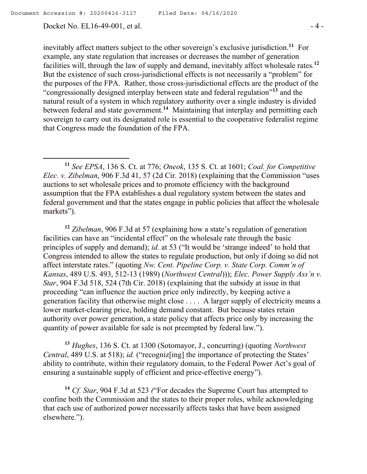Docket No. EL16-49-001, et al. - 4 -

inevitably affect matters subject to the other sovereign's exclusive jurisdiction.**<sup>11</sup>** For example, any state regulation that increases or decreases the number of generation facilities will, through the law of supply and demand, inevitably affect wholesale rates.**<sup>12</sup>** But the existence of such cross-jurisdictional effects is not necessarily a "problem" for the purposes of the FPA. Rather, those cross-jurisdictional effects are the product of the "congressionally designed interplay between state and federal regulation"**<sup>13</sup>** and the natural result of a system in which regulatory authority over a single industry is divided between federal and state government.**<sup>14</sup>** Maintaining that interplay and permitting each sovereign to carry out its designated role is essential to the cooperative federalist regime that Congress made the foundation of the FPA.

**<sup>11</sup>** *See EPSA*, 136 S. Ct. at 776; *Oneok*, 135 S. Ct. at 1601; *Coal. for Competitive Elec. v. Zibelman*, 906 F.3d 41, 57 (2d Cir. 2018) (explaining that the Commission "uses auctions to set wholesale prices and to promote efficiency with the background assumption that the FPA establishes a dual regulatory system between the states and federal government and that the states engage in public policies that affect the wholesale markets").

**<sup>12</sup>** *Zibelman*, 906 F.3d at 57 (explaining how a state's regulation of generation facilities can have an "incidental effect" on the wholesale rate through the basic principles of supply and demand); *id.* at 53 ("It would be 'strange indeed' to hold that Congress intended to allow the states to regulate production, but only if doing so did not affect interstate rates." (quoting *Nw. Cent. Pipeline Corp. v. State Corp. Comm'n of Kansas*, 489 U.S. 493, 512-13 (1989) (*Northwest Central*))); *Elec. Power Supply Ass'n v. Star*, 904 F.3d 518, 524 (7th Cir. 2018) (explaining that the subsidy at issue in that proceeding "can influence the auction price only indirectly, by keeping active a generation facility that otherwise might close . . . . A larger supply of electricity means a lower market-clearing price, holding demand constant. But because states retain authority over power generation, a state policy that affects price only by increasing the quantity of power available for sale is not preempted by federal law.").

**<sup>13</sup>** *Hughes*, 136 S. Ct. at 1300 (Sotomayor, J., concurring) (quoting *Northwest Central*, 489 U.S. at 518); *id.* ("recogniz[ing] the importance of protecting the States' ability to contribute, within their regulatory domain, to the Federal Power Act's goal of ensuring a sustainable supply of efficient and price-effective energy").

**<sup>14</sup>** *Cf. Star*, 904 F.3d at 523 *(*"For decades the Supreme Court has attempted to confine both the Commission and the states to their proper roles, while acknowledging that each use of authorized power necessarily affects tasks that have been assigned elsewhere.").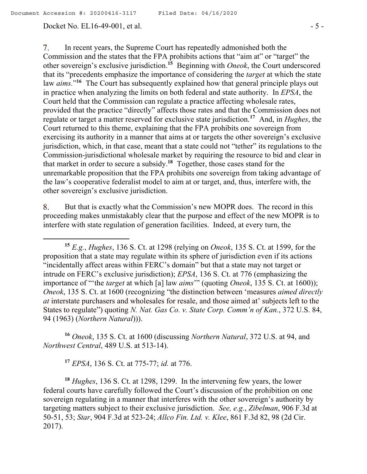#### Docket No. EL16-49-001, et al. - 5 -

7. In recent years, the Supreme Court has repeatedly admonished both the Commission and the states that the FPA prohibits actions that "aim at" or "target" the other sovereign's exclusive jurisdiction.**<sup>15</sup>** Beginning with *Oneok*, the Court underscored that its "precedents emphasize the importance of considering the *target* at which the state law *aims*."<sup>16</sup> The Court has subsequently explained how that general principle plays out in practice when analyzing the limits on both federal and state authority. In *EPSA*, the Court held that the Commission can regulate a practice affecting wholesale rates, provided that the practice "directly" affects those rates and that the Commission does not regulate or target a matter reserved for exclusive state jurisdiction.**<sup>17</sup>** And, in *Hughes*, the Court returned to this theme, explaining that the FPA prohibits one sovereign from exercising its authority in a manner that aims at or targets the other sovereign's exclusive jurisdiction, which, in that case, meant that a state could not "tether" its regulations to the Commission-jurisdictional wholesale market by requiring the resource to bid and clear in that market in order to secure a subsidy.**<sup>18</sup>** Together, those cases stand for the unremarkable proposition that the FPA prohibits one sovereign from taking advantage of the law's cooperative federalist model to aim at or target, and, thus, interfere with, the other sovereign's exclusive jurisdiction.

But that is exactly what the Commission's new MOPR does. The record in this 8. proceeding makes unmistakably clear that the purpose and effect of the new MOPR is to interfere with state regulation of generation facilities. Indeed, at every turn, the

**<sup>16</sup>** *Oneok*, 135 S. Ct. at 1600 (discussing *Northern Natural*, 372 U.S. at 94, and *Northwest Central*, 489 U.S. at 513-14).

**<sup>17</sup>** *EPSA*, 136 S. Ct. at 775-77; *id.* at 776.

**<sup>18</sup>** *Hughes*, 136 S. Ct. at 1298, 1299. In the intervening few years, the lower federal courts have carefully followed the Court's discussion of the prohibition on one sovereign regulating in a manner that interferes with the other sovereign's authority by targeting matters subject to their exclusive jurisdiction. *See, e.g.*, *Zibelman*, 906 F.3d at 50-51, 53; *Star*, 904 F.3d at 523-24; *Allco Fin. Ltd. v. Klee*, 861 F.3d 82, 98 (2d Cir. 2017).

**<sup>15</sup>** *E.g.*, *Hughes*, 136 S. Ct. at 1298 (relying on *Oneok*, 135 S. Ct. at 1599, for the proposition that a state may regulate within its sphere of jurisdiction even if its actions "incidentally affect areas within FERC's domain" but that a state may not target or intrude on FERC's exclusive jurisdiction); *EPSA*, 136 S. Ct. at 776 (emphasizing the importance of "'the *target* at which [a] law *aims*'" (quoting *Oneok*, 135 S. Ct. at 1600)); *Oneok*, 135 S. Ct. at 1600 (recognizing "the distinction between 'measures *aimed directly at* interstate purchasers and wholesales for resale, and those aimed at' subjects left to the States to regulate") quoting *N. Nat. Gas Co. v. State Corp. Comm'n of Kan.*, 372 U.S. 84, 94 (1963) (*Northern Natural*))).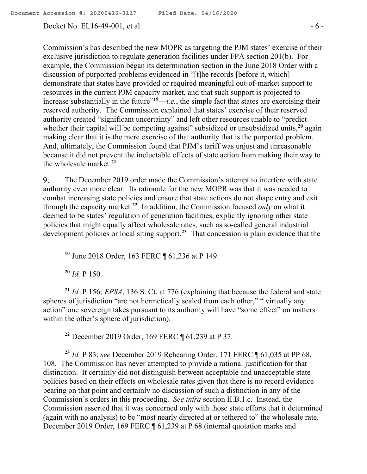Docket No. EL16-49-001, et al. - 6 -

Commission's has described the new MOPR as targeting the PJM states' exercise of their exclusive jurisdiction to regulate generation facilities under FPA section 201(b). For example, the Commission began its determination section in the June 2018 Order with a discussion of purported problems evidenced in "[t]he records [before it, which] demonstrate that states have provided or required meaningful out-of-market support to resources in the current PJM capacity market, and that such support is projected to increase substantially in the future<sup> $19$ </sup>—*i.e.*, the simple fact that states are exercising their reserved authority. The Commission explained that states' exercise of their reserved authority created "significant uncertainty" and left other resources unable to "predict whether their capital will be competing against" subsidized or unsubsidized units,<sup>20</sup> again making clear that it is the mere exercise of that authority that is the purported problem. And, ultimately, the Commission found that PJM's tariff was unjust and unreasonable because it did not prevent the ineluctable effects of state action from making their way to the wholesale market.**<sup>21</sup>**

9. The December 2019 order made the Commission's attempt to interfere with state authority even more clear. Its rationale for the new MOPR was that it was needed to combat increasing state policies and ensure that state actions do not shape entry and exit through the capacity market.**<sup>22</sup>** In addition, the Commission focused *only* on what it deemed to be states' regulation of generation facilities, explicitly ignoring other state policies that might equally affect wholesale rates, such as so-called general industrial development policies or local siting support.**<sup>23</sup>** That concession is plain evidence that the

**<sup>19</sup>** June 2018 Order, 163 FERC ¶ 61,236 at P 149.

**<sup>20</sup>** *Id.* P 150.

**<sup>21</sup>** *Id.* P 156; *EPSA*, 136 S. Ct. at 776 (explaining that because the federal and state spheres of jurisdiction "are not hermetically sealed from each other," " virtually any action" one sovereign takes pursuant to its authority will have "some effect" on matters within the other's sphere of jurisdiction).

**<sup>22</sup>** December 2019 Order, 169 FERC ¶ 61,239 at P 37.

**<sup>23</sup>** *Id.* P 83; *see* December 2019 Rehearing Order, 171 FERC ¶ 61,035 at PP 68, 108. The Commission has never attempted to provide a rational justification for that distinction. It certainly did not distinguish between acceptable and unacceptable state policies based on their effects on wholesale rates given that there is no record evidence bearing on that point and certainly no discussion of such a distinction in any of the Commission's orders in this proceeding. *See infra* section II.B.1.c. Instead, the Commission asserted that it was concerned only with those state efforts that it determined (again with no analysis) to be "most nearly directed at or tethered to" the wholesale rate. December 2019 Order, 169 FERC ¶ 61,239 at P 68 (internal quotation marks and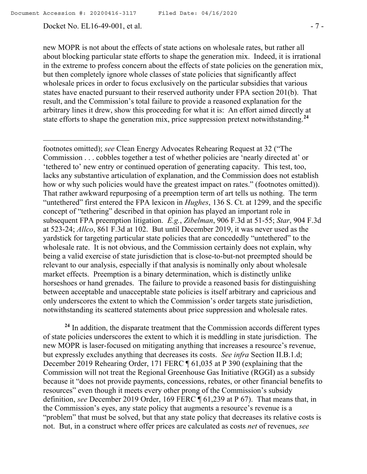Docket No. EL16-49-001, et al. - 7 -

new MOPR is not about the effects of state actions on wholesale rates, but rather all about blocking particular state efforts to shape the generation mix. Indeed, it is irrational in the extreme to profess concern about the effects of state policies on the generation mix, but then completely ignore whole classes of state policies that significantly affect wholesale prices in order to focus exclusively on the particular subsidies that various states have enacted pursuant to their reserved authority under FPA section 201(b). That result, and the Commission's total failure to provide a reasoned explanation for the arbitrary lines it drew, show this proceeding for what it is: An effort aimed directly at state efforts to shape the generation mix, price suppression pretext notwithstanding.**<sup>24</sup>**

footnotes omitted); *see* Clean Energy Advocates Rehearing Request at 32 ("The Commission . . . cobbles together a test of whether policies are 'nearly directed at' or 'tethered to' new entry or continued operation of generating capacity. This test, too, lacks any substantive articulation of explanation, and the Commission does not establish how or why such policies would have the greatest impact on rates." (footnotes omitted)). That rather awkward repurposing of a preemption term of art tells us nothing. The term "untethered" first entered the FPA lexicon in *Hughes*, 136 S. Ct. at 1299, and the specific concept of "tethering" described in that opinion has played an important role in subsequent FPA preemption litigation. *E.g.*, *Zibelman*, 906 F.3d at 51-55; *Star*, 904 F.3d at 523-24; *Allco*, 861 F.3d at 102. But until December 2019, it was never used as the yardstick for targeting particular state policies that are concededly "untethered" to the wholesale rate. It is not obvious, and the Commission certainly does not explain, why being a valid exercise of state jurisdiction that is close-to-but-not preempted should be relevant to our analysis, especially if that analysis is nominally only about wholesale market effects. Preemption is a binary determination, which is distinctly unlike horseshoes or hand grenades. The failure to provide a reasoned basis for distinguishing between acceptable and unacceptable state policies is itself arbitrary and capricious and only underscores the extent to which the Commission's order targets state jurisdiction, notwithstanding its scattered statements about price suppression and wholesale rates.

**<sup>24</sup>** In addition, the disparate treatment that the Commission accords different types of state policies underscores the extent to which it is meddling in state jurisdiction. The new MOPR is laser-focused on mitigating anything that increases a resource's revenue, but expressly excludes anything that decreases its costs. *See infra* Section II.B.1.d; December 2019 Rehearing Order, 171 FERC ¶ 61,035 at P 390 (explaining that the Commission will not treat the Regional Greenhouse Gas Initiative (RGGI) as a subsidy because it "does not provide payments, concessions, rebates, or other financial benefits to resources" even though it meets every other prong of the Commission's subsidy definition, *see* December 2019 Order, 169 FERC ¶ 61,239 at P 67). That means that, in the Commission's eyes, any state policy that augments a resource's revenue is a "problem" that must be solved, but that any state policy that decreases its relative costs is not. But, in a construct where offer prices are calculated as costs *net* of revenues, *see*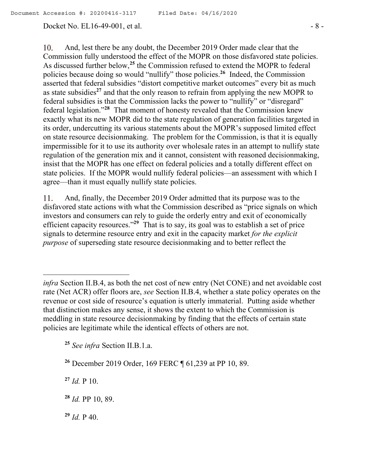#### Docket No. EL16-49-001, et al. - 8 -

 $10.$ And, lest there be any doubt, the December 2019 Order made clear that the Commission fully understood the effect of the MOPR on those disfavored state policies. As discussed further below,**<sup>25</sup>** the Commission refused to extend the MOPR to federal policies because doing so would "nullify" those policies.**<sup>26</sup>** Indeed, the Commission asserted that federal subsidies "distort competitive market outcomes" every bit as much as state subsidies**<sup>27</sup>** and that the only reason to refrain from applying the new MOPR to federal subsidies is that the Commission lacks the power to "nullify" or "disregard" federal legislation."**<sup>28</sup>** That moment of honesty revealed that the Commission knew exactly what its new MOPR did to the state regulation of generation facilities targeted in its order, undercutting its various statements about the MOPR's supposed limited effect on state resource decisionmaking. The problem for the Commission, is that it is equally impermissible for it to use its authority over wholesale rates in an attempt to nullify state regulation of the generation mix and it cannot, consistent with reasoned decisionmaking, insist that the MOPR has one effect on federal policies and a totally different effect on state policies. If the MOPR would nullify federal policies—an assessment with which I agree—than it must equally nullify state policies.

11. And, finally, the December 2019 Order admitted that its purpose was to the disfavored state actions with what the Commission described as "price signals on which investors and consumers can rely to guide the orderly entry and exit of economically efficient capacity resources."**<sup>29</sup>** That is to say, its goal was to establish a set of price signals to determine resource entry and exit in the capacity market *for the explicit purpose* of superseding state resource decisionmaking and to better reflect the

**<sup>25</sup>** *See infra* Section II.B.1.a.

**<sup>27</sup>** *Id.* P 10.

 $\overline{a}$ 

**<sup>28</sup>** *Id.* PP 10, 89.

**<sup>29</sup>** *Id.* P 40.

*infra* Section II.B.4, as both the net cost of new entry (Net CONE) and net avoidable cost rate (Net ACR) offer floors are, *see* Section II.B.4, whether a state policy operates on the revenue or cost side of resource's equation is utterly immaterial. Putting aside whether that distinction makes any sense, it shows the extent to which the Commission is meddling in state resource decisionmaking by finding that the effects of certain state policies are legitimate while the identical effects of others are not.

**<sup>26</sup>** December 2019 Order, 169 FERC ¶ 61,239 at PP 10, 89.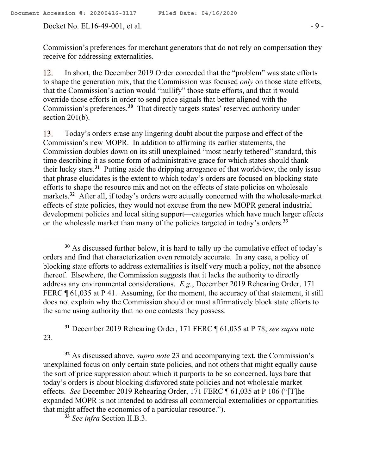Docket No. EL16-49-001, et al. - 9 -

 $\overline{a}$ 

Commission's preferences for merchant generators that do not rely on compensation they receive for addressing externalities.

12. In short, the December 2019 Order conceded that the "problem" was state efforts to shape the generation mix, that the Commission was focused *only* on those state efforts, that the Commission's action would "nullify" those state efforts, and that it would override those efforts in order to send price signals that better aligned with the Commission's preferences.**<sup>30</sup>** That directly targets states' reserved authority under section 201(b).

Today's orders erase any lingering doubt about the purpose and effect of the 13. Commission's new MOPR. In addition to affirming its earlier statements, the Commission doubles down on its still unexplained "most nearly tethered" standard, this time describing it as some form of administrative grace for which states should thank their lucky stars.**<sup>31</sup>** Putting aside the dripping arrogance of that worldview, the only issue that phrase elucidates is the extent to which today's orders are focused on blocking state efforts to shape the resource mix and not on the effects of state policies on wholesale markets.**<sup>32</sup>** After all, if today's orders were actually concerned with the wholesale-market effects of state policies, they would not excuse from the new MOPR general industrial development policies and local siting support—categories which have much larger effects on the wholesale market than many of the policies targeted in today's orders.**<sup>33</sup>**

**<sup>31</sup>** December 2019 Rehearing Order, 171 FERC ¶ 61,035 at P 78; *see supra* note 23.

**<sup>32</sup>** As discussed above, *supra note* 23 and accompanying text, the Commission's unexplained focus on only certain state policies, and not others that might equally cause the sort of price suppression about which it purports to be so concerned, lays bare that today's orders is about blocking disfavored state policies and not wholesale market effects. *See* December 2019 Rehearing Order, 171 FERC ¶ 61,035 at P 106 ("[T]he expanded MOPR is not intended to address all commercial externalities or opportunities that might affect the economics of a particular resource.").

**<sup>33</sup>** *See infra* Section II.B.3.

**<sup>30</sup>** As discussed further below, it is hard to tally up the cumulative effect of today's orders and find that characterization even remotely accurate. In any case, a policy of blocking state efforts to address externalities is itself very much a policy, not the absence thereof. Elsewhere, the Commission suggests that it lacks the authority to directly address any environmental considerations. *E.g.*, December 2019 Rehearing Order, 171 FERC  $\P$  61,035 at P 41. Assuming, for the moment, the accuracy of that statement, it still does not explain why the Commission should or must affirmatively block state efforts to the same using authority that no one contests they possess.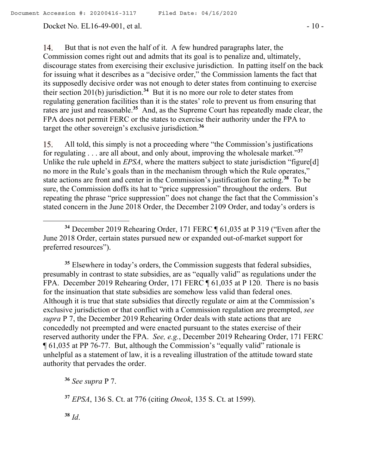Docket No. EL16-49-001, et al. - 10 -

14. But that is not even the half of it. A few hundred paragraphs later, the Commission comes right out and admits that its goal is to penalize and, ultimately, discourage states from exercising their exclusive jurisdiction. In patting itself on the back for issuing what it describes as a "decisive order," the Commission laments the fact that its supposedly decisive order was not enough to deter states from continuing to exercise their section 201(b) jurisdiction.**<sup>34</sup>** But it is no more our role to deter states from regulating generation facilities than it is the states' role to prevent us from ensuring that rates are just and reasonable.<sup>35</sup> And, as the Supreme Court has repeatedly made clear, the FPA does not permit FERC or the states to exercise their authority under the FPA to target the other sovereign's exclusive jurisdiction. **36**

15. All told, this simply is not a proceeding where "the Commission's justifications for regulating . . . are all about, and only about, improving the wholesale market."**<sup>37</sup>** Unlike the rule upheld in *EPSA*, where the matters subject to state jurisdiction "figure[d] no more in the Rule's goals than in the mechanism through which the Rule operates," state actions are front and center in the Commission's justification for acting.**<sup>38</sup>** To be sure, the Commission doffs its hat to "price suppression" throughout the orders. But repeating the phrase "price suppression" does not change the fact that the Commission's stated concern in the June 2018 Order, the December 2109 Order, and today's orders is

<sup>35</sup> Elsewhere in today's orders, the Commission suggests that federal subsidies, presumably in contrast to state subsidies, are as "equally valid" as regulations under the FPA. December 2019 Rehearing Order, 171 FERC ¶ 61,035 at P 120. There is no basis for the insinuation that state subsidies are somehow less valid than federal ones. Although it is true that state subsidies that directly regulate or aim at the Commission's exclusive jurisdiction or that conflict with a Commission regulation are preempted, *see supra* P 7, the December 2019 Rehearing Order deals with state actions that are concededly not preempted and were enacted pursuant to the states exercise of their reserved authority under the FPA. *See, e.g.*, December 2019 Rehearing Order, 171 FERC ¶ 61,035 at PP 76-77. But, although the Commission's "equally valid" rationale is unhelpful as a statement of law, it is a revealing illustration of the attitude toward state authority that pervades the order.

**<sup>36</sup>** *See supra* P 7.

**<sup>37</sup>** *EPSA*, 136 S. Ct. at 776 (citing *Oneok*, 135 S. Ct. at 1599).

**<sup>38</sup>** *Id*.

 $\overline{a}$ 

**<sup>34</sup>** December 2019 Rehearing Order, 171 FERC ¶ 61,035 at P 319 ("Even after the June 2018 Order, certain states pursued new or expanded out-of-market support for preferred resources").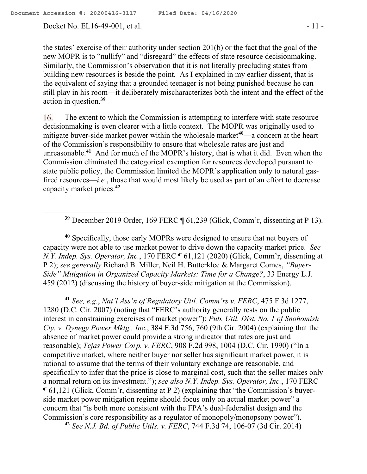Docket No. EL16-49-001, et al. - 11 -

the states' exercise of their authority under section 201(b) or the fact that the goal of the new MOPR is to "nullify" and "disregard" the effects of state resource decisionmaking. Similarly, the Commission's observation that it is not literally precluding states from building new resources is beside the point. As I explained in my earlier dissent, that is the equivalent of saying that a grounded teenager is not being punished because he can still play in his room—it deliberately mischaracterizes both the intent and the effect of the action in question.**<sup>39</sup>**

The extent to which the Commission is attempting to interfere with state resource 16. decisionmaking is even clearer with a little context. The MOPR was originally used to mitigate buyer-side market power within the wholesale market<sup>40</sup>—a concern at the heart of the Commission's responsibility to ensure that wholesale rates are just and unreasonable.**<sup>41</sup>** And for much of the MOPR's history, that is what it did. Even when the Commission eliminated the categorical exemption for resources developed pursuant to state public policy, the Commission limited the MOPR's application only to natural gasfired resources—*i.e.*, those that would most likely be used as part of an effort to decrease capacity market prices.**<sup>42</sup>**

**<sup>39</sup>** December 2019 Order, 169 FERC ¶ 61,239 (Glick, Comm'r, dissenting at P 13).

**<sup>40</sup>** Specifically, those early MOPRs were designed to ensure that net buyers of capacity were not able to use market power to drive down the capacity market price. *See N.Y. Indep. Sys. Operator, Inc.*, 170 FERC ¶ 61,121 (2020) (Glick, Comm'r, dissenting at P 2); *see generally* Richard B. Miller, Neil H. Butterklee & Margaret Comes, *"Buyer-Side" Mitigation in Organized Capacity Markets: Time for a Change?*, 33 Energy L.J. 459 (2012) (discussing the history of buyer-side mitigation at the Commission).

**<sup>41</sup>** *See, e.g.*, *Nat'l Ass'n of Regulatory Util. Comm'rs v. FERC*, 475 F.3d 1277, 1280 (D.C. Cir. 2007) (noting that "FERC's authority generally rests on the public interest in constraining exercises of market power"); *Pub. Util. Dist. No. 1 of Snohomish Cty. v. Dynegy Power Mktg., Inc.*, 384 F.3d 756, 760 (9th Cir. 2004) (explaining that the absence of market power could provide a strong indicator that rates are just and reasonable); *Tejas Power Corp. v. FERC*, 908 F.2d 998, 1004 (D.C. Cir. 1990) ("In a competitive market, where neither buyer nor seller has significant market power, it is rational to assume that the terms of their voluntary exchange are reasonable, and specifically to infer that the price is close to marginal cost, such that the seller makes only a normal return on its investment."); *see also N.Y. Indep. Sys. Operator, Inc.*, 170 FERC ¶ 61,121 (Glick, Comm'r, dissenting at P 2) (explaining that "the Commission's buyerside market power mitigation regime should focus only on actual market power" a concern that "is both more consistent with the FPA's dual-federalist design and the Commission's core responsibility as a regulator of monopoly/monopsony power").

**<sup>42</sup>** *See N.J. Bd. of Public Utils. v. FERC*, 744 F.3d 74, 106-07 (3d Cir. 2014)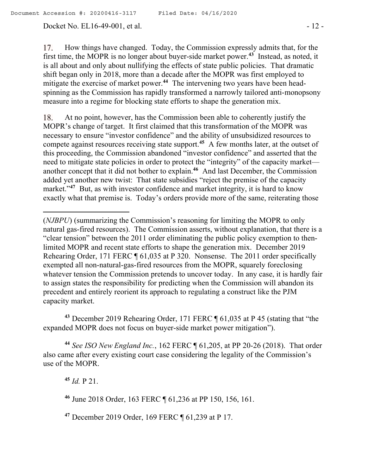Docket No. EL16-49-001, et al. - 12 -

How things have changed. Today, the Commission expressly admits that, for the 17. first time, the MOPR is no longer about buyer-side market power.**<sup>43</sup>** Instead, as noted, it is all about and only about nullifying the effects of state public policies. That dramatic shift began only in 2018, more than a decade after the MOPR was first employed to mitigate the exercise of market power.**<sup>44</sup>** The intervening two years have been headspinning as the Commission has rapidly transformed a narrowly tailored anti-monopsony measure into a regime for blocking state efforts to shape the generation mix.

18. At no point, however, has the Commission been able to coherently justify the MOPR's change of target. It first claimed that this transformation of the MOPR was necessary to ensure "investor confidence" and the ability of unsubsidized resources to compete against resources receiving state support.**<sup>45</sup>** A few months later, at the outset of this proceeding, the Commission abandoned "investor confidence" and asserted that the need to mitigate state policies in order to protect the "integrity" of the capacity market another concept that it did not bother to explain.**<sup>46</sup>** And last December, the Commission added yet another new twist: That state subsidies "reject the premise of the capacity market."<sup>47</sup> But, as with investor confidence and market integrity, it is hard to know exactly what that premise is. Today's orders provide more of the same, reiterating those

**<sup>43</sup>** December 2019 Rehearing Order, 171 FERC ¶ 61,035 at P 45 (stating that "the expanded MOPR does not focus on buyer-side market power mitigation").

**<sup>44</sup>** *See ISO New England Inc.*, 162 FERC ¶ 61,205, at PP 20-26 (2018). That order also came after every existing court case considering the legality of the Commission's use of the MOPR.

**<sup>45</sup>** *Id.* P 21.

 $\overline{a}$ 

**<sup>46</sup>** June 2018 Order, 163 FERC ¶ 61,236 at PP 150, 156, 161.

**<sup>47</sup>** December 2019 Order, 169 FERC ¶ 61,239 at P 17.

<sup>(</sup>*NJBPU*) (summarizing the Commission's reasoning for limiting the MOPR to only natural gas-fired resources). The Commission asserts, without explanation, that there is a "clear tension" between the 2011 order eliminating the public policy exemption to thenlimited MOPR and recent state efforts to shape the generation mix. December 2019 Rehearing Order, 171 FERC ¶ 61,035 at P 320. Nonsense. The 2011 order specifically exempted all non-natural-gas-fired resources from the MOPR, squarely foreclosing whatever tension the Commission pretends to uncover today. In any case, it is hardly fair to assign states the responsibility for predicting when the Commission will abandon its precedent and entirely reorient its approach to regulating a construct like the PJM capacity market.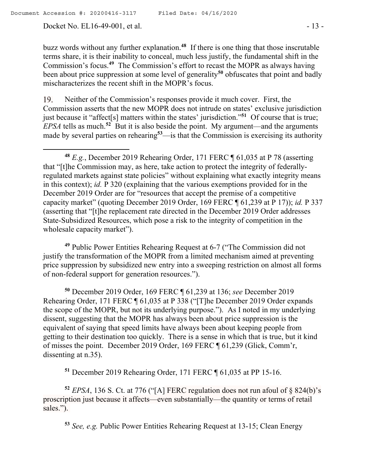Docket No. EL16-49-001, et al. - 13 -

buzz words without any further explanation.**<sup>48</sup>** If there is one thing that those inscrutable terms share, it is their inability to conceal, much less justify, the fundamental shift in the Commission's focus.**<sup>49</sup>** The Commission's effort to recast the MOPR as always having been about price suppression at some level of generality**<sup>50</sup>** obfuscates that point and badly mischaracterizes the recent shift in the MOPR's focus.

Neither of the Commission's responses provide it much cover. First, the 19. Commission asserts that the new MOPR does not intrude on states' exclusive jurisdiction just because it "affect[s] matters within the states' jurisdiction."**<sup>51</sup>** Of course that is true; *EPSA* tells as much.<sup>52</sup> But it is also beside the point. My argument—and the arguments made by several parties on rehearing**<sup>53</sup>**—is that the Commission is exercising its authority

**<sup>49</sup>** Public Power Entities Rehearing Request at 6-7 ("The Commission did not justify the transformation of the MOPR from a limited mechanism aimed at preventing price suppression by subsidized new entry into a sweeping restriction on almost all forms of non-federal support for generation resources.").

**<sup>50</sup>** December 2019 Order, 169 FERC ¶ 61,239 at 136; *see* December 2019 Rehearing Order, 171 FERC ¶ 61,035 at P 338 ("[T]he December 2019 Order expands the scope of the MOPR, but not its underlying purpose."). As I noted in my underlying dissent, suggesting that the MOPR has always been about price suppression is the equivalent of saying that speed limits have always been about keeping people from getting to their destination too quickly. There is a sense in which that is true, but it kind of misses the point. December 2019 Order, 169 FERC ¶ 61,239 (Glick, Comm'r, dissenting at n.35).

**<sup>51</sup>** December 2019 Rehearing Order, 171 FERC ¶ 61,035 at PP 15-16.

**<sup>52</sup>** *EPSA*, 136 S. Ct. at 776 ("[A] FERC regulation does not run afoul of § 824(b)'s proscription just because it affects—even substantially—the quantity or terms of retail sales.").

**<sup>53</sup>** *See, e.g.* Public Power Entities Rehearing Request at 13-15; Clean Energy

 $\overline{a}$ **<sup>48</sup>** *E.g.*, December 2019 Rehearing Order, 171 FERC ¶ 61,035 at P 78 (asserting that "[t]he Commission may, as here, take action to protect the integrity of federallyregulated markets against state policies" without explaining what exactly integrity means in this context); *id.* P 320 (explaining that the various exemptions provided for in the December 2019 Order are for "resources that accept the premise of a competitive capacity market" (quoting December 2019 Order, 169 FERC ¶ 61,239 at P 17)); *id.* P 337 (asserting that "[t]he replacement rate directed in the December 2019 Order addresses State-Subsidized Resources, which pose a risk to the integrity of competition in the wholesale capacity market").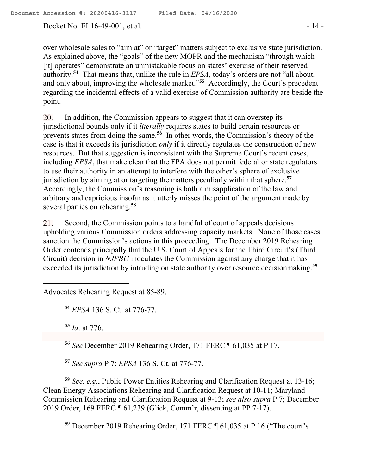Docket No. EL16-49-001, et al. - 14 -

over wholesale sales to "aim at" or "target" matters subject to exclusive state jurisdiction. As explained above, the "goals" of the new MOPR and the mechanism "through which [it] operates" demonstrate an unmistakable focus on states' exercise of their reserved authority.**<sup>54</sup>** That means that, unlike the rule in *EPSA*, today's orders are not "all about, and only about, improving the wholesale market."**<sup>55</sup>** Accordingly, the Court's precedent regarding the incidental effects of a valid exercise of Commission authority are beside the point.

20. In addition, the Commission appears to suggest that it can overstep its jurisdictional bounds only if it *literally* requires states to build certain resources or prevents states from doing the same.**<sup>56</sup>** In other words, the Commission's theory of the case is that it exceeds its jurisdiction *only* if it directly regulates the construction of new resources. But that suggestion is inconsistent with the Supreme Court's recent cases, including *EPSA*, that make clear that the FPA does not permit federal or state regulators to use their authority in an attempt to interfere with the other's sphere of exclusive jurisdiction by aiming at or targeting the matters peculiarly within that sphere. **57** Accordingly, the Commission's reasoning is both a misapplication of the law and arbitrary and capricious insofar as it utterly misses the point of the argument made by several parties on rehearing.**<sup>58</sup>**

21. Second, the Commission points to a handful of court of appeals decisions upholding various Commission orders addressing capacity markets. None of those cases sanction the Commission's actions in this proceeding. The December 2019 Rehearing Order contends principally that the U.S. Court of Appeals for the Third Circuit's (Third Circuit) decision in *NJPBU* inoculates the Commission against any charge that it has exceeded its jurisdiction by intruding on state authority over resource decisionmaking.**<sup>59</sup>**

Advocates Rehearing Request at 85-89.

**<sup>54</sup>** *EPSA* 136 S. Ct. at 776-77.

**<sup>55</sup>** *Id*. at 776.

 $\overline{a}$ 

**<sup>56</sup>** *See* December 2019 Rehearing Order, 171 FERC ¶ 61,035 at P 17.

**<sup>57</sup>** *See supra* P 7; *EPSA* 136 S. Ct. at 776-77.

**<sup>58</sup>** *See, e.g.*, Public Power Entities Rehearing and Clarification Request at 13-16; Clean Energy Associations Rehearing and Clarification Request at 10-11; Maryland Commission Rehearing and Clarification Request at 9-13; *see also supra* P 7; December 2019 Order, 169 FERC ¶ 61,239 (Glick, Comm'r, dissenting at PP 7-17).

**<sup>59</sup>** December 2019 Rehearing Order, 171 FERC ¶ 61,035 at P 16 ("The court's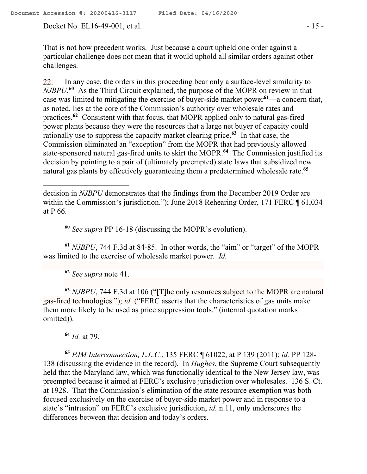Docket No. EL16-49-001, et al. - 15 -

That is not how precedent works. Just because a court upheld one order against a particular challenge does not mean that it would uphold all similar orders against other challenges.

22. In any case, the orders in this proceeding bear only a surface-level similarity to *NJBPU*. **60** As the Third Circuit explained, the purpose of the MOPR on review in that case was limited to mitigating the exercise of buyer-side market power**<sup>61</sup>**—a concern that, as noted, lies at the core of the Commission's authority over wholesale rates and practices.**<sup>62</sup>** Consistent with that focus, that MOPR applied only to natural gas-fired power plants because they were the resources that a large net buyer of capacity could rationally use to suppress the capacity market clearing price.**<sup>63</sup>** In that case, the Commission eliminated an "exception" from the MOPR that had previously allowed state-sponsored natural gas-fired units to skirt the MOPR.**<sup>64</sup>** The Commission justified its decision by pointing to a pair of (ultimately preempted) state laws that subsidized new natural gas plants by effectively guaranteeing them a predetermined wholesale rate.**<sup>65</sup>**

**<sup>60</sup>** *See supra* PP 16-18 (discussing the MOPR's evolution).

**<sup>61</sup>** *NJBPU*, 744 F.3d at 84-85. In other words, the "aim" or "target" of the MOPR was limited to the exercise of wholesale market power. *Id.* 

**<sup>62</sup>** *See supra* note 41.

**<sup>63</sup>** *NJBPU*, 744 F.3d at 106 ("[T]he only resources subject to the MOPR are natural gas-fired technologies."); *id.* ("FERC asserts that the characteristics of gas units make them more likely to be used as price suppression tools." (internal quotation marks omitted)).

**<sup>64</sup>** *Id.* at 79.

**<sup>65</sup>** *PJM Interconnection, L.L.C.*, 135 FERC ¶ 61022, at P 139 (2011); *id.* PP 128- 138 (discussing the evidence in the record). In *Hughes*, the Supreme Court subsequently held that the Maryland law, which was functionally identical to the New Jersey law, was preempted because it aimed at FERC's exclusive jurisdiction over wholesales. 136 S. Ct. at 1928. That the Commission's elimination of the state resource exemption was both focused exclusively on the exercise of buyer-side market power and in response to a state's "intrusion" on FERC's exclusive jurisdiction, *id.* n.11, only underscores the differences between that decision and today's orders.

decision in *NJBPU* demonstrates that the findings from the December 2019 Order are within the Commission's jurisdiction."); June 2018 Rehearing Order, 171 FERC ¶ 61,034 at P 66.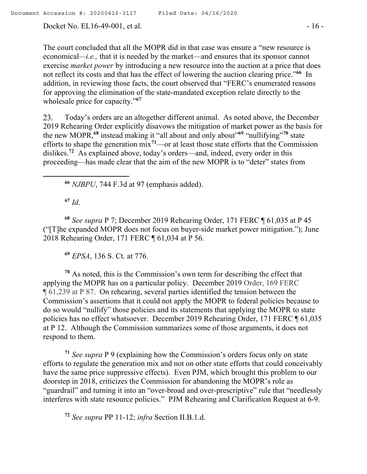Docket No. EL16-49-001, et al. - 16 -

The court concluded that all the MOPR did in that case was ensure a "new resource is economical*—i.e.,* that it is needed by the market—and ensures that its sponsor cannot exercise *market power* by introducing a new resource into the auction at a price that does not reflect its costs and that has the effect of lowering the auction clearing price."**<sup>66</sup>** In addition, in reviewing those facts, the court observed that "FERC's enumerated reasons for approving the elimination of the state-mandated exception relate directly to the wholesale price for capacity."**<sup>67</sup>**

23. Today's orders are an altogether different animal. As noted above, the December 2019 Rehearing Order explicitly disavows the mitigation of market power as the basis for the new MOPR,**<sup>68</sup>** instead making it "all about and only about"**<sup>69</sup>** "nullifying"**<sup>70</sup>** state efforts to shape the generation mix**<sup>71</sup>**—or at least those state efforts that the Commission dislikes.**<sup>72</sup>** As explained above, today's orders—and, indeed, every order in this proceeding—has made clear that the aim of the new MOPR is to "deter" states from

**<sup>66</sup>** *NJBPU*, 744 F.3d at 97 (emphasis added).

**<sup>67</sup>** *Id*.

 $\overline{a}$ 

**<sup>68</sup>** *See supra* P 7; December 2019 Rehearing Order, 171 FERC ¶ 61,035 at P 45 ("[T]he expanded MOPR does not focus on buyer-side market power mitigation."); June 2018 Rehearing Order, 171 FERC ¶ 61,034 at P 56.

**<sup>69</sup>** *EPSA*, 136 S. Ct. at 776.

**<sup>70</sup>** As noted, this is the Commission's own term for describing the effect that applying the MOPR has on a particular policy. December 2019 Order, 169 FERC ¶ 61,239 at P 87. On rehearing, several parties identified the tension between the Commission's assertions that it could not apply the MOPR to federal policies because to do so would "nullify" those policies and its statements that applying the MOPR to state policies has no effect whatsoever. December 2019 Rehearing Order, 171 FERC ¶ 61,035 at P 12.Although the Commission summarizes some of those arguments, it does not respond to them.

**<sup>71</sup>** *See supra* P 9 (explaining how the Commission's orders focus only on state efforts to regulate the generation mix and not on other state efforts that could conceivably have the same price suppressive effects). Even PJM, which brought this problem to our doorstep in 2018, criticizes the Commission for abandoning the MOPR's role as "guardrail" and turning it into an "over-broad and over-prescriptive" rule that "needlessly interferes with state resource policies." PJM Rehearing and Clarification Request at 6-9.

**<sup>72</sup>** *See supra* PP 11-12; *infra* Section II.B.1.d.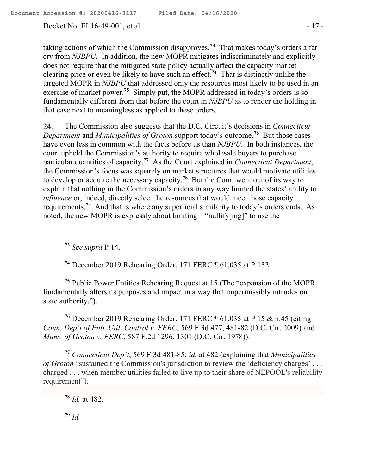Docket No. EL16-49-001, et al. - 17 -

taking actions of which the Commission disapproves.**<sup>73</sup>** That makes today's orders a far cry from *NJBPU.* In addition, the new MOPR mitigates indiscriminately and explicitly does not require that the mitigated state policy actually affect the capacity market clearing price or even be likely to have such an effect.**<sup>74</sup>** That is distinctly unlike the targeted MOPR in *NJBPU* that addressed only the resources most likely to be used in an exercise of market power.<sup>75</sup> Simply put, the MOPR addressed in today's orders is so fundamentally different from that before the court in *NJBPU* as to render the holding in that case next to meaningless as applied to these orders.

The Commission also suggests that the D.C. Circuit's decisions in *Connecticut*  24. *Department* and *Municipalities of Groton* support today's outcome.**<sup>76</sup>** But those cases have even less in common with the facts before us than *NJBPU.* In both instances, the court upheld the Commission's authority to require wholesale buyers to purchase particular quantities of capacity.**<sup>77</sup>** As the Court explained in *Connecticut Department*, the Commission's focus was squarely on market structures that would motivate utilities to develop or acquire the necessary capacity.**<sup>78</sup>** But the Court went out of its way to explain that nothing in the Commission's orders in any way limited the states' ability to *influence* or, indeed, directly select the resources that would meet those capacity requirements.**<sup>79</sup>** And that is where any superficial similarity to today's orders ends. As noted, the new MOPR is expressly about limiting—"nullify[ing]" to use the

**<sup>73</sup>** *See supra* P 14.

 $\overline{a}$ 

**<sup>74</sup>** December 2019 Rehearing Order, 171 FERC ¶ 61,035 at P 132.

**<sup>75</sup>** Public Power Entities Rehearing Request at 15 (The "expansion of the MOPR fundamentally alters its purposes and impact in a way that impermissibly intrudes on state authority.").

**<sup>76</sup>** December 2019 Rehearing Order, 171 FERC ¶ 61,035 at P 15 & n.45 (citing *Conn. Dep't of Pub. Util. Control v. FERC*, 569 F.3d 477, 481-82 (D.C. Cir. 2009) and *Muns. of Groton v. FERC*, 587 F.2d 1296, 1301 (D.C. Cir. 1978)).

**<sup>77</sup>** *Connecticut Dep't*, 569 F.3d 481-85; *id.* at 482 (explaining that *Municipalities of Groton* "sustained the Commission's jurisdiction to review the 'deficiency charges' ... charged . . . when member utilities failed to live up to their share of NEPOOL's reliability requirement").

**<sup>78</sup>** *Id.* at 482.

**<sup>79</sup>** *Id.*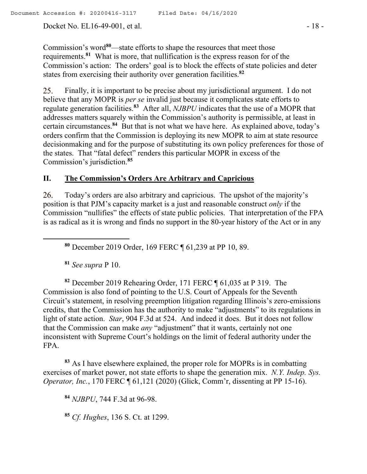Docket No. EL16-49-001, et al. - 18 -

Commission's word**<sup>80</sup>**—state efforts to shape the resources that meet those requirements.**<sup>81</sup>** What is more, that nullification is the express reason for of the Commission's action: The orders' goal is to block the effects of state policies and deter states from exercising their authority over generation facilities.**<sup>82</sup>**

Finally, it is important to be precise about my jurisdictional argument. I do not 25. believe that any MOPR is *per se* invalid just because it complicates state efforts to regulate generation facilities.**<sup>83</sup>** After all, *NJBPU* indicates that the use of a MOPR that addresses matters squarely within the Commission's authority is permissible, at least in certain circumstances.**<sup>84</sup>** But that is not what we have here. As explained above, today's orders confirm that the Commission is deploying its new MOPR to aim at state resource decisionmaking and for the purpose of substituting its own policy preferences for those of the states. That "fatal defect" renders this particular MOPR in excess of the Commission's jurisdiction.**<sup>85</sup>**

# **II. The Commission's Orders Are Arbitrary and Capricious**

Today's orders are also arbitrary and capricious. The upshot of the majority's 26. position is that PJM's capacity market is a just and reasonable construct *only* if the Commission "nullifies" the effects of state public policies. That interpretation of the FPA is as radical as it is wrong and finds no support in the 80-year history of the Act or in any

**<sup>80</sup>** December 2019 Order, 169 FERC ¶ 61,239 at PP 10, 89.

**<sup>81</sup>** *See supra* P 10.

 $\overline{a}$ 

**<sup>82</sup>** December 2019 Rehearing Order, 171 FERC ¶ 61,035 at P 319. The Commission is also fond of pointing to the U.S. Court of Appeals for the Seventh Circuit's statement, in resolving preemption litigation regarding Illinois's zero-emissions credits, that the Commission has the authority to make "adjustments" to its regulations in light of state action. *Star*, 904 F.3d at 524. And indeed it does. But it does not follow that the Commission can make *any* "adjustment" that it wants, certainly not one inconsistent with Supreme Court's holdings on the limit of federal authority under the FPA.

**<sup>83</sup>** As I have elsewhere explained, the proper role for MOPRs is in combatting exercises of market power, not state efforts to shape the generation mix. *N.Y. Indep. Sys. Operator, Inc.*, 170 FERC ¶ 61,121 (2020) (Glick, Comm'r, dissenting at PP 15-16).

**<sup>84</sup>** *NJBPU*, 744 F.3d at 96-98.

**<sup>85</sup>** *Cf. Hughes*, 136 S. Ct. at 1299.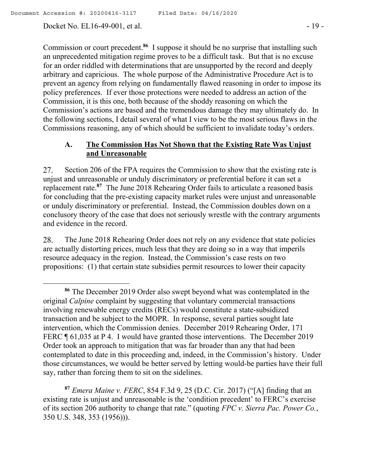Docket No. EL16-49-001, et al. - 19 -

 $\overline{a}$ 

Commission or court precedent.**<sup>86</sup>** I suppose it should be no surprise that installing such an unprecedented mitigation regime proves to be a difficult task. But that is no excuse for an order riddled with determinations that are unsupported by the record and deeply arbitrary and capricious. The whole purpose of the Administrative Procedure Act is to prevent an agency from relying on fundamentally flawed reasoning in order to impose its policy preferences. If ever those protections were needed to address an action of the Commission, it is this one, both because of the shoddy reasoning on which the Commission's actions are based and the tremendous damage they may ultimately do. In the following sections, I detail several of what I view to be the most serious flaws in the Commissions reasoning, any of which should be sufficient to invalidate today's orders.

# **A. The Commission Has Not Shown that the Existing Rate Was Unjust and Unreasonable**

27. Section 206 of the FPA requires the Commission to show that the existing rate is unjust and unreasonable or unduly discriminatory or preferential before it can set a replacement rate.**<sup>87</sup>** The June 2018 Rehearing Order fails to articulate a reasoned basis for concluding that the pre-existing capacity market rules were unjust and unreasonable or unduly discriminatory or preferential. Instead, the Commission doubles down on a conclusory theory of the case that does not seriously wrestle with the contrary arguments and evidence in the record.

28. The June 2018 Rehearing Order does not rely on any evidence that state policies are actually distorting prices, much less that they are doing so in a way that imperils resource adequacy in the region. Instead, the Commission's case rests on two propositions: (1) that certain state subsidies permit resources to lower their capacity

**<sup>87</sup>** *Emera Maine v. FERC*, 854 F.3d 9, 25 (D.C. Cir. 2017) ("[A] finding that an existing rate is unjust and unreasonable is the 'condition precedent' to FERC's exercise of its section 206 authority to change that rate." (quoting *FPC v. Sierra Pac. Power Co.*, 350 U.S. 348, 353 (1956))).

**<sup>86</sup>** The December 2019 Order also swept beyond what was contemplated in the original *Calpine* complaint by suggesting that voluntary commercial transactions involving renewable energy credits (RECs) would constitute a state-subsidized transaction and be subject to the MOPR. In response, several parties sought late intervention, which the Commission denies. December 2019 Rehearing Order, 171 FERC  $\P$  61,035 at P 4. I would have granted those interventions. The December 2019 Order took an approach to mitigation that was far broader than any that had been contemplated to date in this proceeding and, indeed, in the Commission's history. Under those circumstances, we would be better served by letting would-be parties have their full say, rather than forcing them to sit on the sidelines.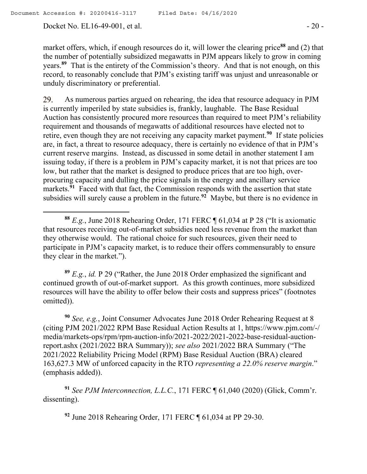Docket No. EL16-49-001, et al. - 20 -

 $\overline{a}$ 

market offers, which, if enough resources do it, will lower the clearing price**<sup>88</sup>** and (2) that the number of potentially subsidized megawatts in PJM appears likely to grow in coming years.**<sup>89</sup>** That is the entirety of the Commission's theory. And that is not enough, on this record, to reasonably conclude that PJM's existing tariff was unjust and unreasonable or unduly discriminatory or preferential.

As numerous parties argued on rehearing, the idea that resource adequacy in PJM 29. is currently imperiled by state subsidies is, frankly, laughable. The Base Residual Auction has consistently procured more resources than required to meet PJM's reliability requirement and thousands of megawatts of additional resources have elected not to retire, even though they are not receiving any capacity market payment.**<sup>90</sup>** If state policies are, in fact, a threat to resource adequacy, there is certainly no evidence of that in PJM's current reserve margins. Instead, as discussed in some detail in another statement I am issuing today, if there is a problem in PJM's capacity market, it is not that prices are too low, but rather that the market is designed to produce prices that are too high, overprocuring capacity and dulling the price signals in the energy and ancillary service markets.**<sup>91</sup>** Faced with that fact, the Commission responds with the assertion that state subsidies will surely cause a problem in the future.**<sup>92</sup>** Maybe, but there is no evidence in

**<sup>89</sup>** *E.g.*, *id.* P 29 ("Rather, the June 2018 Order emphasized the significant and continued growth of out-of-market support. As this growth continues, more subsidized resources will have the ability to offer below their costs and suppress prices" (footnotes omitted)).

**<sup>90</sup>** *See, e.g.*, Joint Consumer Advocates June 2018 Order Rehearing Request at 8 (citing PJM 2021/2022 RPM Base Residual Action Results at 1, https://www.pjm.com/-/ media/markets-ops/rpm/rpm-auction-info/2021-2022/2021-2022-base-residual-auctionreport.ashx (2021/2022 BRA Summary)); *see also* 2021/2022 BRA Summary ("The 2021/2022 Reliability Pricing Model (RPM) Base Residual Auction (BRA) cleared 163,627.3 MW of unforced capacity in the RTO *representing a 22.0% reserve margin*." (emphasis added)).

**<sup>91</sup>** *See PJM Interconnection, L.L.C.*, 171 FERC ¶ 61,040 (2020) (Glick, Comm'r. dissenting).

**<sup>92</sup>** June 2018 Rehearing Order, 171 FERC ¶ 61,034 at PP 29-30.

**<sup>88</sup>** *E.g.*, June 2018 Rehearing Order, 171 FERC ¶ 61,034 at P 28 ("It is axiomatic that resources receiving out-of-market subsidies need less revenue from the market than they otherwise would. The rational choice for such resources, given their need to participate in PJM's capacity market, is to reduce their offers commensurably to ensure they clear in the market.").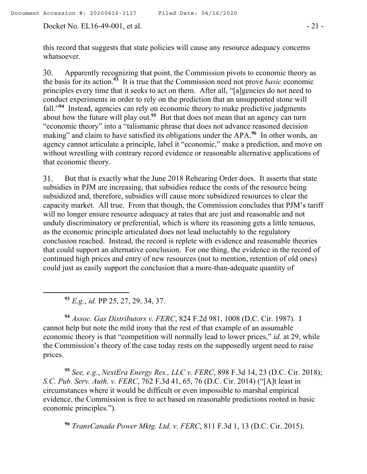Docket No. EL16-49-001, et al. - 21 -

this record that suggests that state policies will cause any resource adequacy concerns whatsoever.

Apparently recognizing that point, the Commission pivots to economic theory as  $30.$ the basis for its action.**<sup>93</sup>** It is true that the Commission need not prove *basic* economic principles every time that it seeks to act on them. After all, "[a]gencies do not need to conduct experiments in order to rely on the prediction that an unsupported stone will fall."**<sup>94</sup>** Instead, agencies can rely on economic theory to make predictive judgments about how the future will play out.<sup>95</sup> But that does not mean that an agency can turn "economic theory" into a "talismanic phrase that does not advance reasoned decision making" and claim to have satisfied its obligations under the APA.<sup>96</sup> In other words, an agency cannot articulate a principle, label it "economic," make a prediction, and move on without wrestling with contrary record evidence or reasonable alternative applications of that economic theory.

But that is exactly what the June 2018 Rehearing Order does. It asserts that state 31. subsidies in PJM are increasing, that subsidies reduce the costs of the resource being subsidized and, therefore, subsidies will cause more subsidized resources to clear the capacity market. All true. From that though, the Commission concludes that PJM's tariff will no longer ensure resource adequacy at rates that are just and reasonable and not unduly discriminatory or preferential, which is where its reasoning gets a little tenuous, as the economic principle articulated does not lead ineluctably to the regulatory conclusion reached. Instead, the record is replete with evidence and reasonable theories that could support an alternative conclusion. For one thing, the evidence in the record of continued high prices and entry of new resources (not to mention, retention of old ones) could just as easily support the conclusion that a more-than-adequate quantity of

**<sup>93</sup>** *E.g.*, *id.* PP 25, 27, 29, 34, 37.

 $\overline{a}$ 

**<sup>94</sup>** *Assoc. Gas Distributors v. FERC*, 824 F.2d 981, 1008 (D.C. Cir. 1987). I cannot help but note the mild irony that the rest of that example of an assumable economic theory is that "competition will normally lead to lower prices," *id.* at 29, while the Commission's theory of the case today rests on the supposedly urgent need to raise prices.

**<sup>95</sup>** *See, e.g.*, *NextEra Energy Res., LLC v. FERC*, 898 F.3d 14, 23 (D.C. Cir. 2018); *S.C. Pub. Serv. Auth. v. FERC*, 762 F.3d 41, 65, 76 (D.C. Cir. 2014) ("[A]t least in circumstances where it would be difficult or even impossible to marshal empirical evidence, the Commission is free to act based on reasonable predictions rooted in basic economic principles.").

**<sup>96</sup>** *TransCanada Power Mktg. Ltd. v. FERC*, 811 F.3d 1, 13 (D.C. Cir. 2015).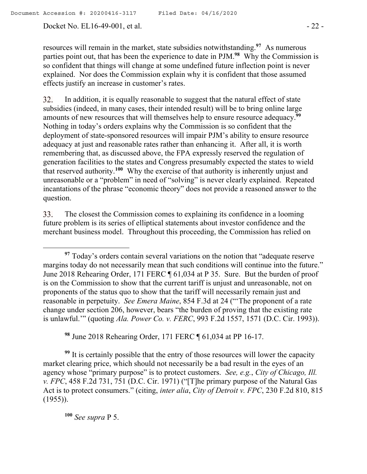Docket No. EL16-49-001, et al. - 22 -

resources will remain in the market, state subsidies notwithstanding.**<sup>97</sup>** As numerous parties point out, that has been the experience to date in PJM.**<sup>98</sup>** Why the Commission is so confident that things will change at some undefined future inflection point is never explained. Nor does the Commission explain why it is confident that those assumed effects justify an increase in customer's rates.

32. In addition, it is equally reasonable to suggest that the natural effect of state subsidies (indeed, in many cases, their intended result) will be to bring online large amounts of new resources that will themselves help to ensure resource adequacy.**<sup>99</sup>** Nothing in today's orders explains why the Commission is so confident that the deployment of state-sponsored resources will impair PJM's ability to ensure resource adequacy at just and reasonable rates rather than enhancing it. After all, it is worth remembering that, as discussed above, the FPA expressly reserved the regulation of generation facilities to the states and Congress presumably expected the states to wield that reserved authority.**<sup>100</sup>** Why the exercise of that authority is inherently unjust and unreasonable or a "problem" in need of "solving" is never clearly explained. Repeated incantations of the phrase "economic theory" does not provide a reasoned answer to the question.

33. The closest the Commission comes to explaining its confidence in a looming future problem is its series of elliptical statements about investor confidence and the merchant business model. Throughout this proceeding, the Commission has relied on

**<sup>98</sup>** June 2018 Rehearing Order, 171 FERC ¶ 61,034 at PP 16-17.

<sup>99</sup> It is certainly possible that the entry of those resources will lower the capacity market clearing price, which should not necessarily be a bad result in the eyes of an agency whose "primary purpose" is to protect customers. *See, e.g.*, *City of Chicago, Ill. v. FPC*, 458 F.2d 731, 751 (D.C. Cir. 1971) ("[T]he primary purpose of the Natural Gas Act is to protect consumers." (citing, *inter alia*, *City of Detroit v. FPC*, 230 F.2d 810, 815 (1955)).

**<sup>100</sup>** *See supra* P 5.

**<sup>97</sup>** Today's orders contain several variations on the notion that "adequate reserve margins today do not necessarily mean that such conditions will continue into the future." June 2018 Rehearing Order, 171 FERC ¶ 61,034 at P 35. Sure. But the burden of proof is on the Commission to show that the current tariff is unjust and unreasonable, not on proponents of the status quo to show that the tariff will necessarily remain just and reasonable in perpetuity. *See Emera Maine*, 854 F.3d at 24 ("'The proponent of a rate change under section 206, however, bears "the burden of proving that the existing rate is unlawful.'" (quoting *Ala. Power Co. v. FERC*, 993 F.2d 1557, 1571 (D.C. Cir. 1993)).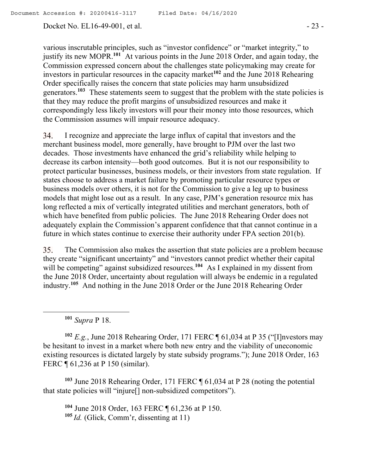Docket No. EL16-49-001, et al. - 23 -

various inscrutable principles, such as "investor confidence" or "market integrity," to justify its new MOPR.**<sup>101</sup>** At various points in the June 2018 Order, and again today, the Commission expressed concern about the challenges state policymaking may create for investors in particular resources in the capacity market**<sup>102</sup>** and the June 2018 Rehearing Order specifically raises the concern that state policies may harm unsubsidized generators.**<sup>103</sup>** These statements seem to suggest that the problem with the state policies is that they may reduce the profit margins of unsubsidized resources and make it correspondingly less likely investors will pour their money into those resources, which the Commission assumes will impair resource adequacy.

I recognize and appreciate the large influx of capital that investors and the 34. merchant business model, more generally, have brought to PJM over the last two decades. Those investments have enhanced the grid's reliability while helping to decrease its carbon intensity—both good outcomes. But it is not our responsibility to protect particular businesses, business models, or their investors from state regulation. If states choose to address a market failure by promoting particular resource types or business models over others, it is not for the Commission to give a leg up to business models that might lose out as a result. In any case, PJM's generation resource mix has long reflected a mix of vertically integrated utilities and merchant generators, both of which have benefited from public policies. The June 2018 Rehearing Order does not adequately explain the Commission's apparent confidence that that cannot continue in a future in which states continue to exercise their authority under FPA section 201(b).

35. The Commission also makes the assertion that state policies are a problem because they create "significant uncertainty" and "investors cannot predict whether their capital will be competing" against subsidized resources.<sup>104</sup> As I explained in my dissent from the June 2018 Order, uncertainty about regulation will always be endemic in a regulated industry.**<sup>105</sup>** And nothing in the June 2018 Order or the June 2018 Rehearing Order

**<sup>101</sup>** *Supra* P 18.

**<sup>102</sup>** *E.g.*, June 2018 Rehearing Order, 171 FERC ¶ 61,034 at P 35 ("[I]nvestors may be hesitant to invest in a market where both new entry and the viability of uneconomic existing resources is dictated largely by state subsidy programs."); June 2018 Order, 163 FERC ¶ 61,236 at P 150 (similar).

**<sup>103</sup>** June 2018 Rehearing Order, 171 FERC ¶ 61,034 at P 28 (noting the potential that state policies will "injure[] non-subsidized competitors").

**<sup>104</sup>** June 2018 Order, 163 FERC ¶ 61,236 at P 150. **<sup>105</sup>** *Id.* (Glick, Comm'r, dissenting at 11)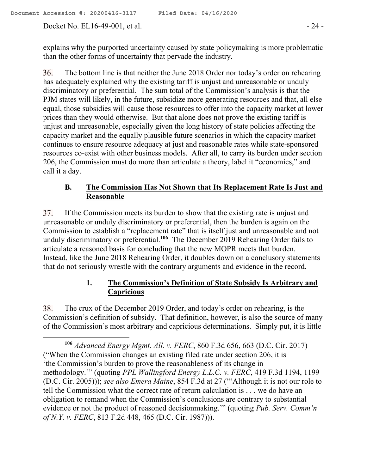Docket No. EL16-49-001, et al. - 24 -

 $\overline{a}$ 

explains why the purported uncertainty caused by state policymaking is more problematic than the other forms of uncertainty that pervade the industry.

36. The bottom line is that neither the June 2018 Order nor today's order on rehearing has adequately explained why the existing tariff is unjust and unreasonable or unduly discriminatory or preferential. The sum total of the Commission's analysis is that the PJM states will likely, in the future, subsidize more generating resources and that, all else equal, those subsidies will cause those resources to offer into the capacity market at lower prices than they would otherwise. But that alone does not prove the existing tariff is unjust and unreasonable, especially given the long history of state policies affecting the capacity market and the equally plausible future scenarios in which the capacity market continues to ensure resource adequacy at just and reasonable rates while state-sponsored resources co-exist with other business models. After all, to carry its burden under section 206, the Commission must do more than articulate a theory, label it "economics," and call it a day.

# **B. The Commission Has Not Shown that Its Replacement Rate Is Just and Reasonable**

37. If the Commission meets its burden to show that the existing rate is unjust and unreasonable or unduly discriminatory or preferential, then the burden is again on the Commission to establish a "replacement rate" that is itself just and unreasonable and not unduly discriminatory or preferential.**<sup>106</sup>** The December 2019 Rehearing Order fails to articulate a reasoned basis for concluding that the new MOPR meets that burden. Instead, like the June 2018 Rehearing Order, it doubles down on a conclusory statements that do not seriously wrestle with the contrary arguments and evidence in the record.

# **1. The Commission's Definition of State Subsidy Is Arbitrary and Capricious**

38. The crux of the December 2019 Order, and today's order on rehearing, is the Commission's definition of subsidy. That definition, however, is also the source of many of the Commission's most arbitrary and capricious determinations. Simply put, it is little

**<sup>106</sup>** *Advanced Energy Mgmt. All. v. FERC*, 860 F.3d 656, 663 (D.C. Cir. 2017) ("When the Commission changes an existing filed rate under section 206, it is 'the Commission's burden to prove the reasonableness of its change in methodology.'" (quoting *PPL Wallingford Energy L.L.C. v. FERC*, 419 F.3d 1194, 1199 (D.C. Cir. 2005))); *see also Emera Maine*, 854 F.3d at 27 ("'Although it is not our role to tell the Commission what the correct rate of return calculation is . . . we do have an obligation to remand when the Commission's conclusions are contrary to substantial evidence or not the product of reasoned decisionmaking.'" (quoting *Pub. Serv. Comm'n of N.Y. v. FERC*, 813 F.2d 448, 465 (D.C. Cir. 1987))).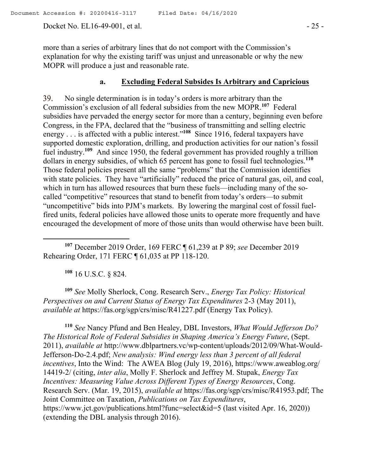Docket No. EL16-49-001, et al. - 25 -

more than a series of arbitrary lines that do not comport with the Commission's explanation for why the existing tariff was unjust and unreasonable or why the new MOPR will produce a just and reasonable rate.

#### **a. Excluding Federal Subsides Is Arbitrary and Capricious**

No single determination is in today's orders is more arbitrary than the 39. Commission's exclusion of all federal subsidies from the new MOPR.**<sup>107</sup>** Federal subsidies have pervaded the energy sector for more than a century, beginning even before Congress, in the FPA, declared that the "business of transmitting and selling electric energy . . . is affected with a public interest."**<sup>108</sup>** Since 1916, federal taxpayers have supported domestic exploration, drilling, and production activities for our nation's fossil fuel industry.**<sup>109</sup>** And since 1950, the federal government has provided roughly a trillion dollars in energy subsidies, of which 65 percent has gone to fossil fuel technologies.**<sup>110</sup>** Those federal policies present all the same "problems" that the Commission identifies with state policies. They have "artificially" reduced the price of natural gas, oil, and coal, which in turn has allowed resources that burn these fuels—including many of the socalled "competitive" resources that stand to benefit from today's orders—to submit "uncompetitive" bids into PJM's markets. By lowering the marginal cost of fossil fuelfired units, federal policies have allowed those units to operate more frequently and have encouraged the development of more of those units than would otherwise have been built.

**<sup>107</sup>** December 2019 Order, 169 FERC ¶ 61,239 at P 89; *see* December 2019 Rehearing Order, 171 FERC ¶ 61,035 at PP 118-120.

**<sup>108</sup>** 16 U.S.C. § 824.

 $\overline{a}$ 

**<sup>109</sup>** *See* Molly Sherlock, Cong. Research Serv., *Energy Tax Policy: Historical Perspectives on and Current Status of Energy Tax Expenditures* 2-3 (May 2011), *available at* https://fas.org/sgp/crs/misc/R41227.pdf (Energy Tax Policy).

**<sup>110</sup>** *See* Nancy Pfund and Ben Healey, DBL Investors, *What Would Jefferson Do? The Historical Role of Federal Subsidies in Shaping America's Energy Future*, (Sept. 2011), *available at* http://www.dblpartners.vc/wp-content/uploads/2012/09/What-Would-Jefferson-Do-2.4.pdf; *New analysis: Wind energy less than 3 percent of all federal incentives*, Into the Wind: The AWEA Blog (July 19, 2016), https://www.aweablog.org/ 14419-2/ (citing, *inter alia*, Molly F. Sherlock and Jeffrey M. Stupak, *Energy Tax Incentives: Measuring Value Across Different Types of Energy Resources*, Cong. Research Serv. (Mar. 19, 2015), *available at* https://fas.org/sgp/crs/misc/R41953.pdf; The Joint Committee on Taxation, *Publications on Tax Expenditures*, https://www.jct.gov/publications.html?func=select&id=5 (last visited Apr. 16, 2020)) (extending the DBL analysis through 2016).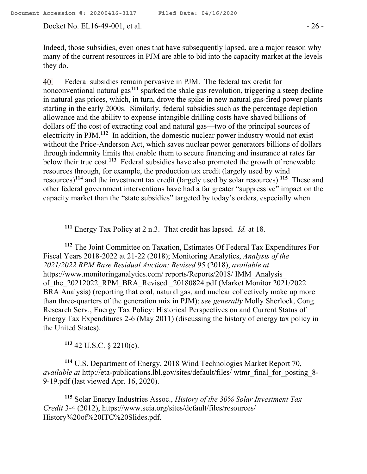Docket No. EL16-49-001, et al. - 26 -

Indeed, those subsidies, even ones that have subsequently lapsed, are a major reason why many of the current resources in PJM are able to bid into the capacity market at the levels they do.

Federal subsidies remain pervasive in PJM. The federal tax credit for 40. nonconventional natural gas**<sup>111</sup>** sparked the shale gas revolution, triggering a steep decline in natural gas prices, which, in turn, drove the spike in new natural gas-fired power plants starting in the early 2000s. Similarly, federal subsidies such as the percentage depletion allowance and the ability to expense intangible drilling costs have shaved billions of dollars off the cost of extracting coal and natural gas—two of the principal sources of electricity in PJM.**<sup>112</sup>** In addition, the domestic nuclear power industry would not exist without the Price-Anderson Act, which saves nuclear power generators billions of dollars through indemnity limits that enable them to secure financing and insurance at rates far below their true cost.**<sup>113</sup>** Federal subsidies have also promoted the growth of renewable resources through, for example, the production tax credit (largely used by wind resources)**<sup>114</sup>** and the investment tax credit (largely used by solar resources).**<sup>115</sup>** These and other federal government interventions have had a far greater "suppressive" impact on the capacity market than the "state subsidies" targeted by today's orders, especially when

**<sup>111</sup>** Energy Tax Policy at 2 n.3. That credit has lapsed. *Id.* at 18.

**<sup>112</sup>** The Joint Committee on Taxation, Estimates Of Federal Tax Expenditures For Fiscal Years 2018-2022 at 21-22 (2018); Monitoring Analytics, *Analysis of the 2021/2022 RPM Base Residual Auction: Revised* 95 (2018), *available at* https://www.monitoringanalytics.com/ reports/Reports/2018/ IMM\_Analysis\_ of the 20212022 RPM BRA Revised 20180824.pdf (Market Monitor 2021/2022) BRA Analysis) (reporting that coal, natural gas, and nuclear collectively make up more than three-quarters of the generation mix in PJM); *see generally* Molly Sherlock, Cong. Research Serv., Energy Tax Policy: Historical Perspectives on and Current Status of Energy Tax Expenditures 2-6 (May 2011) (discussing the history of energy tax policy in the United States).

**<sup>113</sup>** 42 U.S.C. § 2210(c).

 $\overline{a}$ 

**<sup>114</sup>** U.S. Department of Energy, 2018 Wind Technologies Market Report 70, *available at* http://eta-publications.lbl.gov/sites/default/files/ wtmr\_final\_for\_posting\_8-9-19.pdf (last viewed Apr. 16, 2020).

**<sup>115</sup>** Solar Energy Industries Assoc., *History of the 30% Solar Investment Tax Credit* 3-4 (2012), https://www.seia.org/sites/default/files/resources/ History%20of%20ITC%20Slides.pdf.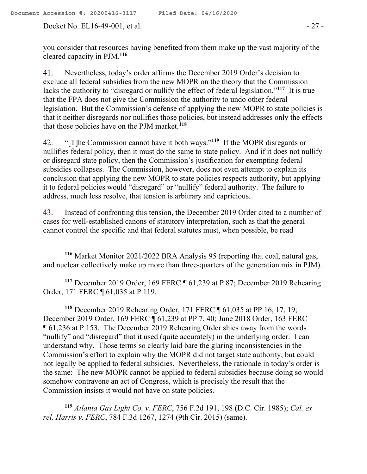Docket No. EL16-49-001, et al. - 27 -

you consider that resources having benefited from them make up the vast majority of the cleared capacity in PJM.**<sup>116</sup>**

Nevertheless, today's order affirms the December 2019 Order's decision to 41. exclude all federal subsidies from the new MOPR on the theory that the Commission lacks the authority to "disregard or nullify the effect of federal legislation."<sup>117</sup> It is true that the FPA does not give the Commission the authority to undo other federal legislation. But the Commission's defense of applying the new MOPR to state policies is that it neither disregards nor nullifies those policies, but instead addresses only the effects that those policies have on the PJM market.**<sup>118</sup>**

"[T]he Commission cannot have it both ways."**<sup>119</sup>** If the MOPR disregards or 42. nullifies federal policy, then it must do the same to state policy. And if it does not nullify or disregard state policy, then the Commission's justification for exempting federal subsidies collapses. The Commission, however, does not even attempt to explain its conclusion that applying the new MOPR to state policies respects authority, but applying it to federal policies would "disregard" or "nullify" federal authority. The failure to address, much less resolve, that tension is arbitrary and capricious.

Instead of confronting this tension, the December 2019 Order cited to a number of 43. cases for well-established canons of statutory interpretation, such as that the general cannot control the specific and that federal statutes must, when possible, be read

**<sup>116</sup>** Market Monitor 2021/2022 BRA Analysis 95 (reporting that coal, natural gas, and nuclear collectively make up more than three-quarters of the generation mix in PJM).

**<sup>117</sup>** December 2019 Order, 169 FERC ¶ 61,239 at P 87; December 2019 Rehearing Order, 171 FERC ¶ 61,035 at P 119.

**<sup>118</sup>** December 2019 Rehearing Order, 171 FERC ¶ 61,035 at PP 16, 17, 19; December 2019 Order, 169 FERC ¶ 61,239 at PP 7, 40; June 2018 Order, 163 FERC ¶ 61,236 at P 153. The December 2019 Rehearing Order shies away from the words "nullify" and "disregard" that it used (quite accurately) in the underlying order. I can understand why. Those terms so clearly laid bare the glaring inconsistencies in the Commission's effort to explain why the MOPR did not target state authority, but could not legally be applied to federal subsidies. Nevertheless, the rationale in today's order is the same: The new MOPR cannot be applied to federal subsidies because doing so would somehow contravene an act of Congress, which is precisely the result that the Commission insists it would not have on state policies.

**<sup>119</sup>** *Atlanta Gas Light Co. v. FERC*, 756 F.2d 191, 198 (D.C. Cir. 1985); *Cal. ex rel. Harris v. FERC*, 784 F.3d 1267, 1274 (9th Cir. 2015) (same).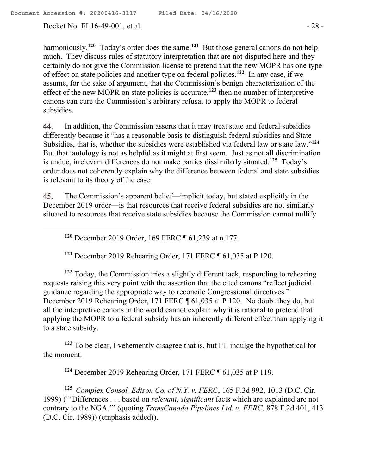Docket No. EL16-49-001, et al. - 28 -

harmoniously.**<sup>120</sup>** Today's order does the same.**<sup>121</sup>** But those general canons do not help much. They discuss rules of statutory interpretation that are not disputed here and they certainly do not give the Commission license to pretend that the new MOPR has one type of effect on state policies and another type on federal policies.**<sup>122</sup>** In any case, if we assume, for the sake of argument, that the Commission's benign characterization of the effect of the new MOPR on state policies is accurate,**<sup>123</sup>** then no number of interpretive canons can cure the Commission's arbitrary refusal to apply the MOPR to federal subsidies.

In addition, the Commission asserts that it may treat state and federal subsidies 44. differently because it "has a reasonable basis to distinguish federal subsidies and State Subsidies, that is, whether the subsidies were established via federal law or state law."**<sup>124</sup>** But that tautology is not as helpful as it might at first seem. Just as not all discrimination is undue, irrelevant differences do not make parties dissimilarly situated.**<sup>125</sup>** Today's order does not coherently explain why the difference between federal and state subsidies is relevant to its theory of the case.

45. The Commission's apparent belief—implicit today, but stated explicitly in the December 2019 order—is that resources that receive federal subsidies are not similarly situated to resources that receive state subsidies because the Commission cannot nullify

**<sup>120</sup>** December 2019 Order, 169 FERC ¶ 61,239 at n.177.

**<sup>121</sup>** December 2019 Rehearing Order, 171 FERC ¶ 61,035 at P 120.

**<sup>122</sup>** Today, the Commission tries a slightly different tack, responding to rehearing requests raising this very point with the assertion that the cited canons "reflect judicial guidance regarding the appropriate way to reconcile Congressional directives." December 2019 Rehearing Order, 171 FERC ¶ 61,035 at P 120. No doubt they do, but all the interpretive canons in the world cannot explain why it is rational to pretend that applying the MOPR to a federal subsidy has an inherently different effect than applying it to a state subsidy.

**<sup>123</sup>** To be clear, I vehemently disagree that is, but I'll indulge the hypothetical for the moment.

**<sup>124</sup>** December 2019 Rehearing Order, 171 FERC ¶ 61,035 at P 119.

**<sup>125</sup>** *Complex Consol. Edison Co. of N.Y. v. FERC*, 165 F.3d 992, 1013 (D.C. Cir. 1999) ("'Differences . . . based on *relevant, significant* facts which are explained are not contrary to the NGA.'" (quoting *TransCanada Pipelines Ltd. v. FERC,* 878 F.2d 401, 413 (D.C. Cir. 1989)) (emphasis added)).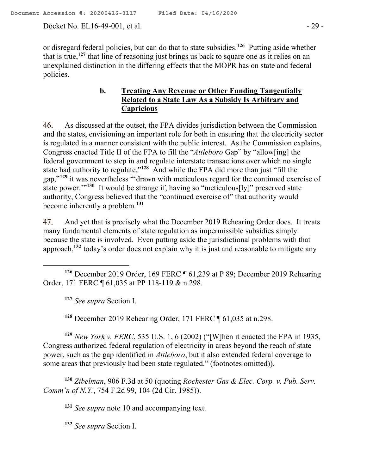Docket No. EL16-49-001, et al. - 29 -

or disregard federal policies, but can do that to state subsidies. **126** Putting aside whether that is true,**<sup>127</sup>** that line of reasoning just brings us back to square one as it relies on an unexplained distinction in the differing effects that the MOPR has on state and federal policies.

# **b. Treating Any Revenue or Other Funding Tangentially Related to a State Law As a Subsidy Is Arbitrary and Capricious**

46. As discussed at the outset, the FPA divides jurisdiction between the Commission and the states, envisioning an important role for both in ensuring that the electricity sector is regulated in a manner consistent with the public interest. As the Commission explains, Congress enacted Title II of the FPA to fill the "*Attleboro* Gap" by "allow[ing] the federal government to step in and regulate interstate transactions over which no single state had authority to regulate."**<sup>128</sup>** And while the FPA did more than just "fill the gap,"**<sup>129</sup>** it was nevertheless "'drawn with meticulous regard for the continued exercise of state power."<sup>130</sup> It would be strange if, having so "meticulous[ly]" preserved state authority, Congress believed that the "continued exercise of" that authority would become inherently a problem. **131**

And yet that is precisely what the December 2019 Rehearing Order does. It treats 47. many fundamental elements of state regulation as impermissible subsidies simply because the state is involved. Even putting aside the jurisdictional problems with that approach,**<sup>132</sup>** today's order does not explain why it is just and reasonable to mitigate any

**<sup>126</sup>** December 2019 Order, 169 FERC ¶ 61,239 at P 89; December 2019 Rehearing Order, 171 FERC ¶ 61,035 at PP 118-119 & n.298.

**<sup>127</sup>** *See supra* Section I.

**<sup>128</sup>** December 2019 Rehearing Order, 171 FERC ¶ 61,035 at n.298.

**<sup>129</sup>** *New York v. FERC*, 535 U.S. 1, 6 (2002) ("[W]hen it enacted the FPA in 1935, Congress authorized federal regulation of electricity in areas beyond the reach of state power, such as the gap identified in *Attleboro*, but it also extended federal coverage to some areas that previously had been state regulated." (footnotes omitted)).

**<sup>130</sup>** *Zibelman*, 906 F.3d at 50 (quoting *Rochester Gas & Elec. Corp. v. Pub. Serv. Comm'n of N.Y.*, 754 F.2d 99, 104 (2d Cir. 1985)).

**<sup>131</sup>** *See supra* note 10 and accompanying text.

**<sup>132</sup>** *See supra* Section I.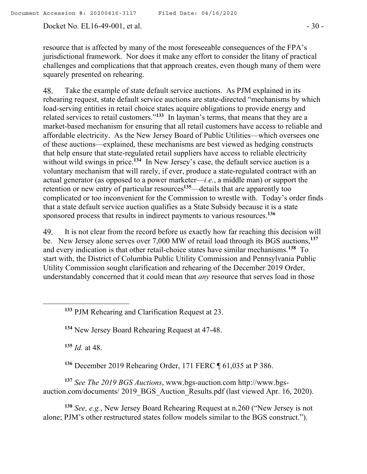resource that is affected by many of the most foreseeable consequences of the FPA's jurisdictional framework. Nor does it make any effort to consider the litany of practical challenges and complications that that approach creates, even though many of them were squarely presented on rehearing.

Take the example of state default service auctions. As PJM explained in its 48. rehearing request, state default service auctions are state-directed "mechanisms by which load-serving entities in retail choice states acquire obligations to provide energy and related services to retail customers."**<sup>133</sup>** In layman's terms, that means that they are a market-based mechanism for ensuring that all retail customers have access to reliable and affordable electricity. As the New Jersey Board of Public Utilities—which oversees one of these auctions—explained, these mechanisms are best viewed as hedging constructs that help ensure that state-regulated retail suppliers have access to reliable electricity without wild swings in price.<sup>134</sup> In New Jersey's case, the default service auction is a voluntary mechanism that will rarely, if ever, produce a state-regulated contract with an actual generator (as opposed to a power marketer—*i.e.*, a middle man) or support the retention or new entry of particular resources**<sup>135</sup>**—details that are apparently too complicated or too inconvenient for the Commission to wrestle with. Today's order finds that a state default service auction qualifies as a State Subsidy because it is a state sponsored process that results in indirect payments to various resources. **136**

49. It is not clear from the record before us exactly how far reaching this decision will be. New Jersey alone serves over 7,000 MW of retail load through its BGS auctions,**<sup>137</sup>** and every indication is that other retail-choice states have similar mechanisms.**<sup>138</sup>** To start with, the District of Columbia Public Utility Commission and Pennsylvania Public Utility Commission sought clarification and rehearing of the December 2019 Order, understandably concerned that it could mean that *any* resource that serves load in those

**<sup>133</sup>** PJM Rehearing and Clarification Request at 23.

**<sup>134</sup>** New Jersey Board Rehearing Request at 47-48.

**<sup>135</sup>** *Id.* at 48.

 $\overline{a}$ 

**<sup>136</sup>** December 2019 Rehearing Order, 171 FERC ¶ 61,035 at P 386.

**<sup>137</sup>** *See The 2019 BGS Auctions*, www.bgs-auction.com http://www.bgsauction.com/documents/ 2019 BGS Auction Results.pdf (last viewed Apr. 16, 2020).

**<sup>138</sup>** *See, e.g.*, New Jersey Board Rehearing Request at n.260 ("New Jersey is not alone; PJM's other restructured states follow models similar to the BGS construct.").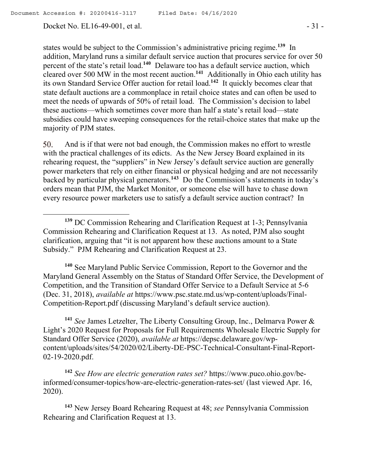$\overline{a}$ 

Docket No. EL16-49-001, et al. - 31 -

states would be subject to the Commission's administrative pricing regime.**<sup>139</sup>** In addition, Maryland runs a similar default service auction that procures service for over 50 percent of the state's retail load. **140** Delaware too has a default service auction, which cleared over 500 MW in the most recent auction.**<sup>141</sup>** Additionally in Ohio each utility has its own Standard Service Offer auction for retail load.**<sup>142</sup>** It quickly becomes clear that state default auctions are a commonplace in retail choice states and can often be used to meet the needs of upwards of 50% of retail load. The Commission's decision to label these auctions—which sometimes cover more than half a state's retail load—state subsidies could have sweeping consequences for the retail-choice states that make up the majority of PJM states.

50. And is if that were not bad enough, the Commission makes no effort to wrestle with the practical challenges of its edicts. As the New Jersey Board explained in its rehearing request, the "suppliers" in New Jersey's default service auction are generally power marketers that rely on either financial or physical hedging and are not necessarily backed by particular physical generators.**<sup>143</sup>** Do the Commission's statements in today's orders mean that PJM, the Market Monitor, or someone else will have to chase down every resource power marketers use to satisfy a default service auction contract? In

**<sup>140</sup>** See Maryland Public Service Commission, Report to the Governor and the Maryland General Assembly on the Status of Standard Offer Service, the Development of Competition, and the Transition of Standard Offer Service to a Default Service at 5-6 (Dec. 31, 2018), *available at* https://www.psc.state.md.us/wp-content/uploads/Final-Competition-Report.pdf (discussing Maryland's default service auction).

**<sup>141</sup>** *See* James Letzelter, The Liberty Consulting Group, Inc., Delmarva Power & Light's 2020 Request for Proposals for Full Requirements Wholesale Electric Supply for Standard Offer Service (2020), *available at* https://depsc.delaware.gov/wpcontent/uploads/sites/54/2020/02/Liberty-DE-PSC-Technical-Consultant-Final-Report-02-19-2020.pdf.

**<sup>142</sup>** *See How are electric generation rates set?* https://www.puco.ohio.gov/beinformed/consumer-topics/how-are-electric-generation-rates-set/ (last viewed Apr. 16, 2020).

**<sup>143</sup>** New Jersey Board Rehearing Request at 48; *see* Pennsylvania Commission Rehearing and Clarification Request at 13.

**<sup>139</sup>** DC Commission Rehearing and Clarification Request at 1-3; Pennsylvania Commission Rehearing and Clarification Request at 13. As noted, PJM also sought clarification, arguing that "it is not apparent how these auctions amount to a State Subsidy." PJM Rehearing and Clarification Request at 23.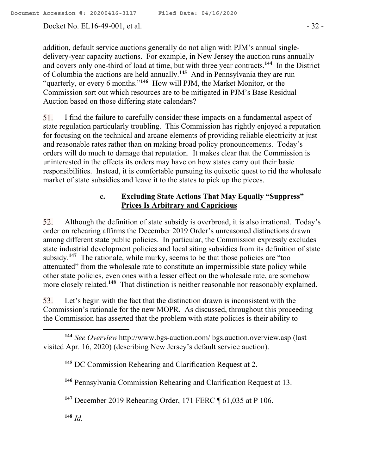addition, default service auctions generally do not align with PJM's annual singledelivery-year capacity auctions. For example, in New Jersey the auction runs annually and covers only one-third of load at time, but with three year contracts. **144** In the District of Columbia the auctions are held annually. **<sup>145</sup>** And in Pennsylvania they are run "quarterly, or every 6 months."**<sup>146</sup>** How will PJM, the Market Monitor, or the Commission sort out which resources are to be mitigated in PJM's Base Residual Auction based on those differing state calendars?

51. I find the failure to carefully consider these impacts on a fundamental aspect of state regulation particularly troubling. This Commission has rightly enjoyed a reputation for focusing on the technical and arcane elements of providing reliable electricity at just and reasonable rates rather than on making broad policy pronouncements. Today's orders will do much to damage that reputation. It makes clear that the Commission is uninterested in the effects its orders may have on how states carry out their basic responsibilities. Instead, it is comfortable pursuing its quixotic quest to rid the wholesale market of state subsidies and leave it to the states to pick up the pieces.

# **c. Excluding State Actions That May Equally "Suppress" Prices Is Arbitrary and Capricious**

Although the definition of state subsidy is overbroad, it is also irrational. Today's 52. order on rehearing affirms the December 2019 Order's unreasoned distinctions drawn among different state public policies. In particular, the Commission expressly excludes state industrial development policies and local siting subsidies from its definition of state subsidy.<sup>147</sup> The rationale, while murky, seems to be that those policies are "too attenuated" from the wholesale rate to constitute an impermissible state policy while other state policies, even ones with a lesser effect on the wholesale rate, are somehow more closely related.**<sup>148</sup>** That distinction is neither reasonable nor reasonably explained.

53. Let's begin with the fact that the distinction drawn is inconsistent with the Commission's rationale for the new MOPR. As discussed, throughout this proceeding the Commission has asserted that the problem with state policies is their ability to

**<sup>148</sup>** *Id.*

**<sup>144</sup>** *See Overview* http://www.bgs-auction.com/ bgs.auction.overview.asp (last visited Apr. 16, 2020) (describing New Jersey's default service auction).

**<sup>145</sup>** DC Commission Rehearing and Clarification Request at 2.

**<sup>146</sup>** Pennsylvania Commission Rehearing and Clarification Request at 13.

**<sup>147</sup>** December 2019 Rehearing Order, 171 FERC ¶ 61,035 at P 106.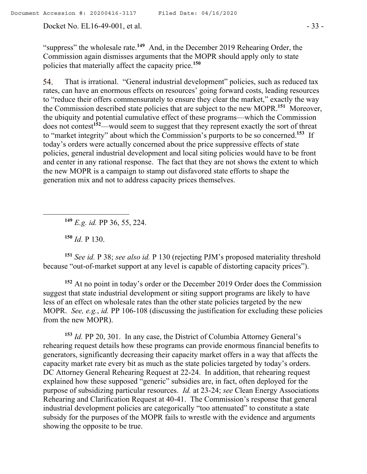Docket No. EL16-49-001, et al. - 33 -

"suppress" the wholesale rate.<sup>149</sup> And, in the December 2019 Rehearing Order, the Commission again dismisses arguments that the MOPR should apply only to state policies that materially affect the capacity price.**<sup>150</sup>**

That is irrational. "General industrial development" policies, such as reduced tax 54. rates, can have an enormous effects on resources' going forward costs, leading resources to "reduce their offers commensurately to ensure they clear the market," exactly the way the Commission described state policies that are subject to the new MOPR.**<sup>151</sup>** Moreover, the ubiquity and potential cumulative effect of these programs—which the Commission does not contest**<sup>152</sup>**—would seem to suggest that they represent exactly the sort of threat to "market integrity" about which the Commission's purports to be so concerned.**<sup>153</sup>** If today's orders were actually concerned about the price suppressive effects of state policies, general industrial development and local siting policies would have to be front and center in any rational response. The fact that they are not shows the extent to which the new MOPR is a campaign to stamp out disfavored state efforts to shape the generation mix and not to address capacity prices themselves.

**<sup>149</sup>** *E.g. id.* PP 36, 55, 224.

**<sup>150</sup>** *Id.* P 130.

 $\overline{a}$ 

**<sup>151</sup>** *See id.* P 38; *see also id.* P 130 (rejecting PJM's proposed materiality threshold because "out-of-market support at any level is capable of distorting capacity prices").

**<sup>152</sup>** At no point in today's order or the December 2019 Order does the Commission suggest that state industrial development or siting support programs are likely to have less of an effect on wholesale rates than the other state policies targeted by the new MOPR. *See, e.g.*, *id.* PP 106-108 (discussing the justification for excluding these policies from the new MOPR).

**<sup>153</sup>** *Id.* PP 20, 301. In any case, the District of Columbia Attorney General's rehearing request details how these programs can provide enormous financial benefits to generators, significantly decreasing their capacity market offers in a way that affects the capacity market rate every bit as much as the state policies targeted by today's orders. DC Attorney General Rehearing Request at 22-24. In addition, that rehearing request explained how these supposed "generic" subsidies are, in fact, often deployed for the purpose of subsidizing particular resources. *Id.* at 23-24; *see* Clean Energy Associations Rehearing and Clarification Request at 40-41. The Commission's response that general industrial development policies are categorically "too attenuated" to constitute a state subsidy for the purposes of the MOPR fails to wrestle with the evidence and arguments showing the opposite to be true.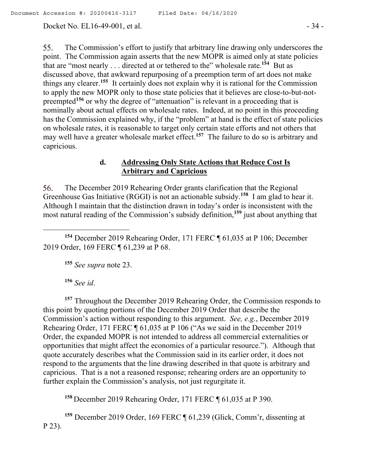Docket No. EL16-49-001, et al. - 34 -

55. The Commission's effort to justify that arbitrary line drawing only underscores the point. The Commission again asserts that the new MOPR is aimed only at state policies that are "most nearly . . . directed at or tethered to the" wholesale rate.<sup>154</sup> But as discussed above, that awkward repurposing of a preemption term of art does not make things any clearer.**<sup>155</sup>** It certainly does not explain why it is rational for the Commission to apply the new MOPR only to those state policies that it believes are close-to-but-notpreempted**<sup>156</sup>** or why the degree of "attenuation" is relevant in a proceeding that is nominally about actual effects on wholesale rates. Indeed, at no point in this proceeding has the Commission explained why, if the "problem" at hand is the effect of state policies on wholesale rates, it is reasonable to target only certain state efforts and not others that may well have a greater wholesale market effect.**<sup>157</sup>** The failure to do so is arbitrary and capricious.

# **d. Addressing Only State Actions that Reduce Cost Is Arbitrary and Capricious**

The December 2019 Rehearing Order grants clarification that the Regional 56. Greenhouse Gas Initiative (RGGI) is not an actionable subsidy.**<sup>158</sup>** I am glad to hear it. Although I maintain that the distinction drawn in today's order is inconsistent with the most natural reading of the Commission's subsidy definition,**<sup>159</sup>** just about anything that

**<sup>154</sup>** December 2019 Rehearing Order, 171 FERC ¶ 61,035 at P 106; December 2019 Order, 169 FERC ¶ 61,239 at P 68.

**<sup>155</sup>** *See supra* note 23.

**<sup>156</sup>** *See id*.

**<sup>157</sup>** Throughout the December 2019 Rehearing Order, the Commission responds to this point by quoting portions of the December 2019 Order that describe the Commission's action without responding to this argument. *See, e.g.*, December 2019 Rehearing Order, 171 FERC ¶ 61,035 at P 106 ("As we said in the December 2019 Order, the expanded MOPR is not intended to address all commercial externalities or opportunities that might affect the economics of a particular resource."). Although that quote accurately describes what the Commission said in its earlier order, it does not respond to the arguments that the line drawing described in that quote is arbitrary and capricious. That is a not a reasoned response; rehearing orders are an opportunity to further explain the Commission's analysis, not just regurgitate it.

**<sup>158</sup>** December 2019 Rehearing Order, 171 FERC ¶ 61,035 at P 390.

**<sup>159</sup>** December 2019 Order, 169 FERC ¶ 61,239 (Glick, Comm'r, dissenting at P 23).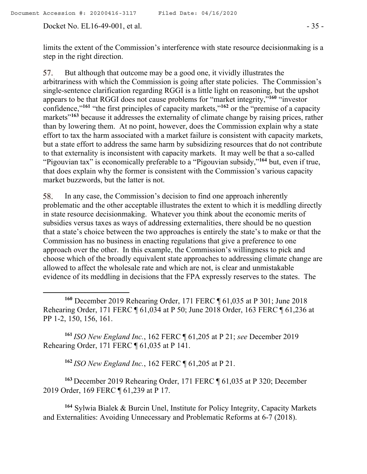Docket No. EL16-49-001, et al. - 35 -

 $\overline{a}$ 

limits the extent of the Commission's interference with state resource decisionmaking is a step in the right direction.

57. But although that outcome may be a good one, it vividly illustrates the arbitrariness with which the Commission is going after state policies. The Commission's single-sentence clarification regarding RGGI is a little light on reasoning, but the upshot appears to be that RGGI does not cause problems for "market integrity,"**<sup>160</sup>** "investor confidence,"**<sup>161</sup>** "the first principles of capacity markets,"**<sup>162</sup>** or the "premise of a capacity markets<sup>"163</sup> because it addresses the externality of climate change by raising prices, rather than by lowering them. At no point, however, does the Commission explain why a state effort to tax the harm associated with a market failure is consistent with capacity markets, but a state effort to address the same harm by subsidizing resources that do not contribute to that externality is inconsistent with capacity markets. It may well be that a so-called "Pigouvian tax" is economically preferable to a "Pigouvian subsidy,"**<sup>164</sup>** but, even if true, that does explain why the former is consistent with the Commission's various capacity market buzzwords, but the latter is not.

58. In any case, the Commission's decision to find one approach inherently problematic and the other acceptable illustrates the extent to which it is meddling directly in state resource decisionmaking. Whatever you think about the economic merits of subsidies versus taxes as ways of addressing externalities, there should be no question that a state's choice between the two approaches is entirely the state's to make or that the Commission has no business in enacting regulations that give a preference to one approach over the other. In this example, the Commission's willingness to pick and choose which of the broadly equivalent state approaches to addressing climate change are allowed to affect the wholesale rate and which are not, is clear and unmistakable evidence of its meddling in decisions that the FPA expressly reserves to the states. The

**<sup>160</sup>** December 2019 Rehearing Order, 171 FERC ¶ 61,035 at P 301; June 2018 Rehearing Order, 171 FERC ¶ 61,034 at P 50; June 2018 Order, 163 FERC ¶ 61,236 at PP 1-2, 150, 156, 161.

**<sup>161</sup>** *ISO New England Inc.*, 162 FERC ¶ 61,205 at P 21; *see* December 2019 Rehearing Order, 171 FERC ¶ 61,035 at P 141.

**<sup>162</sup>** *ISO New England Inc.*, 162 FERC ¶ 61,205 at P 21.

**<sup>163</sup>** December 2019 Rehearing Order, 171 FERC ¶ 61,035 at P 320; December 2019 Order, 169 FERC ¶ 61,239 at P 17.

**<sup>164</sup>** Sylwia Bialek & Burcin Unel, Institute for Policy Integrity, Capacity Markets and Externalities: Avoiding Unnecessary and Problematic Reforms at 6-7 (2018).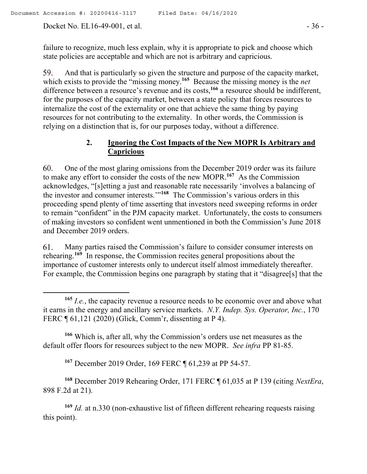Docket No. EL16-49-001, et al. - 36 -

 $\overline{a}$ 

failure to recognize, much less explain, why it is appropriate to pick and choose which state policies are acceptable and which are not is arbitrary and capricious.

And that is particularly so given the structure and purpose of the capacity market, which exists to provide the "missing money.**<sup>165</sup>** Because the missing money is the *net*  difference between a resource's revenue and its costs,**<sup>166</sup>** a resource should be indifferent, for the purposes of the capacity market, between a state policy that forces resources to internalize the cost of the externality or one that achieve the same thing by paying resources for not contributing to the externality. In other words, the Commission is relying on a distinction that is, for our purposes today, without a difference.

# **2. Ignoring the Cost Impacts of the New MOPR Is Arbitrary and Capricious**

One of the most glaring omissions from the December 2019 order was its failure 60. to make any effort to consider the costs of the new MOPR.**<sup>167</sup>** As the Commission acknowledges, "[s]etting a just and reasonable rate necessarily 'involves a balancing of the investor and consumer interests.'" **168** The Commission's various orders in this proceeding spend plenty of time asserting that investors need sweeping reforms in order to remain "confident" in the PJM capacity market. Unfortunately, the costs to consumers of making investors so confident went unmentioned in both the Commission's June 2018 and December 2019 orders.

61. Many parties raised the Commission's failure to consider consumer interests on rehearing.**<sup>169</sup>** In response, the Commission recites general propositions about the importance of customer interests only to undercut itself almost immediately thereafter. For example, the Commission begins one paragraph by stating that it "disagree<sup>[s]</sup> that the

**<sup>166</sup>** Which is, after all, why the Commission's orders use net measures as the default offer floors for resources subject to the new MOPR. *See infra* PP 81-85.

**<sup>167</sup>** December 2019 Order, 169 FERC ¶ 61,239 at PP 54-57.

**<sup>168</sup>** December 2019 Rehearing Order, 171 FERC ¶ 61,035 at P 139 (citing *NextEra*, 898 F.2d at 21).

**<sup>169</sup>** *Id.* at n.330 (non-exhaustive list of fifteen different rehearing requests raising this point).

**<sup>165</sup>** *I.e.*, the capacity revenue a resource needs to be economic over and above what it earns in the energy and ancillary service markets. *N*.*Y. Indep. Sys. Operator, Inc.*, 170 FERC ¶ 61,121 (2020) (Glick, Comm'r, dissenting at P 4).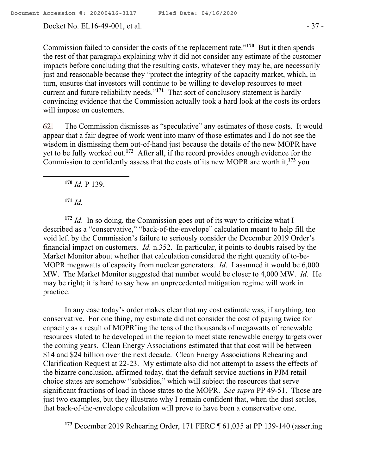Docket No. EL16-49-001, et al. - 37 -

Commission failed to consider the costs of the replacement rate."<sup>170</sup> But it then spends the rest of that paragraph explaining why it did not consider any estimate of the customer impacts before concluding that the resulting costs, whatever they may be, are necessarily just and reasonable because they "protect the integrity of the capacity market, which, in turn, ensures that investors will continue to be willing to develop resources to meet current and future reliability needs."**<sup>171</sup>** That sort of conclusory statement is hardly convincing evidence that the Commission actually took a hard look at the costs its orders will impose on customers.

The Commission dismisses as "speculative" any estimates of those costs. It would 62. appear that a fair degree of work went into many of those estimates and I do not see the wisdom in dismissing them out-of-hand just because the details of the new MOPR have yet to be fully worked out.**<sup>172</sup>** After all, if the record provides enough evidence for the Commission to confidently assess that the costs of its new MOPR are worth it,**<sup>173</sup>** you

**<sup>170</sup>** *Id.* P 139.

**<sup>171</sup>** *Id.*

 $\overline{a}$ 

**<sup>172</sup>** *Id*. In so doing, the Commission goes out of its way to criticize what I described as a "conservative," "back-of-the-envelope" calculation meant to help fill the void left by the Commission's failure to seriously consider the December 2019 Order's financial impact on customers. *Id.* n.352. In particular, it points to doubts raised by the Market Monitor about whether that calculation considered the right quantity of to-be-MOPR megawatts of capacity from nuclear generators. *Id*. I assumed it would be 6,000 MW. The Market Monitor suggested that number would be closer to 4,000 MW. *Id.* He may be right; it is hard to say how an unprecedented mitigation regime will work in practice.

In any case today's order makes clear that my cost estimate was, if anything, too conservative. For one thing, my estimate did not consider the cost of paying twice for capacity as a result of MOPR'ing the tens of the thousands of megawatts of renewable resources slated to be developed in the region to meet state renewable energy targets over the coming years. Clean Energy Associations estimated that that cost will be between \$14 and \$24 billion over the next decade. Clean Energy Associations Rehearing and Clarification Request at 22-23. My estimate also did not attempt to assess the effects of the bizarre conclusion, affirmed today, that the default service auctions in PJM retail choice states are somehow "subsidies," which will subject the resources that serve significant fractions of load in those states to the MOPR. *See supra* PP 49-51. Those are just two examples, but they illustrate why I remain confident that, when the dust settles, that back-of-the-envelope calculation will prove to have been a conservative one.

**<sup>173</sup>** December 2019 Rehearing Order, 171 FERC ¶ 61,035 at PP 139-140 (asserting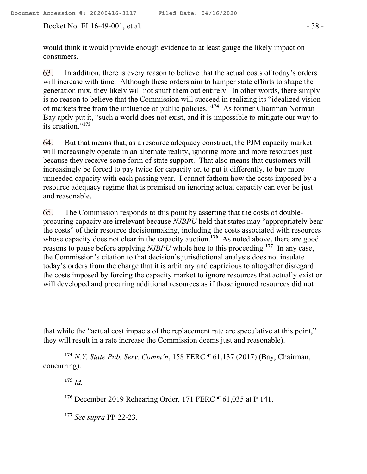Docket No. EL16-49-001, et al. - 38 -

would think it would provide enough evidence to at least gauge the likely impact on consumers.

63. In addition, there is every reason to believe that the actual costs of today's orders will increase with time. Although these orders aim to hamper state efforts to shape the generation mix, they likely will not snuff them out entirely. In other words, there simply is no reason to believe that the Commission will succeed in realizing its "idealized vision of markets free from the influence of public policies."**<sup>174</sup>** As former Chairman Norman Bay aptly put it, "such a world does not exist, and it is impossible to mitigate our way to its creation."**<sup>175</sup>**

64. But that means that, as a resource adequacy construct, the PJM capacity market will increasingly operate in an alternate reality, ignoring more and more resources just because they receive some form of state support. That also means that customers will increasingly be forced to pay twice for capacity or, to put it differently, to buy more unneeded capacity with each passing year. I cannot fathom how the costs imposed by a resource adequacy regime that is premised on ignoring actual capacity can ever be just and reasonable.

65 The Commission responds to this point by asserting that the costs of doubleprocuring capacity are irrelevant because *NJBPU* held that states may "appropriately bear the costs" of their resource decisionmaking, including the costs associated with resources whose capacity does not clear in the capacity auction.<sup>176</sup> As noted above, there are good reasons to pause before applying *NJBPU* whole hog to this proceeding.**<sup>177</sup>** In any case, the Commission's citation to that decision's jurisdictional analysis does not insulate today's orders from the charge that it is arbitrary and capricious to altogether disregard the costs imposed by forcing the capacity market to ignore resources that actually exist or will developed and procuring additional resources as if those ignored resources did not

**<sup>175</sup>** *Id.*

 $\overline{a}$ 

**<sup>176</sup>** December 2019 Rehearing Order, 171 FERC ¶ 61,035 at P 141.

**<sup>177</sup>** *See supra* PP 22-23.

that while the "actual cost impacts of the replacement rate are speculative at this point," they will result in a rate increase the Commission deems just and reasonable).

**<sup>174</sup>** *N.Y. State Pub. Serv. Comm'n*, 158 FERC ¶ 61,137 (2017) (Bay, Chairman, concurring).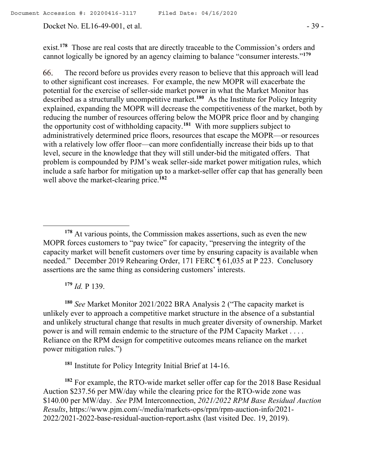Docket No. EL16-49-001, et al. - 39 -

exist.<sup>178</sup> Those are real costs that are directly traceable to the Commission's orders and cannot logically be ignored by an agency claiming to balance "consumer interests."**<sup>179</sup>**

66. The record before us provides every reason to believe that this approach will lead to other significant cost increases. For example, the new MOPR will exacerbate the potential for the exercise of seller-side market power in what the Market Monitor has described as a structurally uncompetitive market.**<sup>180</sup>** As the Institute for Policy Integrity explained, expanding the MOPR will decrease the competitiveness of the market, both by reducing the number of resources offering below the MOPR price floor and by changing the opportunity cost of withholding capacity.**<sup>181</sup>** With more suppliers subject to administratively determined price floors, resources that escape the MOPR—or resources with a relatively low offer floor—can more confidentially increase their bids up to that level, secure in the knowledge that they will still under-bid the mitigated offers. That problem is compounded by PJM's weak seller-side market power mitigation rules, which include a safe harbor for mitigation up to a market-seller offer cap that has generally been well above the market-clearing price.**<sup>182</sup>**

**<sup>179</sup>** *Id.* P 139.

 $\overline{a}$ 

**<sup>180</sup>** *See* Market Monitor 2021/2022 BRA Analysis 2 ("The capacity market is unlikely ever to approach a competitive market structure in the absence of a substantial and unlikely structural change that results in much greater diversity of ownership. Market power is and will remain endemic to the structure of the PJM Capacity Market . . . . Reliance on the RPM design for competitive outcomes means reliance on the market power mitigation rules.")

**<sup>181</sup>** Institute for Policy Integrity Initial Brief at 14-16.

**<sup>182</sup>** For example, the RTO-wide market seller offer cap for the 2018 Base Residual Auction \$237.56 per MW/day while the clearing price for the RTO-wide zone was \$140.00 per MW/day. *See* PJM Interconnection, *2021/2022 RPM Base Residual Auction Results*, https://www.pjm.com/-/media/markets-ops/rpm/rpm-auction-info/2021- 2022/2021-2022-base-residual-auction-report.ashx (last visited Dec. 19, 2019).

**<sup>178</sup>** At various points, the Commission makes assertions, such as even the new MOPR forces customers to "pay twice" for capacity, "preserving the integrity of the capacity market will benefit customers over time by ensuring capacity is available when needed." December 2019 Rehearing Order, 171 FERC ¶ 61,035 at P 223. Conclusory assertions are the same thing as considering customers' interests.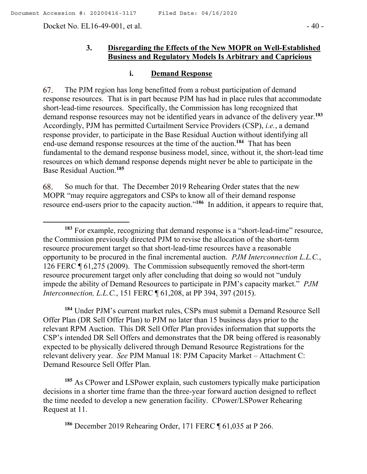$\overline{a}$ 

Docket No. EL16-49-001, et al. - 40 -

# **3. Disregarding the Effects of the New MOPR on Well-Established Business and Regulatory Models Is Arbitrary and Capricious**

### **i. Demand Response**

67. The PJM region has long benefitted from a robust participation of demand response resources. That is in part because PJM has had in place rules that accommodate short-lead-time resources. Specifically, the Commission has long recognized that demand response resources may not be identified years in advance of the delivery year.**<sup>183</sup>** Accordingly, PJM has permitted Curtailment Service Providers (CSP), *i.e.*, a demand response provider, to participate in the Base Residual Auction without identifying all end-use demand response resources at the time of the auction. **184** That has been fundamental to the demand response business model, since, without it, the short-lead time resources on which demand response depends might never be able to participate in the Base Residual Auction. **185**

So much for that. The December 2019 Rehearing Order states that the new 68. MOPR "may require aggregators and CSPs to know all of their demand response resource end-users prior to the capacity auction."<sup>186</sup> In addition, it appears to require that,

**<sup>184</sup>** Under PJM's current market rules, CSPs must submit a Demand Resource Sell Offer Plan (DR Sell Offer Plan) to PJM no later than 15 business days prior to the relevant RPM Auction. This DR Sell Offer Plan provides information that supports the CSP's intended DR Sell Offers and demonstrates that the DR being offered is reasonably expected to be physically delivered through Demand Resource Registrations for the relevant delivery year. *See* PJM Manual 18: PJM Capacity Market – Attachment C: Demand Resource Sell Offer Plan.

**<sup>185</sup>** As CPower and LSPower explain, such customers typically make participation decisions in a shorter time frame than the three-year forward auction designed to reflect the time needed to develop a new generation facility. CPower/LSPower Rehearing Request at 11.

<sup>&</sup>lt;sup>183</sup> For example, recognizing that demand response is a "short-lead-time" resource, the Commission previously directed PJM to revise the allocation of the short-term resource procurement target so that short-lead-time resources have a reasonable opportunity to be procured in the final incremental auction. *PJM Interconnection L.L.C.*, 126 FERC ¶ 61,275 (2009). The Commission subsequently removed the short-term resource procurement target only after concluding that doing so would not "unduly impede the ability of Demand Resources to participate in PJM's capacity market." *PJM Interconnection, L.L.C.*, 151 FERC ¶ 61,208, at PP 394, 397 (2015).

**<sup>186</sup>** December 2019 Rehearing Order, 171 FERC ¶ 61,035 at P 266.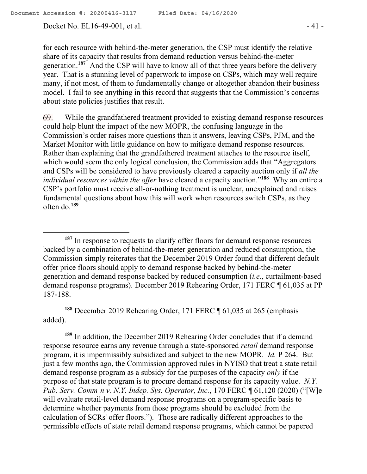Docket No. EL16-49-001, et al. - 41 -

 $\overline{a}$ 

for each resource with behind-the-meter generation, the CSP must identify the relative share of its capacity that results from demand reduction versus behind-the-meter generation.**<sup>187</sup>** And the CSP will have to know all of that three years before the delivery year. That is a stunning level of paperwork to impose on CSPs, which may well require many, if not most, of them to fundamentally change or altogether abandon their business model. I fail to see anything in this record that suggests that the Commission's concerns about state policies justifies that result.

69. While the grandfathered treatment provided to existing demand response resources could help blunt the impact of the new MOPR, the confusing language in the Commission's order raises more questions than it answers, leaving CSPs, PJM, and the Market Monitor with little guidance on how to mitigate demand response resources. Rather than explaining that the grandfathered treatment attaches to the resource itself, which would seem the only logical conclusion, the Commission adds that "Aggregators and CSPs will be considered to have previously cleared a capacity auction only if *all the individual resources within the offer* have cleared a capacity auction." **188** Why an entire a CSP's portfolio must receive all-or-nothing treatment is unclear, unexplained and raises fundamental questions about how this will work when resources switch CSPs, as they often do.**<sup>189</sup>**

**<sup>188</sup>** December 2019 Rehearing Order, 171 FERC ¶ 61,035 at 265 (emphasis added).

**<sup>189</sup>** In addition, the December 2019 Rehearing Order concludes that if a demand response resource earns any revenue through a state-sponsored *retail* demand response program, it is impermissibly subsidized and subject to the new MOPR. *Id.* P 264. But just a few months ago, the Commission approved rules in NYISO that treat a state retail demand response program as a subsidy for the purposes of the capacity *only* if the purpose of that state program is to procure demand response for its capacity value. *N.Y. Pub. Serv. Comm'n v. N.Y. Indep. Sys. Operator, Inc.*, 170 FERC ¶ 61,120 (2020) ("[W]e will evaluate retail-level demand response programs on a program-specific basis to determine whether payments from those programs should be excluded from the calculation of SCRs' offer floors."). Those are radically different approaches to the permissible effects of state retail demand response programs, which cannot be papered

**<sup>187</sup>** In response to requests to clarify offer floors for demand response resources backed by a combination of behind-the-meter generation and reduced consumption, the Commission simply reiterates that the December 2019 Order found that different default offer price floors should apply to demand response backed by behind-the-meter generation and demand response backed by reduced consumption (*i.e.*, curtailment-based demand response programs). December 2019 Rehearing Order, 171 FERC ¶ 61,035 at PP 187-188.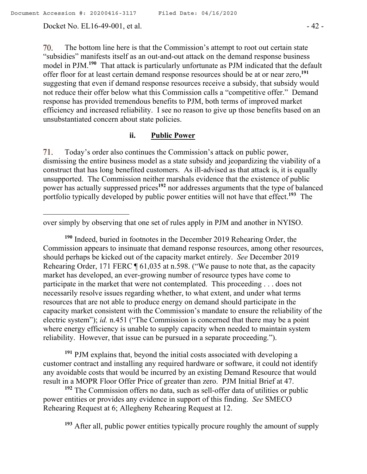70. The bottom line here is that the Commission's attempt to root out certain state "subsidies" manifests itself as an out-and-out attack on the demand response business model in PJM.<sup>190</sup> That attack is particularly unfortunate as PJM indicated that the default offer floor for at least certain demand response resources should be at or near zero,**<sup>191</sup>** suggesting that even if demand response resources receive a subsidy, that subsidy would not reduce their offer below what this Commission calls a "competitive offer." Demand response has provided tremendous benefits to PJM, both terms of improved market efficiency and increased reliability. I see no reason to give up those benefits based on an unsubstantiated concern about state policies.

# **ii. Public Power**

71. Today's order also continues the Commission's attack on public power, dismissing the entire business model as a state subsidy and jeopardizing the viability of a construct that has long benefited customers. As ill-advised as that attack is, it is equally unsupported. The Commission neither marshals evidence that the existence of public power has actually suppressed prices**<sup>192</sup>** nor addresses arguments that the type of balanced portfolio typically developed by public power entities will not have that effect.**<sup>193</sup>** The

**<sup>190</sup>** Indeed, buried in footnotes in the December 2019 Rehearing Order, the Commission appears to insinuate that demand response resources, among other resources, should perhaps be kicked out of the capacity market entirely. *See* December 2019 Rehearing Order, 171 FERC ¶ 61,035 at n.598. ("We pause to note that, as the capacity market has developed, an ever-growing number of resource types have come to participate in the market that were not contemplated. This proceeding . . . does not necessarily resolve issues regarding whether, to what extent, and under what terms resources that are not able to produce energy on demand should participate in the capacity market consistent with the Commission's mandate to ensure the reliability of the electric system"); *id.* n.451 ("The Commission is concerned that there may be a point where energy efficiency is unable to supply capacity when needed to maintain system reliability. However, that issue can be pursued in a separate proceeding.").

**<sup>191</sup>** PJM explains that, beyond the initial costs associated with developing a customer contract and installing any required hardware or software, it could not identify any avoidable costs that would be incurred by an existing Demand Resource that would result in a MOPR Floor Offer Price of greater than zero. PJM Initial Brief at 47.

**<sup>192</sup>** The Commission offers no data, such as sell-offer data of utilities or public power entities or provides any evidence in support of this finding. *See* SMECO Rehearing Request at 6; Allegheny Rehearing Request at 12.

**<sup>193</sup>** After all, public power entities typically procure roughly the amount of supply

 $\overline{a}$ over simply by observing that one set of rules apply in PJM and another in NYISO.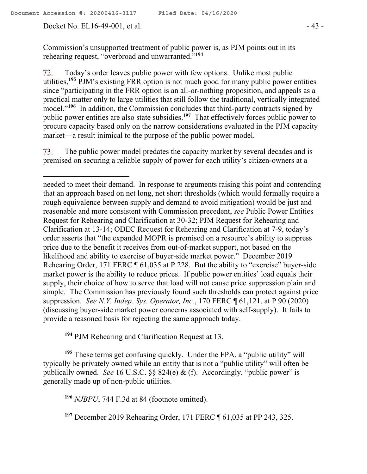$\overline{a}$ 

Today's order leaves public power with few options. Unlike most public 72. utilities,**<sup>195</sup>** PJM's existing FRR option is not much good for many public power entities since "participating in the FRR option is an all-or-nothing proposition, and appeals as a practical matter only to large utilities that still follow the traditional, vertically integrated model."**<sup>196</sup>** In addition, the Commission concludes that third-party contracts signed by public power entities are also state subsidies.**<sup>197</sup>** That effectively forces public power to procure capacity based only on the narrow considerations evaluated in the PJM capacity market—a result inimical to the purpose of the public power model.

The public power model predates the capacity market by several decades and is 73. premised on securing a reliable supply of power for each utility's citizen-owners at a

**<sup>194</sup>** PJM Rehearing and Clarification Request at 13.

**<sup>195</sup>** These terms get confusing quickly. Under the FPA, a "public utility" will typically be privately owned while an entity that is not a "public utility" will often be publically owned. *See* 16 U.S.C. §§ 824(e) & (f).Accordingly, "public power" is generally made up of non-public utilities.

**<sup>196</sup>** *NJBPU*, 744 F.3d at 84 (footnote omitted).

**<sup>197</sup>** December 2019 Rehearing Order, 171 FERC ¶ 61,035 at PP 243, 325.

needed to meet their demand. In response to arguments raising this point and contending that an approach based on net long, net short thresholds (which would formally require a rough equivalence between supply and demand to avoid mitigation) would be just and reasonable and more consistent with Commission precedent, *see* Public Power Entities Request for Rehearing and Clarification at 30-32; PJM Request for Rehearing and Clarification at 13-14; ODEC Request for Rehearing and Clarification at 7-9, today's order asserts that "the expanded MOPR is premised on a resource's ability to suppress price due to the benefit it receives from out-of-market support, not based on the likelihood and ability to exercise of buyer-side market power." December 2019 Rehearing Order, 171 FERC ¶ 61,035 at P 228. But the ability to "exercise" buyer-side market power is the ability to reduce prices. If public power entities' load equals their supply, their choice of how to serve that load will not cause price suppression plain and simple. The Commission has previously found such thresholds can protect against price suppression. *See N.Y. Indep. Sys. Operator, Inc.*, 170 FERC ¶ 61,121, at P 90 (2020) (discussing buyer-side market power concerns associated with self-supply). It fails to provide a reasoned basis for rejecting the same approach today.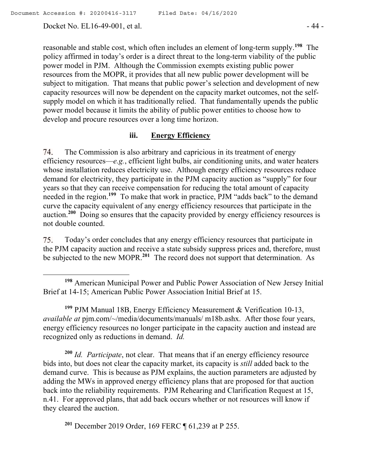Docket No. EL16-49-001, et al. - 44 -

 $\overline{a}$ 

reasonable and stable cost, which often includes an element of long-term supply.**<sup>198</sup>** The policy affirmed in today's order is a direct threat to the long-term viability of the public power model in PJM. Although the Commission exempts existing public power resources from the MOPR, it provides that all new public power development will be subject to mitigation. That means that public power's selection and development of new capacity resources will now be dependent on the capacity market outcomes, not the selfsupply model on which it has traditionally relied. That fundamentally upends the public power model because it limits the ability of public power entities to choose how to develop and procure resources over a long time horizon.

#### **iii. Energy Efficiency**

74. The Commission is also arbitrary and capricious in its treatment of energy efficiency resources—*e.g.*, efficient light bulbs, air conditioning units, and water heaters whose installation reduces electricity use. Although energy efficiency resources reduce demand for electricity, they participate in the PJM capacity auction as "supply" for four years so that they can receive compensation for reducing the total amount of capacity needed in the region.**<sup>199</sup>** To make that work in practice, PJM "adds back" to the demand curve the capacity equivalent of any energy efficiency resources that participate in the auction.**<sup>200</sup>** Doing so ensures that the capacity provided by energy efficiency resources is not double counted.

Today's order concludes that any energy efficiency resources that participate in 75. the PJM capacity auction and receive a state subsidy suppress prices and, therefore, must be subjected to the new MOPR.**<sup>201</sup>** The record does not support that determination. As

**<sup>199</sup>** PJM Manual 18B, Energy Efficiency Measurement & Verification 10-13, *available at* pjm.com/~/media/documents/manuals/ m18b.ashx.After those four years, energy efficiency resources no longer participate in the capacity auction and instead are recognized only as reductions in demand. *Id.*

**<sup>200</sup>** *Id. Participate*, not clear. That means that if an energy efficiency resource bids into, but does not clear the capacity market, its capacity is *still* added back to the demand curve. This is because as PJM explains, the auction parameters are adjusted by adding the MWs in approved energy efficiency plans that are proposed for that auction back into the reliability requirements. PJM Rehearing and Clarification Request at 15, n.41. For approved plans, that add back occurs whether or not resources will know if they cleared the auction.

**<sup>201</sup>** December 2019 Order, 169 FERC ¶ 61,239 at P 255.

**<sup>198</sup>** American Municipal Power and Public Power Association of New Jersey Initial Brief at 14-15; American Public Power Association Initial Brief at 15.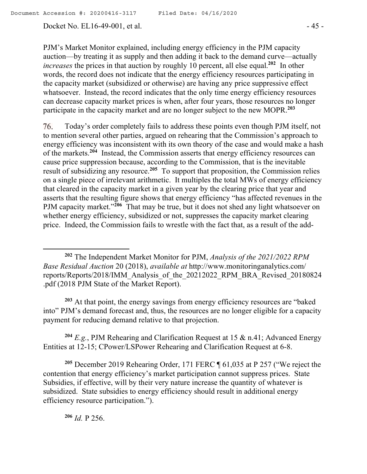Docket No. EL16-49-001, et al. - 45 -

PJM's Market Monitor explained, including energy efficiency in the PJM capacity auction—by treating it as supply and then adding it back to the demand curve—actually increases the prices in that auction by roughly 10 percent, all else equal.<sup>202</sup> In other words, the record does not indicate that the energy efficiency resources participating in the capacity market (subsidized or otherwise) are having any price suppressive effect whatsoever. Instead, the record indicates that the only time energy efficiency resources can decrease capacity market prices is when, after four years, those resources no longer participate in the capacity market and are no longer subject to the new MOPR.**<sup>203</sup>**

Today's order completely fails to address these points even though PJM itself, not 76. to mention several other parties, argued on rehearing that the Commission's approach to energy efficiency was inconsistent with its own theory of the case and would make a hash of the markets.**<sup>204</sup>** Instead, the Commission asserts that energy efficiency resources can cause price suppression because, according to the Commission, that is the inevitable result of subsidizing any resource.**<sup>205</sup>** To support that proposition, the Commission relies on a single piece of irrelevant arithmetic. It multiples the total MWs of energy efficiency that cleared in the capacity market in a given year by the clearing price that year and asserts that the resulting figure shows that energy efficiency "has affected revenues in the PJM capacity market."<sup>206</sup> That may be true, but it does not shed any light whatsoever on whether energy efficiency, subsidized or not, suppresses the capacity market clearing price. Indeed, the Commission fails to wrestle with the fact that, as a result of the add-

**<sup>203</sup>** At that point, the energy savings from energy efficiency resources are "baked into" PJM's demand forecast and, thus, the resources are no longer eligible for a capacity payment for reducing demand relative to that projection.

**<sup>204</sup>** *E.g.*, PJM Rehearing and Clarification Request at 15 & n.41; Advanced Energy Entities at 12-15; CPower/LSPower Rehearing and Clarification Request at 6-8.

**<sup>205</sup>** December 2019 Rehearing Order, 171 FERC ¶ 61,035 at P 257 ("We reject the contention that energy efficiency's market participation cannot suppress prices. State Subsidies, if effective, will by their very nature increase the quantity of whatever is subsidized. State subsidies to energy efficiency should result in additional energy efficiency resource participation.").

**<sup>206</sup>** *Id.* P 256.

**<sup>202</sup>** The Independent Market Monitor for PJM, *Analysis of the 2021/2022 RPM Base Residual Auction* 20 (2018), *available at* http://www.monitoringanalytics.com/ reports/Reports/2018/IMM\_Analysis\_of\_the\_20212022\_RPM\_BRA\_Revised\_20180824 .pdf (2018 PJM State of the Market Report).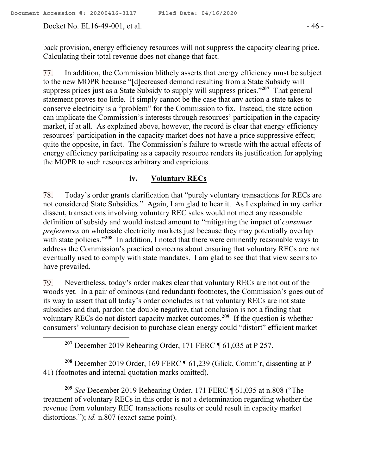Docket No. EL16-49-001, et al. - 46 -

 $\overline{a}$ 

back provision, energy efficiency resources will not suppress the capacity clearing price. Calculating their total revenue does not change that fact.

In addition, the Commission blithely asserts that energy efficiency must be subject 77. to the new MOPR because "[d]ecreased demand resulting from a State Subsidy will suppress prices just as a State Subsidy to supply will suppress prices."**<sup>207</sup>** That general statement proves too little. It simply cannot be the case that any action a state takes to conserve electricity is a "problem" for the Commission to fix. Instead, the state action can implicate the Commission's interests through resources' participation in the capacity market, if at all. As explained above, however, the record is clear that energy efficiency resources' participation in the capacity market does not have a price suppressive effect; quite the opposite, in fact. The Commission's failure to wrestle with the actual effects of energy efficiency participating as a capacity resource renders its justification for applying the MOPR to such resources arbitrary and capricious.

#### **iv. Voluntary RECs**

78. Today's order grants clarification that "purely voluntary transactions for RECs are not considered State Subsidies." Again, I am glad to hear it. As I explained in my earlier dissent, transactions involving voluntary REC sales would not meet any reasonable definition of subsidy and would instead amount to "mitigating the impact of *consumer preferences* on wholesale electricity markets just because they may potentially overlap with state policies."<sup>208</sup> In addition, I noted that there were eminently reasonable ways to address the Commission's practical concerns about ensuring that voluntary RECs are not eventually used to comply with state mandates. I am glad to see that that view seems to have prevailed.

79. Nevertheless, today's order makes clear that voluntary RECs are not out of the woods yet. In a pair of ominous (and redundant) footnotes, the Commission's goes out of its way to assert that all today's order concludes is that voluntary RECs are not state subsidies and that, pardon the double negative, that conclusion is not a finding that voluntary RECs do not distort capacity market outcomes.**<sup>209</sup>** If the question is whether consumers' voluntary decision to purchase clean energy could "distort" efficient market

**<sup>207</sup>** December 2019 Rehearing Order, 171 FERC ¶ 61,035 at P 257.

**<sup>208</sup>** December 2019 Order, 169 FERC ¶ 61,239 (Glick, Comm'r, dissenting at P 41) (footnotes and internal quotation marks omitted).

**<sup>209</sup>** *See* December 2019 Rehearing Order, 171 FERC ¶ 61,035 at n.808 ("The treatment of voluntary RECs in this order is not a determination regarding whether the revenue from voluntary REC transactions results or could result in capacity market distortions."); *id.* n.807 (exact same point).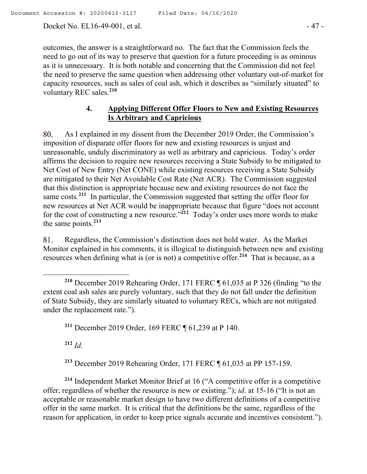Docket No. EL16-49-001, et al. - 47 -

outcomes, the answer is a straightforward no. The fact that the Commission feels the need to go out of its way to preserve that question for a future proceeding is as ominous as it is unnecessary. It is both notable and concerning that the Commission did not feel the need to preserve the same question when addressing other voluntary out-of-market for capacity resources, such as sales of coal ash, which it describes as "similarly situated" to voluntary REC sales. **210**

# **4. Applying Different Offer Floors to New and Existing Resources Is Arbitrary and Capricious**

80. As I explained in my dissent from the December 2019 Order, the Commission's imposition of disparate offer floors for new and existing resources is unjust and unreasonable, unduly discriminatory as well as arbitrary and capricious. Today's order affirms the decision to require new resources receiving a State Subsidy to be mitigated to Net Cost of New Entry (Net CONE) while existing resources receiving a State Subsidy are mitigated to their Net Avoidable Cost Rate (Net ACR). The Commission suggested that this distinction is appropriate because new and existing resources do not face the same costs.<sup>211</sup> In particular, the Commission suggested that setting the offer floor for new resources at Net ACR would be inappropriate because that figure "does not account for the cost of constructing a new resource."**<sup>212</sup>** Today's order uses more words to make the same points.**<sup>213</sup>**

Regardless, the Commission's distinction does not hold water. As the Market 81. Monitor explained in his comments, it is illogical to distinguish between new and existing resources when defining what is (or is not) a competitive offer.**<sup>214</sup>** That is because, as a

**<sup>211</sup>** December 2019 Order, 169 FERC ¶ 61,239 at P 140.

**<sup>212</sup>** *Id*.

**<sup>213</sup>** December 2019 Rehearing Order, 171 FERC ¶ 61,035 at PP 157-159.

**<sup>214</sup>** Independent Market Monitor Brief at 16 ("A competitive offer is a competitive offer, regardless of whether the resource is new or existing."); *id*. at 15-16 ("It is not an acceptable or reasonable market design to have two different definitions of a competitive offer in the same market. It is critical that the definitions be the same, regardless of the reason for application, in order to keep price signals accurate and incentives consistent.").

 $\overline{a}$ **<sup>210</sup>** December 2019 Rehearing Order, 171 FERC ¶ 61,035 at P 326 (finding "to the extent coal ash sales are purely voluntary, such that they do not fall under the definition of State Subsidy, they are similarly situated to voluntary RECs, which are not mitigated under the replacement rate.").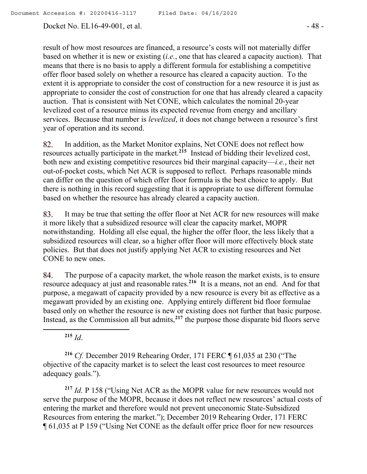Docket No. EL16-49-001, et al. - 48 -

result of how most resources are financed, a resource's costs will not materially differ based on whether it is new or existing (*i.e.*, one that has cleared a capacity auction). That means that there is no basis to apply a different formula for establishing a competitive offer floor based solely on whether a resource has cleared a capacity auction. To the extent it is appropriate to consider the cost of construction for a new resource it is just as appropriate to consider the cost of construction for one that has already cleared a capacity auction. That is consistent with Net CONE, which calculates the nominal 20-year levelized cost of a resource minus its expected revenue from energy and ancillary services. Because that number is *levelized*, it does not change between a resource's first year of operation and its second.

In addition, as the Market Monitor explains, Net CONE does not reflect how 82. resources actually participate in the market.**<sup>215</sup>** Instead of bidding their levelized cost, both new and existing competitive resources bid their marginal capacity—*i.e.*, their net out-of-pocket costs, which Net ACR is supposed to reflect. Perhaps reasonable minds can differ on the question of which offer floor formula is the best choice to apply. But there is nothing in this record suggesting that it is appropriate to use different formulae based on whether the resource has already cleared a capacity auction.

83. It may be true that setting the offer floor at Net ACR for new resources will make it more likely that a subsidized resource will clear the capacity market, MOPR notwithstanding. Holding all else equal, the higher the offer floor, the less likely that a subsidized resources will clear, so a higher offer floor will more effectively block state policies. But that does not justify applying Net ACR to existing resources and Net CONE to new ones.

The purpose of a capacity market, the whole reason the market exists, is to ensure 84. resource adequacy at just and reasonable rates.**<sup>216</sup>** It is a means, not an end. And for that purpose, a megawatt of capacity provided by a new resource is every bit as effective as a megawatt provided by an existing one. Applying entirely different bid floor formulae based only on whether the resource is new or existing does not further that basic purpose. Instead, as the Commission all but admits,**<sup>217</sup>** the purpose those disparate bid floors serve

**<sup>215</sup>** *Id*.

**<sup>216</sup>** *Cf.* December 2019 Rehearing Order, 171 FERC ¶ 61,035 at 230 ("The objective of the capacity market is to select the least cost resources to meet resource adequacy goals.").

**<sup>217</sup>** *Id.* P 158 ("Using Net ACR as the MOPR value for new resources would not serve the purpose of the MOPR, because it does not reflect new resources' actual costs of entering the market and therefore would not prevent uneconomic State-Subsidized Resources from entering the market."); December 2019 Rehearing Order, 171 FERC ¶ 61,035 at P 159 ("Using Net CONE as the default offer price floor for new resources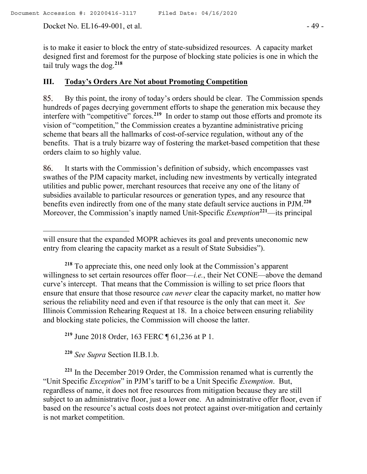Docket No. EL16-49-001, et al. - 49 -

 $\overline{a}$ 

is to make it easier to block the entry of state-subsidized resources. A capacity market designed first and foremost for the purpose of blocking state policies is one in which the tail truly wags the dog.**<sup>218</sup>**

#### **III. Today's Orders Are Not about Promoting Competition**

85. By this point, the irony of today's orders should be clear. The Commission spends hundreds of pages decrying government efforts to shape the generation mix because they interfere with "competitive" forces.**<sup>219</sup>** In order to stamp out those efforts and promote its vision of "competition," the Commission creates a byzantine administrative pricing scheme that bears all the hallmarks of cost-of-service regulation, without any of the benefits. That is a truly bizarre way of fostering the market-based competition that these orders claim to so highly value.

86. It starts with the Commission's definition of subsidy, which encompasses vast swathes of the PJM capacity market, including new investments by vertically integrated utilities and public power, merchant resources that receive any one of the litany of subsidies available to particular resources or generation types, and any resource that benefits even indirectly from one of the many state default service auctions in PJM. **220** Moreover, the Commission's inaptly named Unit-Specific *Exemption***<sup>221</sup>**—its principal

**<sup>219</sup>** June 2018 Order, 163 FERC ¶ 61,236 at P 1.

**<sup>220</sup>** *See Supra* Section II.B.1.b.

**<sup>221</sup>** In the December 2019 Order, the Commission renamed what is currently the "Unit Specific *Exception*" in PJM's tariff to be a Unit Specific *Exemption*. But, regardless of name, it does not free resources from mitigation because they are still subject to an administrative floor, just a lower one. An administrative offer floor, even if based on the resource's actual costs does not protect against over-mitigation and certainly is not market competition.

will ensure that the expanded MOPR achieves its goal and prevents uneconomic new entry from clearing the capacity market as a result of State Subsidies").

**<sup>218</sup>** To appreciate this, one need only look at the Commission's apparent willingness to set certain resources offer floor—*i.e.*, their Net CONE—above the demand curve's intercept. That means that the Commission is willing to set price floors that ensure that ensure that those resource *can never* clear the capacity market, no matter how serious the reliability need and even if that resource is the only that can meet it. *See*  Illinois Commission Rehearing Request at 18. In a choice between ensuring reliability and blocking state policies, the Commission will choose the latter.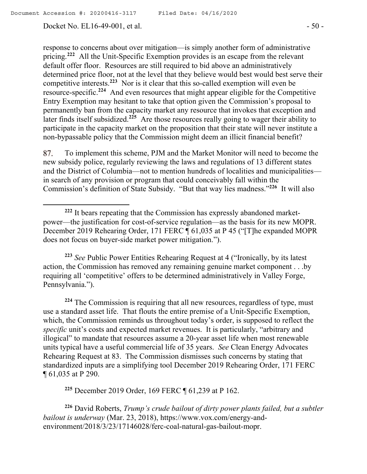Docket No. EL16-49-001, et al. - 50 -

response to concerns about over mitigation—is simply another form of administrative pricing.**<sup>222</sup>** All the Unit-Specific Exemption provides is an escape from the relevant default offer floor. Resources are still required to bid above an administratively determined price floor, not at the level that they believe would best would best serve their competitive interests. **223** Nor is it clear that this so-called exemption will even be resource-specific.<sup>224</sup> And even resources that might appear eligible for the Competitive Entry Exemption may hesitant to take that option given the Commission's proposal to permanently ban from the capacity market any resource that invokes that exception and later finds itself subsidized.**<sup>225</sup>** Are those resources really going to wager their ability to participate in the capacity market on the proposition that their state will never institute a non-bypassable policy that the Commission might deem an illicit financial benefit?

To implement this scheme, PJM and the Market Monitor will need to become the 87. new subsidy police, regularly reviewing the laws and regulations of 13 different states and the District of Columbia—not to mention hundreds of localities and municipalities in search of any provision or program that could conceivably fall within the Commission's definition of State Subsidy. "But that way lies madness."**<sup>226</sup>** It will also

**<sup>223</sup>** *See* Public Power Entities Rehearing Request at 4 ("Ironically, by its latest action, the Commission has removed any remaining genuine market component . . .by requiring all 'competitive' offers to be determined administratively in Valley Forge, Pennsylvania.").

**<sup>224</sup>** The Commission is requiring that all new resources, regardless of type, must use a standard asset life. That flouts the entire premise of a Unit-Specific Exemption, which, the Commission reminds us throughout today's order, is supposed to reflect the *specific* unit's costs and expected market revenues. It is particularly, "arbitrary and illogical" to mandate that resources assume a 20-year asset life when most renewable units typical have a useful commercial life of 35 years. *See* Clean Energy Advocates Rehearing Request at 83. The Commission dismisses such concerns by stating that standardized inputs are a simplifying tool December 2019 Rehearing Order, 171 FERC ¶ 61,035 at P 290.

**<sup>225</sup>** December 2019 Order, 169 FERC ¶ 61,239 at P 162.

**<sup>226</sup>** David Roberts, *Trump's crude bailout of dirty power plants failed, but a subtler bailout is underway* (Mar. 23, 2018), https://www.vox.com/energy-andenvironment/2018/3/23/17146028/ferc-coal-natural-gas-bailout-mopr.

**<sup>222</sup>** It bears repeating that the Commission has expressly abandoned marketpower—the justification for cost-of-service regulation—as the basis for its new MOPR. December 2019 Rehearing Order, 171 FERC ¶ 61,035 at P 45 ("[T]he expanded MOPR does not focus on buyer-side market power mitigation.").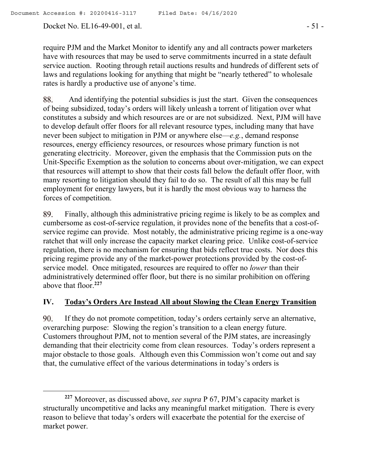Docket No. EL16-49-001, et al. - 51 -

require PJM and the Market Monitor to identify any and all contracts power marketers have with resources that may be used to serve commitments incurred in a state default service auction. Rooting through retail auctions results and hundreds of different sets of laws and regulations looking for anything that might be "nearly tethered" to wholesale rates is hardly a productive use of anyone's time.

 And identifying the potential subsidies is just the start. Given the consequences 88. of being subsidized, today's orders will likely unleash a torrent of litigation over what constitutes a subsidy and which resources are or are not subsidized. Next, PJM will have to develop default offer floors for all relevant resource types, including many that have never been subject to mitigation in PJM or anywhere else—*e.g.*, demand response resources, energy efficiency resources, or resources whose primary function is not generating electricity. Moreover, given the emphasis that the Commission puts on the Unit-Specific Exemption as the solution to concerns about over-mitigation, we can expect that resources will attempt to show that their costs fall below the default offer floor, with many resorting to litigation should they fail to do so. The result of all this may be full employment for energy lawyers, but it is hardly the most obvious way to harness the forces of competition.

89. Finally, although this administrative pricing regime is likely to be as complex and cumbersome as cost-of-service regulation, it provides none of the benefits that a cost-ofservice regime can provide. Most notably, the administrative pricing regime is a one-way ratchet that will only increase the capacity market clearing price. Unlike cost-of-service regulation, there is no mechanism for ensuring that bids reflect true costs. Nor does this pricing regime provide any of the market-power protections provided by the cost-ofservice model. Once mitigated, resources are required to offer no *lower* than their administratively determined offer floor, but there is no similar prohibition on offering above that floor.**<sup>227</sup>**

## **IV. Today's Orders Are Instead All about Slowing the Clean Energy Transition**

90. If they do not promote competition, today's orders certainly serve an alternative, overarching purpose: Slowing the region's transition to a clean energy future. Customers throughout PJM, not to mention several of the PJM states, are increasingly demanding that their electricity come from clean resources. Today's orders represent a major obstacle to those goals. Although even this Commission won't come out and say that, the cumulative effect of the various determinations in today's orders is

**<sup>227</sup>** Moreover, as discussed above, *see supra* P 67, PJM's capacity market is structurally uncompetitive and lacks any meaningful market mitigation. There is every reason to believe that today's orders will exacerbate the potential for the exercise of market power.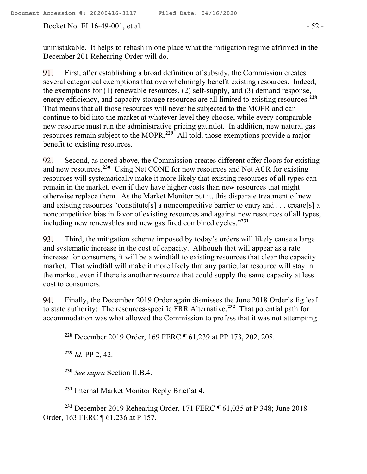Docket No. EL16-49-001, et al. - 52 -

unmistakable. It helps to rehash in one place what the mitigation regime affirmed in the December 201 Rehearing Order will do.

91. First, after establishing a broad definition of subsidy, the Commission creates several categorical exemptions that overwhelmingly benefit existing resources. Indeed, the exemptions for (1) renewable resources, (2) self-supply, and (3) demand response, energy efficiency, and capacity storage resources are all limited to existing resources.**<sup>228</sup>** That means that all those resources will never be subjected to the MOPR and can continue to bid into the market at whatever level they choose, while every comparable new resource must run the administrative pricing gauntlet. In addition, new natural gas resources remain subject to the MOPR.**<sup>229</sup>** All told, those exemptions provide a major benefit to existing resources.

92. Second, as noted above, the Commission creates different offer floors for existing and new resources.**<sup>230</sup>** Using Net CONE for new resources and Net ACR for existing resources will systematically make it more likely that existing resources of all types can remain in the market, even if they have higher costs than new resources that might otherwise replace them. As the Market Monitor put it, this disparate treatment of new and existing resources "constitute[s] a noncompetitive barrier to entry and . . . create[s] a noncompetitive bias in favor of existing resources and against new resources of all types, including new renewables and new gas fired combined cycles."**<sup>231</sup>**

Third, the mitigation scheme imposed by today's orders will likely cause a large 93. and systematic increase in the cost of capacity. Although that will appear as a rate increase for consumers, it will be a windfall to existing resources that clear the capacity market. That windfall will make it more likely that any particular resource will stay in the market, even if there is another resource that could supply the same capacity at less cost to consumers.

Finally, the December 2019 Order again dismisses the June 2018 Order's fig leaf 94. to state authority: The resources-specific FRR Alternative.**<sup>232</sup>** That potential path for accommodation was what allowed the Commission to profess that it was not attempting

**<sup>228</sup>** December 2019 Order, 169 FERC ¶ 61,239 at PP 173, 202, 208.

**<sup>229</sup>** *Id.* PP 2, 42.

**<sup>230</sup>** *See supra* Section II.B.4.

**<sup>231</sup>** Internal Market Monitor Reply Brief at 4.

**<sup>232</sup>** December 2019 Rehearing Order, 171 FERC ¶ 61,035 at P 348; June 2018 Order, 163 FERC ¶ 61,236 at P 157.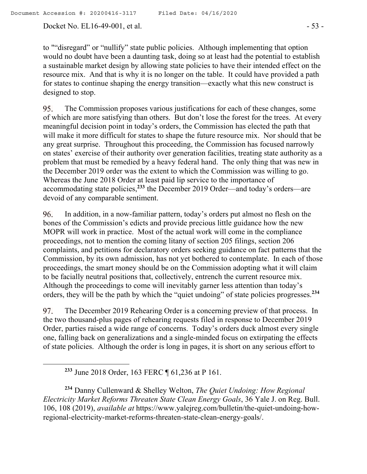Docket No. EL16-49-001, et al. - 53 -

to ""disregard" or "nullify" state public policies. Although implementing that option would no doubt have been a daunting task, doing so at least had the potential to establish a sustainable market design by allowing state policies to have their intended effect on the resource mix. And that is why it is no longer on the table. It could have provided a path for states to continue shaping the energy transition—exactly what this new construct is designed to stop.

95. The Commission proposes various justifications for each of these changes, some of which are more satisfying than others. But don't lose the forest for the trees. At every meaningful decision point in today's orders, the Commission has elected the path that will make it more difficult for states to shape the future resource mix. Nor should that be any great surprise. Throughout this proceeding, the Commission has focused narrowly on states' exercise of their authority over generation facilities, treating state authority as a problem that must be remedied by a heavy federal hand. The only thing that was new in the December 2019 order was the extent to which the Commission was willing to go. Whereas the June 2018 Order at least paid lip service to the importance of accommodating state policies,**<sup>233</sup>** the December 2019 Order—and today's orders—are devoid of any comparable sentiment.

96. In addition, in a now-familiar pattern, today's orders put almost no flesh on the bones of the Commission's edicts and provide precious little guidance how the new MOPR will work in practice. Most of the actual work will come in the compliance proceedings, not to mention the coming litany of section 205 filings, section 206 complaints, and petitions for declaratory orders seeking guidance on fact patterns that the Commission, by its own admission, has not yet bothered to contemplate. In each of those proceedings, the smart money should be on the Commission adopting what it will claim to be facially neutral positions that, collectively, entrench the current resource mix. Although the proceedings to come will inevitably garner less attention than today's orders, they will be the path by which the "quiet undoing" of state policies progresses.**<sup>234</sup>**

97. The December 2019 Rehearing Order is a concerning preview of that process. In the two thousand-plus pages of rehearing requests filed in response to December 2019 Order, parties raised a wide range of concerns. Today's orders duck almost every single one, falling back on generalizations and a single-minded focus on extirpating the effects of state policies. Although the order is long in pages, it is short on any serious effort to

**<sup>233</sup>** June 2018 Order, 163 FERC ¶ 61,236 at P 161.

 $\overline{a}$ 

**<sup>234</sup>** Danny Cullenward & Shelley Welton, *The Quiet Undoing: How Regional Electricity Market Reforms Threaten State Clean Energy Goals*, 36 Yale J. on Reg. Bull. 106, 108 (2019), *available at* https://www.yalejreg.com/bulletin/the-quiet-undoing-howregional-electricity-market-reforms-threaten-state-clean-energy-goals/.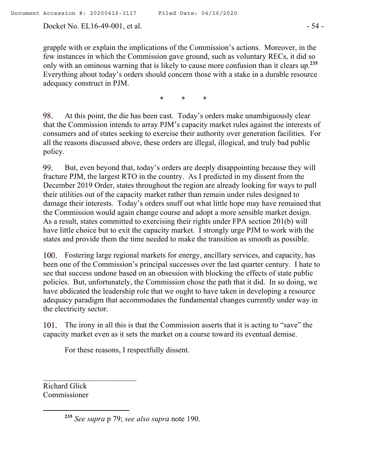Docket No. EL16-49-001, et al. - 54 -

grapple with or explain the implications of the Commission's actions. Moreover, in the few instances in which the Commission gave ground, such as voluntary RECs, it did so only with an ominous warning that is likely to cause more confusion than it clears up.**<sup>235</sup>** Everything about today's orders should concern those with a stake in a durable resource adequacy construct in PJM.

\* \* \*

At this point, the die has been cast. Today's orders make unambiguously clear 98. that the Commission intends to array PJM's capacity market rules against the interests of consumers and of states seeking to exercise their authority over generation facilities. For all the reasons discussed above, these orders are illegal, illogical, and truly bad public policy.

99. But, even beyond that, today's orders are deeply disappointing because they will fracture PJM, the largest RTO in the country. As I predicted in my dissent from the December 2019 Order, states throughout the region are already looking for ways to pull their utilities out of the capacity market rather than remain under rules designed to damage their interests. Today's orders snuff out what little hope may have remained that the Commission would again change course and adopt a more sensible market design. As a result, states committed to exercising their rights under FPA section 201(b) will have little choice but to exit the capacity market. I strongly urge PJM to work with the states and provide them the time needed to make the transition as smooth as possible.

Fostering large regional markets for energy, ancillary services, and capacity, has been one of the Commission's principal successes over the last quarter century. I hate to see that success undone based on an obsession with blocking the effects of state public policies. But, unfortunately, the Commission chose the path that it did. In so doing, we have abdicated the leadership role that we ought to have taken in developing a resource adequacy paradigm that accommodates the fundamental changes currently under way in the electricity sector.

The irony in all this is that the Commission asserts that it is acting to "save" the capacity market even as it sets the market on a course toward its eventual demise.

For these reasons, I respectfully dissent.

Richard Glick Commissioner

 $\overline{a}$ 

 $\mathcal{L}_\text{max}$ 

**<sup>235</sup>** *See supra* p 79; *see also supra* note 190.